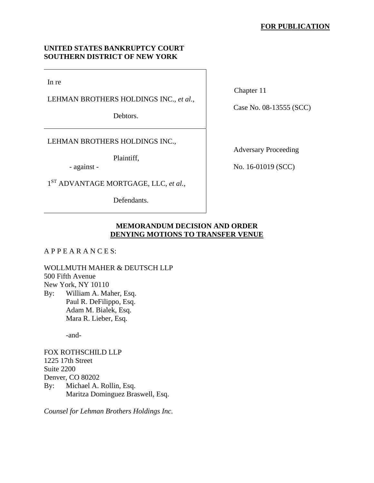## **UNITED STATES BANKRUPTCY COURT SOUTHERN DISTRICT OF NEW YORK**

In re

LEHMAN BROTHERS HOLDINGS INC., *et al.*,

Debtors.

LEHMAN BROTHERS HOLDINGS INC.,

Plaintiff,

- against -

1ST ADVANTAGE MORTGAGE, LLC, *et al.*,

Defendants.

Chapter 11

Case No. 08-13555 (SCC)

Adversary Proceeding

No. 16-01019 (SCC)

# **MEMORANDUM DECISION AND ORDER DENYING MOTIONS TO TRANSFER VENUE**

A P P E A R A N C E S:

WOLLMUTH MAHER & DEUTSCH LLP 500 Fifth Avenue New York, NY 10110 By: William A. Maher, Esq. Paul R. DeFilippo, Esq.

 Adam M. Bialek, Esq. Mara R. Lieber, Esq.

-and-

FOX ROTHSCHILD LLP 1225 17th Street Suite 2200 Denver, CO 80202 By: Michael A. Rollin, Esq. Maritza Dominguez Braswell, Esq.

*Counsel for Lehman Brothers Holdings Inc.*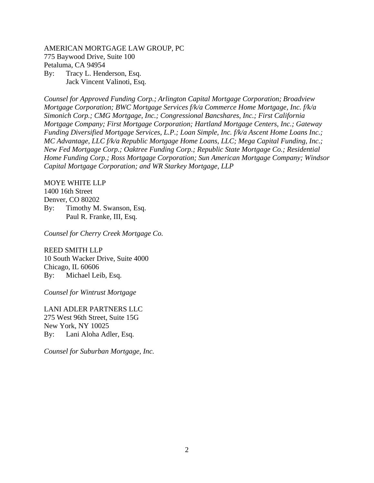AMERICAN MORTGAGE LAW GROUP, PC 775 Baywood Drive, Suite 100 Petaluma, CA 94954 By: Tracy L. Henderson, Esq. Jack Vincent Valinoti, Esq.

*Counsel for Approved Funding Corp.; Arlington Capital Mortgage Corporation; Broadview Mortgage Corporation; BWC Mortgage Services f/k/a Commerce Home Mortgage, Inc. f/k/a Simonich Corp.; CMG Mortgage, Inc.; Congressional Bancshares, Inc.; First California Mortgage Company; First Mortgage Corporation; Hartland Mortgage Centers, Inc.; Gateway Funding Diversified Mortgage Services, L.P.; Loan Simple, Inc. f/k/a Ascent Home Loans Inc.; MC Advantage, LLC f/k/a Republic Mortgage Home Loans, LLC; Mega Capital Funding, Inc.; New Fed Mortgage Corp.; Oaktree Funding Corp.; Republic State Mortgage Co.; Residential Home Funding Corp.; Ross Mortgage Corporation; Sun American Mortgage Company; Windsor Capital Mortgage Corporation; and WR Starkey Mortgage, LLP* 

#### MOYE WHITE LLP

1400 16th Street Denver, CO 80202 By: Timothy M. Swanson, Esq. Paul R. Franke, III, Esq.

*Counsel for Cherry Creek Mortgage Co.* 

REED SMITH LLP 10 South Wacker Drive, Suite 4000 Chicago, IL 60606 By: Michael Leib, Esq.

*Counsel for Wintrust Mortgage* 

LANI ADLER PARTNERS LLC 275 West 96th Street, Suite 15G New York, NY 10025 By: Lani Aloha Adler, Esq.

*Counsel for Suburban Mortgage, Inc.*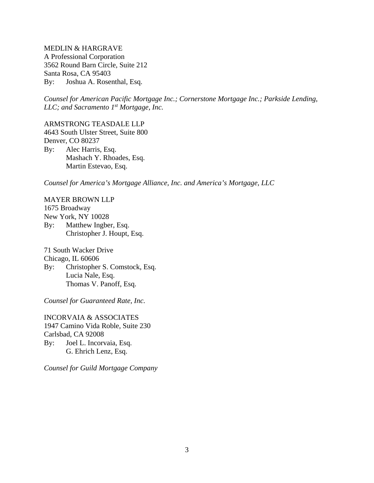MEDLIN & HARGRAVE A Professional Corporation 3562 Round Barn Circle, Suite 212 Santa Rosa, CA 95403 By: Joshua A. Rosenthal, Esq.

*Counsel for American Pacific Mortgage Inc.; Cornerstone Mortgage Inc.; Parkside Lending, LLC; and Sacramento 1st Mortgage, Inc.* 

ARMSTRONG TEASDALE LLP 4643 South Ulster Street, Suite 800 Denver, CO 80237 By: Alec Harris, Esq. Mashach Y. Rhoades, Esq. Martin Estevao, Esq.

*Counsel for America's Mortgage Alliance, Inc. and America's Mortgage, LLC*

MAYER BROWN LLP 1675 Broadway New York, NY 10028 By: Matthew Ingber, Esq. Christopher J. Houpt, Esq.

71 South Wacker Drive Chicago, IL 60606 By: Christopher S. Comstock, Esq. Lucia Nale, Esq. Thomas V. Panoff, Esq.

*Counsel for Guaranteed Rate, Inc.* 

INCORVAIA & ASSOCIATES 1947 Camino Vida Roble, Suite 230 Carlsbad, CA 92008 By: Joel L. Incorvaia, Esq. G. Ehrich Lenz, Esq.

*Counsel for Guild Mortgage Company*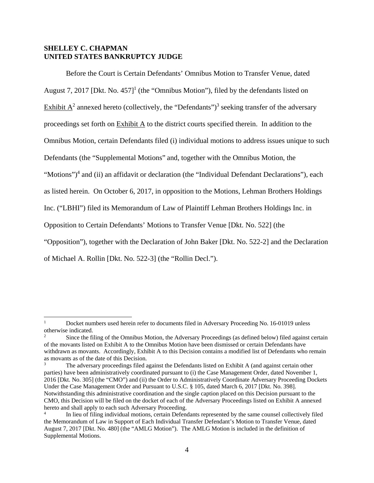## **SHELLEY C. CHAPMAN UNITED STATES BANKRUPTCY JUDGE**

 $\overline{a}$ 

Before the Court is Certain Defendants' Omnibus Motion to Transfer Venue, dated August 7, 2017 [Dkt. No. 457]<sup>1</sup> (the "Omnibus Motion"), filed by the defendants listed on Exhibit  $A^2$  annexed hereto (collectively, the "Defendants")<sup>3</sup> seeking transfer of the adversary proceedings set forth on Exhibit A to the district courts specified therein. In addition to the Omnibus Motion, certain Defendants filed (i) individual motions to address issues unique to such Defendants (the "Supplemental Motions" and, together with the Omnibus Motion, the "Motions")<sup>4</sup> and (ii) an affidavit or declaration (the "Individual Defendant Declarations"), each as listed herein. On October 6, 2017, in opposition to the Motions, Lehman Brothers Holdings Inc. ("LBHI") filed its Memorandum of Law of Plaintiff Lehman Brothers Holdings Inc. in Opposition to Certain Defendants' Motions to Transfer Venue [Dkt. No. 522] (the "Opposition"), together with the Declaration of John Baker [Dkt. No. 522-2] and the Declaration of Michael A. Rollin [Dkt. No. 522-3] (the "Rollin Decl.").

<sup>1</sup> Docket numbers used herein refer to documents filed in Adversary Proceeding No. 16-01019 unless otherwise indicated.

<sup>2</sup> Since the filing of the Omnibus Motion, the Adversary Proceedings (as defined below) filed against certain of the movants listed on Exhibit A to the Omnibus Motion have been dismissed or certain Defendants have withdrawn as movants. Accordingly, Exhibit A to this Decision contains a modified list of Defendants who remain as movants as of the date of this Decision.

<sup>3</sup> The adversary proceedings filed against the Defendants listed on Exhibit A (and against certain other parties) have been administratively coordinated pursuant to (i) the Case Management Order, dated November 1, 2016 [Dkt. No. 305] (the "CMO") and (ii) the Order to Administratively Coordinate Adversary Proceeding Dockets Under the Case Management Order and Pursuant to U.S.C. § 105, dated March 6, 2017 [Dkt. No. 398]. Notwithstanding this administrative coordination and the single caption placed on this Decision pursuant to the CMO, this Decision will be filed on the docket of each of the Adversary Proceedings listed on Exhibit A annexed hereto and shall apply to each such Adversary Proceeding.

<sup>4</sup> In lieu of filing individual motions, certain Defendants represented by the same counsel collectively filed the Memorandum of Law in Support of Each Individual Transfer Defendant's Motion to Transfer Venue, dated August 7, 2017 [Dkt. No. 480] (the "AMLG Motion"). The AMLG Motion is included in the definition of Supplemental Motions.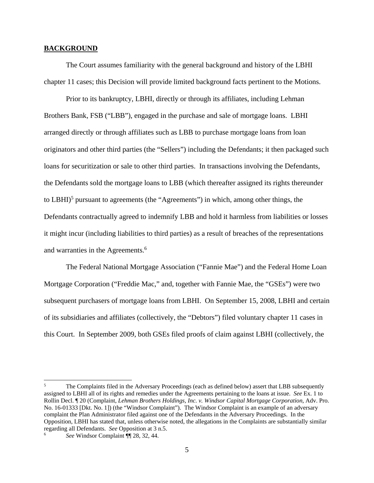#### **BACKGROUND**

The Court assumes familiarity with the general background and history of the LBHI chapter 11 cases; this Decision will provide limited background facts pertinent to the Motions.

Prior to its bankruptcy, LBHI, directly or through its affiliates, including Lehman Brothers Bank, FSB ("LBB"), engaged in the purchase and sale of mortgage loans. LBHI arranged directly or through affiliates such as LBB to purchase mortgage loans from loan originators and other third parties (the "Sellers") including the Defendants; it then packaged such loans for securitization or sale to other third parties. In transactions involving the Defendants, the Defendants sold the mortgage loans to LBB (which thereafter assigned its rights thereunder to LBHI)<sup>5</sup> pursuant to agreements (the "Agreements") in which, among other things, the Defendants contractually agreed to indemnify LBB and hold it harmless from liabilities or losses it might incur (including liabilities to third parties) as a result of breaches of the representations and warranties in the Agreements.<sup>6</sup>

The Federal National Mortgage Association ("Fannie Mae") and the Federal Home Loan Mortgage Corporation ("Freddie Mac," and, together with Fannie Mae, the "GSEs") were two subsequent purchasers of mortgage loans from LBHI. On September 15, 2008, LBHI and certain of its subsidiaries and affiliates (collectively, the "Debtors") filed voluntary chapter 11 cases in this Court. In September 2009, both GSEs filed proofs of claim against LBHI (collectively, the

 $\overline{a}$ 

<sup>5</sup> The Complaints filed in the Adversary Proceedings (each as defined below) assert that LBB subsequently assigned to LBHI all of its rights and remedies under the Agreements pertaining to the loans at issue. *See* Ex. 1 to Rollin Decl. ¶ 20 (Complaint, *Lehman Brothers Holdings, Inc. v. Windsor Capital Mortgage Corporation*, Adv. Pro. No. 16-01333 [Dkt. No. 1]) (the "Windsor Complaint"). The Windsor Complaint is an example of an adversary complaint the Plan Administrator filed against one of the Defendants in the Adversary Proceedings. In the Opposition, LBHI has stated that, unless otherwise noted, the allegations in the Complaints are substantially similar regarding all Defendants. *See* Opposition at 3 n.5. 6

*See* Windsor Complaint ¶¶ 28, 32, 44.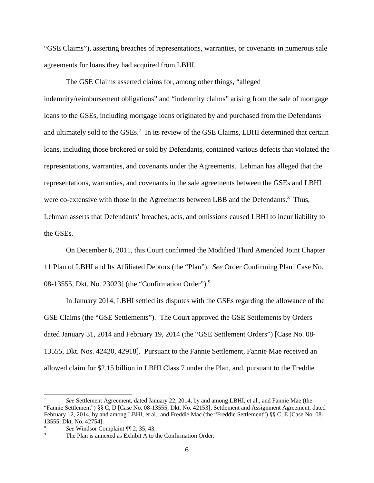"GSE Claims"), asserting breaches of representations, warranties, or covenants in numerous sale agreements for loans they had acquired from LBHI.

The GSE Claims asserted claims for, among other things, "alleged indemnity/reimbursement obligations" and "indemnity claims" arising from the sale of mortgage loans to the GSEs, including mortgage loans originated by and purchased from the Defendants and ultimately sold to the GSEs.<sup>7</sup> In its review of the GSE Claims, LBHI determined that certain loans, including those brokered or sold by Defendants, contained various defects that violated the representations, warranties, and covenants under the Agreements. Lehman has alleged that the representations, warranties, and covenants in the sale agreements between the GSEs and LBHI were co-extensive with those in the Agreements between LBB and the Defendants.<sup>8</sup> Thus, Lehman asserts that Defendants' breaches, acts, and omissions caused LBHI to incur liability to the GSEs.

On December 6, 2011, this Court confirmed the Modified Third Amended Joint Chapter 11 Plan of LBHI and Its Affiliated Debtors (the "Plan"). *See* Order Confirming Plan [Case No. 08-13555, Dkt. No. 23023] (the "Confirmation Order").<sup>9</sup>

In January 2014, LBHI settled its disputes with the GSEs regarding the allowance of the GSE Claims (the "GSE Settlements"). The Court approved the GSE Settlements by Orders dated January 31, 2014 and February 19, 2014 (the "GSE Settlement Orders") [Case No. 08- 13555, Dkt. Nos. 42420, 42918]. Pursuant to the Fannie Settlement, Fannie Mae received an allowed claim for \$2.15 billion in LBHI Class 7 under the Plan, and, pursuant to the Freddie

 $\overline{a}$ 

<sup>7</sup> *See* Settlement Agreement, dated January 22, 2014, by and among LBHI, et al., and Fannie Mae (the "Fannie Settlement") §§ C, D [Case No. 08-13555, Dkt. No. 42153]; Settlement and Assignment Agreement, dated February 12, 2014, by and among LBHI, et al., and Freddie Mac (the "Freddie Settlement") §§ C, E [Case No. 08- 13555, Dkt. No. 42754].

<sup>8</sup> *See* Windsor Complaint ¶ 2, 35, 43.

The Plan is annexed as Exhibit A to the Confirmation Order.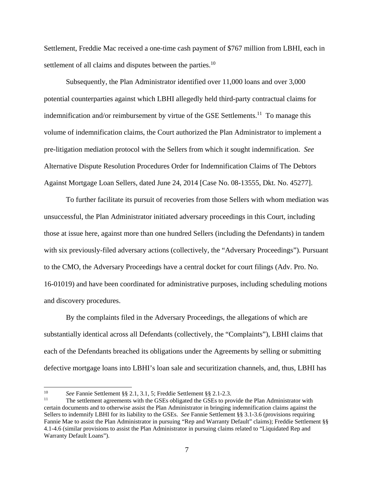Settlement, Freddie Mac received a one-time cash payment of \$767 million from LBHI, each in settlement of all claims and disputes between the parties.<sup>10</sup>

Subsequently, the Plan Administrator identified over 11,000 loans and over 3,000 potential counterparties against which LBHI allegedly held third-party contractual claims for indemnification and/or reimbursement by virtue of the GSE Settlements.<sup>11</sup> To manage this volume of indemnification claims, the Court authorized the Plan Administrator to implement a pre-litigation mediation protocol with the Sellers from which it sought indemnification. *See* Alternative Dispute Resolution Procedures Order for Indemnification Claims of The Debtors Against Mortgage Loan Sellers, dated June 24, 2014 [Case No. 08-13555, Dkt. No. 45277].

To further facilitate its pursuit of recoveries from those Sellers with whom mediation was unsuccessful, the Plan Administrator initiated adversary proceedings in this Court, including those at issue here, against more than one hundred Sellers (including the Defendants) in tandem with six previously-filed adversary actions (collectively, the "Adversary Proceedings"). Pursuant to the CMO, the Adversary Proceedings have a central docket for court filings (Adv. Pro. No. 16-01019) and have been coordinated for administrative purposes, including scheduling motions and discovery procedures.

By the complaints filed in the Adversary Proceedings, the allegations of which are substantially identical across all Defendants (collectively, the "Complaints"), LBHI claims that each of the Defendants breached its obligations under the Agreements by selling or submitting defective mortgage loans into LBHI's loan sale and securitization channels, and, thus, LBHI has

 $10<sup>10</sup>$ 

<sup>&</sup>lt;sup>10</sup> See Fannie Settlement §§ 2.1, 3.1, 5; Freddie Settlement §§ 2.1-2.3.<br><sup>11</sup> The settlement agreements with the GSEs obligated the GSEs to provide the Plan Administrator with certain documents and to otherwise assist the Plan Administrator in bringing indemnification claims against the Sellers to indemnify LBHI for its liability to the GSEs. *See* Fannie Settlement §§ 3.1-3.6 (provisions requiring Fannie Mae to assist the Plan Administrator in pursuing "Rep and Warranty Default" claims); Freddie Settlement §§ 4.1-4.6 (similar provisions to assist the Plan Administrator in pursuing claims related to "Liquidated Rep and Warranty Default Loans").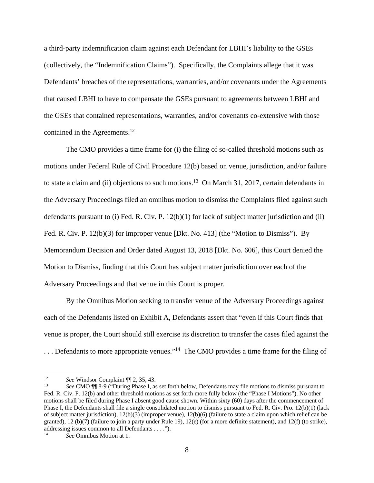a third-party indemnification claim against each Defendant for LBHI's liability to the GSEs (collectively, the "Indemnification Claims"). Specifically, the Complaints allege that it was Defendants' breaches of the representations, warranties, and/or covenants under the Agreements that caused LBHI to have to compensate the GSEs pursuant to agreements between LBHI and the GSEs that contained representations, warranties, and/or covenants co-extensive with those contained in the Agreements.<sup>12</sup>

The CMO provides a time frame for (i) the filing of so-called threshold motions such as motions under Federal Rule of Civil Procedure 12(b) based on venue, jurisdiction, and/or failure to state a claim and (ii) objections to such motions.<sup>13</sup> On March 31, 2017, certain defendants in the Adversary Proceedings filed an omnibus motion to dismiss the Complaints filed against such defendants pursuant to (i) Fed. R. Civ. P. 12(b)(1) for lack of subject matter jurisdiction and (ii) Fed. R. Civ. P. 12(b)(3) for improper venue [Dkt. No. 413] (the "Motion to Dismiss"). By Memorandum Decision and Order dated August 13, 2018 [Dkt. No. 606], this Court denied the Motion to Dismiss, finding that this Court has subject matter jurisdiction over each of the Adversary Proceedings and that venue in this Court is proper.

By the Omnibus Motion seeking to transfer venue of the Adversary Proceedings against each of the Defendants listed on Exhibit A, Defendants assert that "even if this Court finds that venue is proper, the Court should still exercise its discretion to transfer the cases filed against the

... Defendants to more appropriate venues."<sup>14</sup> The CMO provides a time frame for the filing of

 $12$ 

<sup>12</sup>*See* Windsor Complaint ¶¶ 2, 35, 43. 13 *See* CMO ¶¶ 8-9 ("During Phase I, as set forth below, Defendants may file motions to dismiss pursuant to Fed. R. Civ. P. 12(b) and other threshold motions as set forth more fully below (the "Phase I Motions"). No other motions shall be filed during Phase I absent good cause shown. Within sixty (60) days after the commencement of Phase I, the Defendants shall file a single consolidated motion to dismiss pursuant to Fed. R. Civ. Pro. 12(b)(1) (lack of subject matter jurisdiction), 12(b)(3) (improper venue), 12(b)(6) (failure to state a claim upon which relief can be granted), 12 (b)(7) (failure to join a party under Rule 19), 12(e) (for a more definite statement), and 12(f) (to strike), addressing issues common to all Defendants . . . .").

See Omnibus Motion at 1.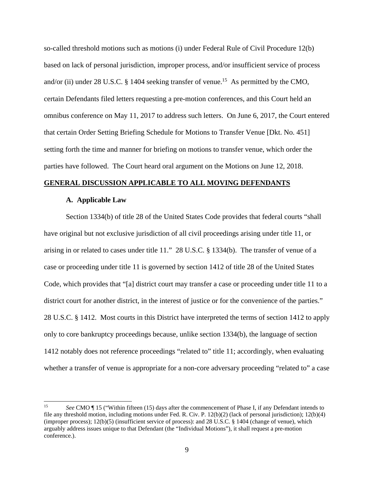so-called threshold motions such as motions (i) under Federal Rule of Civil Procedure 12(b) based on lack of personal jurisdiction, improper process, and/or insufficient service of process and/or (ii) under 28 U.S.C. § 1404 seeking transfer of venue.<sup>15</sup> As permitted by the CMO, certain Defendants filed letters requesting a pre-motion conferences, and this Court held an omnibus conference on May 11, 2017 to address such letters. On June 6, 2017, the Court entered that certain Order Setting Briefing Schedule for Motions to Transfer Venue [Dkt. No. 451] setting forth the time and manner for briefing on motions to transfer venue, which order the parties have followed. The Court heard oral argument on the Motions on June 12, 2018.

### **GENERAL DISCUSSION APPLICABLE TO ALL MOVING DEFENDANTS**

#### **A. Applicable Law**

Section 1334(b) of title 28 of the United States Code provides that federal courts "shall have original but not exclusive jurisdiction of all civil proceedings arising under title 11, or arising in or related to cases under title 11." 28 U.S.C. § 1334(b). The transfer of venue of a case or proceeding under title 11 is governed by section 1412 of title 28 of the United States Code, which provides that "[a] district court may transfer a case or proceeding under title 11 to a district court for another district, in the interest of justice or for the convenience of the parties." 28 U.S.C. § 1412. Most courts in this District have interpreted the terms of section 1412 to apply only to core bankruptcy proceedings because, unlike section 1334(b), the language of section 1412 notably does not reference proceedings "related to" title 11; accordingly, when evaluating whether a transfer of venue is appropriate for a non-core adversary proceeding "related to" a case

 $15<sup>15</sup>$ 15 *See* CMO ¶ 15 ("Within fifteen (15) days after the commencement of Phase I, if any Defendant intends to file any threshold motion, including motions under Fed. R. Civ. P. 12(b)(2) (lack of personal jurisdiction); 12(b)(4) (improper process); 12(b)(5) (insufficient service of process): and 28 U.S.C. § 1404 (change of venue), which arguably address issues unique to that Defendant (the "Individual Motions"), it shall request a pre-motion conference.).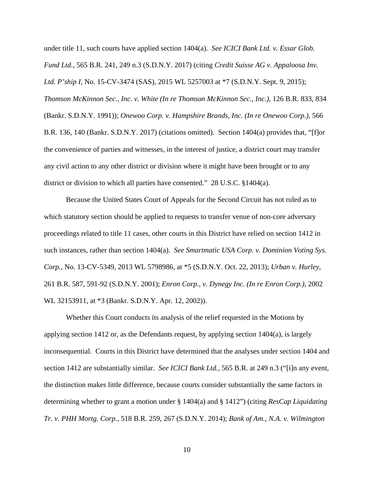under title 11, such courts have applied section 1404(a). *See ICICI Bank Ltd. v. Essar Glob. Fund Ltd.*, 565 B.R. 241, 249 n.3 (S.D.N.Y. 2017) (citing *Credit Suisse AG v. Appaloosa Inv. Ltd. P'ship I*, No. 15-CV-3474 (SAS), 2015 WL 5257003 at \*7 (S.D.N.Y. Sept. 9, 2015); *Thomson McKinnon Sec., Inc. v. White (In re Thomson McKinnon Sec., Inc.)*, 126 B.R. 833, 834 (Bankr. S.D.N.Y. 1991)); *Onewoo Corp. v. Hampshire Brands, Inc. (In re Onewoo Corp.)*, 566 B.R. 136, 140 (Bankr. S.D.N.Y. 2017) (citations omitted). Section 1404(a) provides that, "[f]or the convenience of parties and witnesses, in the interest of justice, a district court may transfer any civil action to any other district or division where it might have been brought or to any district or division to which all parties have consented." 28 U.S.C. §1404(a).

Because the United States Court of Appeals for the Second Circuit has not ruled as to which statutory section should be applied to requests to transfer venue of non-core adversary proceedings related to title 11 cases, other courts in this District have relied on section 1412 in such instances, rather than section 1404(a). *See Smartmatic USA Corp. v. Dominion Voting Sys. Corp.*, No. 13-CV-5349, 2013 WL 5798986, at \*5 (S.D.N.Y. Oct. 22, 2013); *Urban v. Hurley*, 261 B.R. 587, 591-92 (S.D.N.Y. 2001); *Enron Corp., v. Dynegy Inc. (In re Enron Corp.)*, 2002 WL 32153911, at \*3 (Bankr. S.D.N.Y. Apr. 12, 2002)).

Whether this Court conducts its analysis of the relief requested in the Motions by applying section 1412 or, as the Defendants request, by applying section 1404(a), is largely inconsequential. Courts in this District have determined that the analyses under section 1404 and section 1412 are substantially similar. *See ICICI Bank Ltd.*, 565 B.R. at 249 n.3 ("[i]n any event, the distinction makes little difference, because courts consider substantially the same factors in determining whether to grant a motion under § 1404(a) and § 1412") (citing *ResCap Liquidating Tr. v. PHH Mortg. Corp.*, 518 B.R. 259, 267 (S.D.N.Y. 2014); *Bank of Am., N.A. v. Wilmington*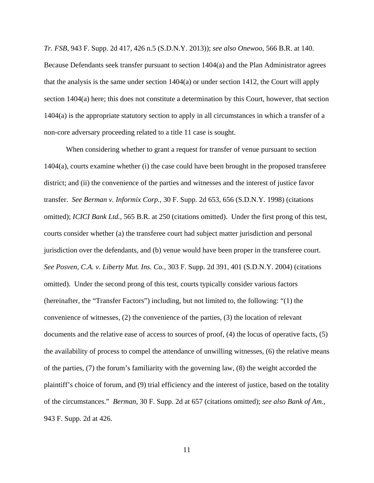*Tr. FSB*, 943 F. Supp. 2d 417, 426 n.5 (S.D.N.Y. 2013)); *see also Onewoo*, 566 B.R. at 140. Because Defendants seek transfer pursuant to section 1404(a) and the Plan Administrator agrees that the analysis is the same under section  $1404(a)$  or under section 1412, the Court will apply section 1404(a) here; this does not constitute a determination by this Court, however, that section 1404(a) is the appropriate statutory section to apply in all circumstances in which a transfer of a non-core adversary proceeding related to a title 11 case is sought.

When considering whether to grant a request for transfer of venue pursuant to section 1404(a), courts examine whether (i) the case could have been brought in the proposed transferee district; and (ii) the convenience of the parties and witnesses and the interest of justice favor transfer. *See Berman v. Informix Corp.*, 30 F. Supp. 2d 653, 656 (S.D.N.Y. 1998) (citations omitted); *ICICI Bank Ltd.,* 565 B.R. at 250 (citations omitted). Under the first prong of this test, courts consider whether (a) the transferee court had subject matter jurisdiction and personal jurisdiction over the defendants, and (b) venue would have been proper in the transferee court. *See Posven, C.A. v. Liberty Mut. Ins. Co.*, 303 F. Supp. 2d 391, 401 (S.D.N.Y. 2004) (citations omitted). Under the second prong of this test, courts typically consider various factors (hereinafter, the "Transfer Factors") including, but not limited to, the following: "(1) the convenience of witnesses, (2) the convenience of the parties, (3) the location of relevant documents and the relative ease of access to sources of proof, (4) the locus of operative facts, (5) the availability of process to compel the attendance of unwilling witnesses, (6) the relative means of the parties, (7) the forum's familiarity with the governing law, (8) the weight accorded the plaintiff's choice of forum, and (9) trial efficiency and the interest of justice, based on the totality of the circumstances." *Berman*, 30 F. Supp. 2d at 657 (citations omitted); *see also Bank of Am.,*  943 F. Supp. 2d at 426.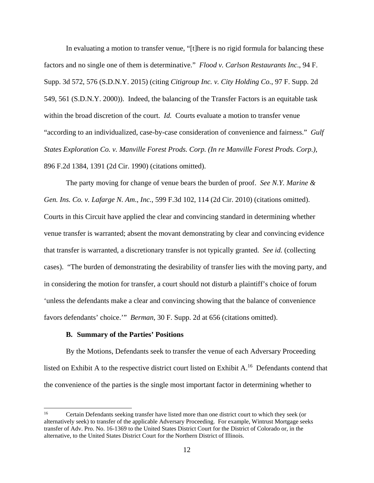In evaluating a motion to transfer venue, "[t]here is no rigid formula for balancing these factors and no single one of them is determinative." *Flood v. Carlson Restaurants Inc*., 94 F. Supp. 3d 572, 576 (S.D.N.Y. 2015) (citing *Citigroup Inc. v. City Holding Co.*, 97 F. Supp. 2d 549, 561 (S.D.N.Y. 2000)). Indeed, the balancing of the Transfer Factors is an equitable task within the broad discretion of the court. *Id.* Courts evaluate a motion to transfer venue "according to an individualized, case-by-case consideration of convenience and fairness." *Gulf States Exploration Co. v. Manville Forest Prods. Corp. (In re Manville Forest Prods. Corp.)*, 896 F.2d 1384, 1391 (2d Cir. 1990) (citations omitted).

The party moving for change of venue bears the burden of proof. *See N.Y. Marine & Gen. Ins. Co. v. Lafarge N. Am*., *Inc.*, 599 F.3d 102, 114 (2d Cir. 2010) (citations omitted). Courts in this Circuit have applied the clear and convincing standard in determining whether venue transfer is warranted; absent the movant demonstrating by clear and convincing evidence that transfer is warranted, a discretionary transfer is not typically granted. *See id.* (collecting cases). "The burden of demonstrating the desirability of transfer lies with the moving party, and in considering the motion for transfer, a court should not disturb a plaintiff's choice of forum 'unless the defendants make a clear and convincing showing that the balance of convenience favors defendants' choice.'" *Berman*, 30 F. Supp. 2d at 656 (citations omitted).

#### **B. Summary of the Parties' Positions**

 $\overline{a}$ 

By the Motions, Defendants seek to transfer the venue of each Adversary Proceeding listed on Exhibit A to the respective district court listed on Exhibit A.<sup>16</sup> Defendants contend that the convenience of the parties is the single most important factor in determining whether to

<sup>16</sup> Certain Defendants seeking transfer have listed more than one district court to which they seek (or alternatively seek) to transfer of the applicable Adversary Proceeding. For example, Wintrust Mortgage seeks transfer of Adv. Pro. No. 16-1369 to the United States District Court for the District of Colorado or, in the alternative, to the United States District Court for the Northern District of Illinois.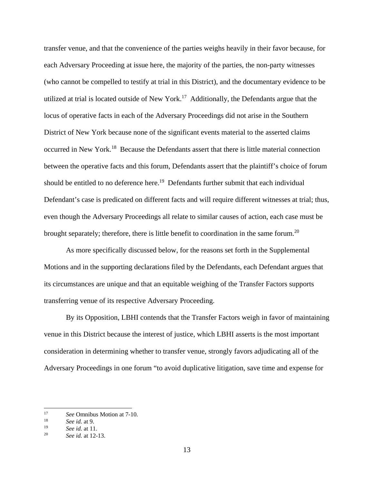transfer venue, and that the convenience of the parties weighs heavily in their favor because, for each Adversary Proceeding at issue here, the majority of the parties, the non-party witnesses (who cannot be compelled to testify at trial in this District), and the documentary evidence to be utilized at trial is located outside of New York.<sup>17</sup> Additionally, the Defendants argue that the locus of operative facts in each of the Adversary Proceedings did not arise in the Southern District of New York because none of the significant events material to the asserted claims occurred in New York.18 Because the Defendants assert that there is little material connection between the operative facts and this forum, Defendants assert that the plaintiff's choice of forum should be entitled to no deference here.<sup>19</sup> Defendants further submit that each individual Defendant's case is predicated on different facts and will require different witnesses at trial; thus, even though the Adversary Proceedings all relate to similar causes of action, each case must be brought separately; therefore, there is little benefit to coordination in the same forum.<sup>20</sup>

As more specifically discussed below, for the reasons set forth in the Supplemental Motions and in the supporting declarations filed by the Defendants, each Defendant argues that its circumstances are unique and that an equitable weighing of the Transfer Factors supports transferring venue of its respective Adversary Proceeding.

By its Opposition, LBHI contends that the Transfer Factors weigh in favor of maintaining venue in this District because the interest of justice, which LBHI asserts is the most important consideration in determining whether to transfer venue, strongly favors adjudicating all of the Adversary Proceedings in one forum "to avoid duplicative litigation, save time and expense for

 $\overline{a}$ 

<sup>17</sup>*See* Omnibus Motion at 7-10. 18 *See id.* at 9.

<sup>19</sup>*See id.* at 11. 20 *See id.* at 12-13.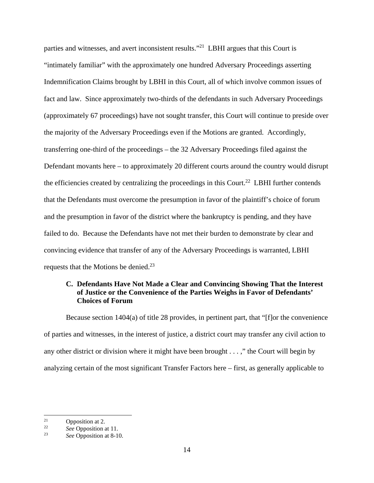parties and witnesses, and avert inconsistent results."21 LBHI argues that this Court is "intimately familiar" with the approximately one hundred Adversary Proceedings asserting Indemnification Claims brought by LBHI in this Court, all of which involve common issues of fact and law. Since approximately two-thirds of the defendants in such Adversary Proceedings (approximately 67 proceedings) have not sought transfer, this Court will continue to preside over the majority of the Adversary Proceedings even if the Motions are granted. Accordingly, transferring one-third of the proceedings – the 32 Adversary Proceedings filed against the Defendant movants here – to approximately 20 different courts around the country would disrupt the efficiencies created by centralizing the proceedings in this Court.<sup>22</sup> LBHI further contends that the Defendants must overcome the presumption in favor of the plaintiff's choice of forum and the presumption in favor of the district where the bankruptcy is pending, and they have failed to do. Because the Defendants have not met their burden to demonstrate by clear and convincing evidence that transfer of any of the Adversary Proceedings is warranted, LBHI requests that the Motions be denied.<sup>23</sup>

## **C. Defendants Have Not Made a Clear and Convincing Showing That the Interest of Justice or the Convenience of the Parties Weighs in Favor of Defendants' Choices of Forum**

Because section 1404(a) of title 28 provides, in pertinent part, that "[f]or the convenience of parties and witnesses, in the interest of justice, a district court may transfer any civil action to any other district or division where it might have been brought . . . ," the Court will begin by analyzing certain of the most significant Transfer Factors here – first, as generally applicable to

 $21$  $\frac{21}{22}$  Opposition at 2.

<sup>22</sup>*See* Opposition at 11. 23 *See* Opposition at 8-10.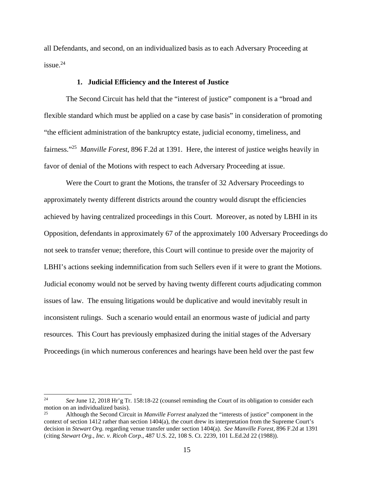all Defendants, and second, on an individualized basis as to each Adversary Proceeding at  $i$ ssue.<sup>24</sup>

#### **1. Judicial Efficiency and the Interest of Justice**

The Second Circuit has held that the "interest of justice" component is a "broad and flexible standard which must be applied on a case by case basis" in consideration of promoting "the efficient administration of the bankruptcy estate, judicial economy, timeliness, and fairness."25 *Manville Forest*, 896 F.2d at 1391. Here, the interest of justice weighs heavily in favor of denial of the Motions with respect to each Adversary Proceeding at issue.

Were the Court to grant the Motions, the transfer of 32 Adversary Proceedings to approximately twenty different districts around the country would disrupt the efficiencies achieved by having centralized proceedings in this Court. Moreover, as noted by LBHI in its Opposition, defendants in approximately 67 of the approximately 100 Adversary Proceedings do not seek to transfer venue; therefore, this Court will continue to preside over the majority of LBHI's actions seeking indemnification from such Sellers even if it were to grant the Motions. Judicial economy would not be served by having twenty different courts adjudicating common issues of law. The ensuing litigations would be duplicative and would inevitably result in inconsistent rulings. Such a scenario would entail an enormous waste of judicial and party resources. This Court has previously emphasized during the initial stages of the Adversary Proceedings (in which numerous conferences and hearings have been held over the past few

 $24$ 24 *See* June 12, 2018 Hr'g Tr. 158:18-22 (counsel reminding the Court of its obligation to consider each motion on an individualized basis).

<sup>25</sup> Although the Second Circuit in *Manville Forrest* analyzed the "interests of justice" component in the context of section 1412 rather than section 1404(a), the court drew its interpretation from the Supreme Court's decision in *Stewart Org.* regarding venue transfer under section 1404(a). *See Manville Forest*, 896 F.2d at 1391 (citing *Stewart Org., Inc. v. Ricoh Corp*., 487 U.S. 22, 108 S. Ct. 2239, 101 L.Ed.2d 22 (1988)).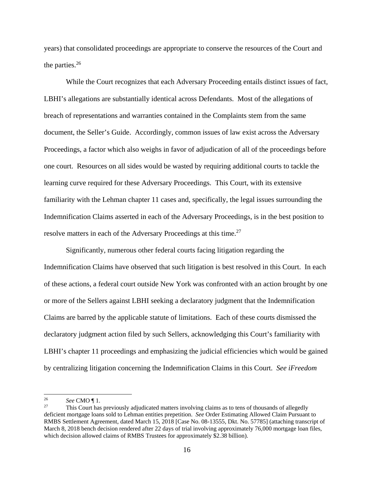years) that consolidated proceedings are appropriate to conserve the resources of the Court and the parties. $26$ 

While the Court recognizes that each Adversary Proceeding entails distinct issues of fact, LBHI's allegations are substantially identical across Defendants. Most of the allegations of breach of representations and warranties contained in the Complaints stem from the same document, the Seller's Guide. Accordingly, common issues of law exist across the Adversary Proceedings, a factor which also weighs in favor of adjudication of all of the proceedings before one court. Resources on all sides would be wasted by requiring additional courts to tackle the learning curve required for these Adversary Proceedings. This Court, with its extensive familiarity with the Lehman chapter 11 cases and, specifically, the legal issues surrounding the Indemnification Claims asserted in each of the Adversary Proceedings, is in the best position to resolve matters in each of the Adversary Proceedings at this time.<sup>27</sup>

Significantly, numerous other federal courts facing litigation regarding the Indemnification Claims have observed that such litigation is best resolved in this Court. In each of these actions, a federal court outside New York was confronted with an action brought by one or more of the Sellers against LBHI seeking a declaratory judgment that the Indemnification Claims are barred by the applicable statute of limitations. Each of these courts dismissed the declaratory judgment action filed by such Sellers, acknowledging this Court's familiarity with LBHI's chapter 11 proceedings and emphasizing the judicial efficiencies which would be gained by centralizing litigation concerning the Indemnification Claims in this Court. *See iFreedom* 

 $26\,$ 

<sup>&</sup>lt;sup>26</sup> See CMO ¶ 1.<br><sup>27</sup> This Court has previously adjudicated matters involving claims as to tens of thousands of allegedly deficient mortgage loans sold to Lehman entities prepetition. *See* Order Estimating Allowed Claim Pursuant to RMBS Settlement Agreement, dated March 15, 2018 [Case No. 08-13555, Dkt. No. 57785] (attaching transcript of March 8, 2018 bench decision rendered after 22 days of trial involving approximately 76,000 mortgage loan files, which decision allowed claims of RMBS Trustees for approximately \$2.38 billion).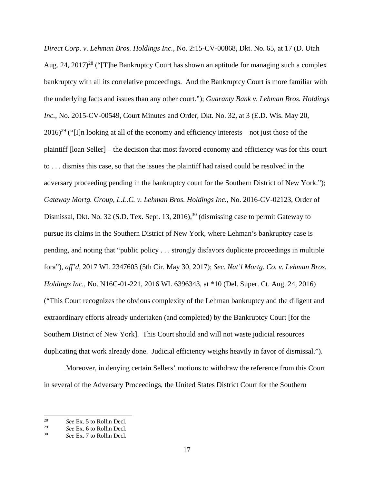*Direct Corp. v. Lehman Bros. Holdings Inc.*, No. 2:15-CV-00868, Dkt. No. 65, at 17 (D. Utah Aug. 24, 2017)<sup>28</sup> ("[T]he Bankruptcy Court has shown an aptitude for managing such a complex bankruptcy with all its correlative proceedings. And the Bankruptcy Court is more familiar with the underlying facts and issues than any other court."); *Guaranty Bank v. Lehman Bros. Holdings Inc.*, No. 2015-CV-00549, Court Minutes and Order, Dkt. No. 32, at 3 (E.D. Wis. May 20,  $2016$ <sup>29</sup> ("II)n looking at all of the economy and efficiency interests – not just those of the plaintiff [loan Seller] – the decision that most favored economy and efficiency was for this court to . . . dismiss this case, so that the issues the plaintiff had raised could be resolved in the adversary proceeding pending in the bankruptcy court for the Southern District of New York."); *Gateway Mortg. Group, L.L.C. v. Lehman Bros. Holdings Inc.*, No. 2016-CV-02123, Order of Dismissal, Dkt. No. 32 (S.D. Tex. Sept. 13, 2016),<sup>30</sup> (dismissing case to permit Gateway to pursue its claims in the Southern District of New York, where Lehman's bankruptcy case is pending, and noting that "public policy . . . strongly disfavors duplicate proceedings in multiple fora"), *aff'd*, 2017 WL 2347603 (5th Cir. May 30, 2017); *Sec. Nat'l Mortg. Co. v. Lehman Bros. Holdings Inc.*, No. N16C-01-221, 2016 WL 6396343, at \*10 (Del. Super. Ct. Aug. 24, 2016) ("This Court recognizes the obvious complexity of the Lehman bankruptcy and the diligent and extraordinary efforts already undertaken (and completed) by the Bankruptcy Court [for the Southern District of New York]. This Court should and will not waste judicial resources duplicating that work already done. Judicial efficiency weighs heavily in favor of dismissal.").

Moreover, in denying certain Sellers' motions to withdraw the reference from this Court in several of the Adversary Proceedings, the United States District Court for the Southern

<sup>28</sup> <sup>28</sup> *See* Ex. 5 to Rollin Decl.<br><sup>29</sup> *See Ex.* 6 to Pollin Decl.

<sup>29</sup>*See* Ex. 6 to Rollin Decl. 30 *See* Ex. 7 to Rollin Decl.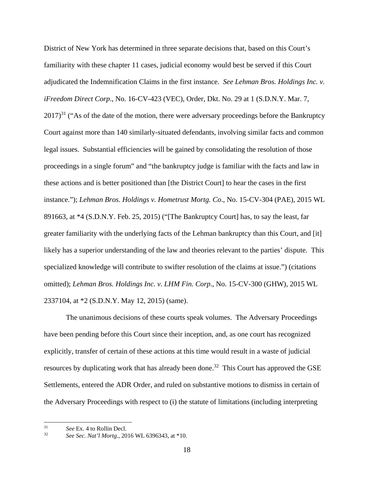District of New York has determined in three separate decisions that, based on this Court's familiarity with these chapter 11 cases, judicial economy would best be served if this Court adjudicated the Indemnification Claims in the first instance. *See Lehman Bros. Holdings Inc. v. iFreedom Direct Corp*., No. 16-CV-423 (VEC), Order, Dkt. No. 29 at 1 (S.D.N.Y. Mar. 7,  $2017$ <sup>31</sup> ("As of the date of the motion, there were adversary proceedings before the Bankruptcy Court against more than 140 similarly-situated defendants, involving similar facts and common legal issues. Substantial efficiencies will be gained by consolidating the resolution of those proceedings in a single forum" and "the bankruptcy judge is familiar with the facts and law in these actions and is better positioned than [the District Court] to hear the cases in the first instance."); *Lehman Bros. Holdings v. Hometrust Mortg. Co*., No. 15-CV-304 (PAE), 2015 WL 891663, at \*4 (S.D.N.Y. Feb. 25, 2015) ("[The Bankruptcy Court] has, to say the least, far greater familiarity with the underlying facts of the Lehman bankruptcy than this Court, and [it] likely has a superior understanding of the law and theories relevant to the parties' dispute. This specialized knowledge will contribute to swifter resolution of the claims at issue.") (citations omitted); *Lehman Bros. Holdings Inc. v. LHM Fin. Corp*., No. 15-CV-300 (GHW), 2015 WL 2337104, at \*2 (S.D.N.Y. May 12, 2015) (same).

The unanimous decisions of these courts speak volumes. The Adversary Proceedings have been pending before this Court since their inception, and, as one court has recognized explicitly, transfer of certain of these actions at this time would result in a waste of judicial resources by duplicating work that has already been done.<sup>32</sup> This Court has approved the GSE Settlements, entered the ADR Order, and ruled on substantive motions to dismiss in certain of the Adversary Proceedings with respect to (i) the statute of limitations (including interpreting

 $31$ 

<sup>31</sup>*See* Ex. 4 to Rollin Decl. 32 *See Sec. Nat'l Mortg.*, 2016 WL 6396343, at \*10.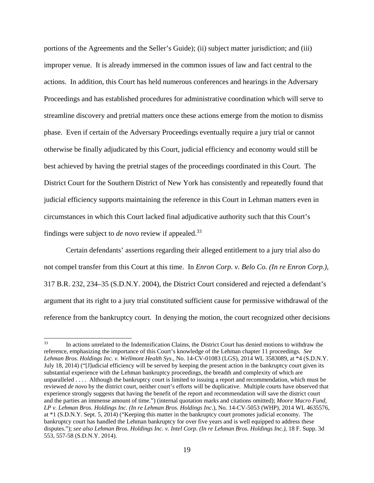portions of the Agreements and the Seller's Guide); (ii) subject matter jurisdiction; and (iii) improper venue. It is already immersed in the common issues of law and fact central to the actions. In addition, this Court has held numerous conferences and hearings in the Adversary Proceedings and has established procedures for administrative coordination which will serve to streamline discovery and pretrial matters once these actions emerge from the motion to dismiss phase. Even if certain of the Adversary Proceedings eventually require a jury trial or cannot otherwise be finally adjudicated by this Court, judicial efficiency and economy would still be best achieved by having the pretrial stages of the proceedings coordinated in this Court. The District Court for the Southern District of New York has consistently and repeatedly found that judicial efficiency supports maintaining the reference in this Court in Lehman matters even in circumstances in which this Court lacked final adjudicative authority such that this Court's findings were subject to *de novo* review if appealed.33

Certain defendants' assertions regarding their alleged entitlement to a jury trial also do not compel transfer from this Court at this time. In *Enron Corp. v. Belo Co. (In re Enron Corp.)*, 317 B.R. 232, 234–35 (S.D.N.Y. 2004), the District Court considered and rejected a defendant's argument that its right to a jury trial constituted sufficient cause for permissive withdrawal of the reference from the bankruptcy court. In denying the motion, the court recognized other decisions

 $\overline{a}$ 

<sup>&</sup>lt;sup>33</sup> In actions unrelated to the Indemnification Claims, the District Court has denied motions to withdraw the reference, emphasizing the importance of this Court's knowledge of the Lehman chapter 11 proceedings*. See Lehman Bros. Holdings Inc. v. Wellmont Health Sys.*, No. 14-CV-01083 (LGS), 2014 WL 3583089, at \*4 (S.D.N.Y. July 18, 2014) ("[J]udicial efficiency will be served by keeping the present action in the bankruptcy court given its substantial experience with the Lehman bankruptcy proceedings, the breadth and complexity of which are unparalleled . . . . Although the bankruptcy court is limited to issuing a report and recommendation, which must be reviewed *de novo* by the district court, neither court's efforts will be duplicative. Multiple courts have observed that experience strongly suggests that having the benefit of the report and recommendation will save the district court and the parties an immense amount of time.") (internal quotation marks and citations omitted); *Moore Macro Fund, LP v. Lehman Bros. Holdings Inc. (In re Lehman Bros. Holdings Inc*.), No. 14-CV-5053 (WHP), 2014 WL 4635576, at \*1 (S.D.N.Y. Sept. 5, 2014) ("Keeping this matter in the bankruptcy court promotes judicial economy. The bankruptcy court has handled the Lehman bankruptcy for over five years and is well equipped to address these disputes."); *see also Lehman Bros. Holdings Inc. v. Intel Corp. (In re Lehman Bros. Holdings Inc.)*, 18 F. Supp. 3d 553, 557-58 (S.D.N.Y. 2014).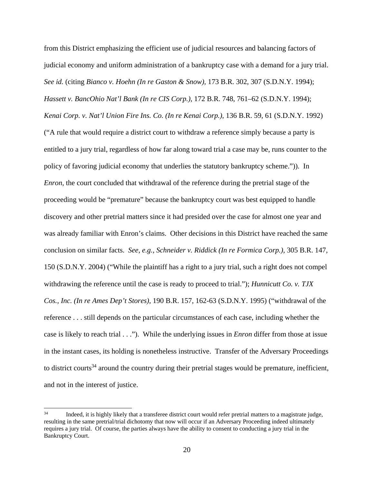from this District emphasizing the efficient use of judicial resources and balancing factors of judicial economy and uniform administration of a bankruptcy case with a demand for a jury trial. *See id.* (citing *Bianco v. Hoehn (In re Gaston & Snow),* 173 B.R. 302, 307 (S.D.N.Y. 1994); *Hassett v. BancOhio Nat'l Bank (In re CIS Corp.),* 172 B.R. 748, 761–62 (S.D.N.Y. 1994); *Kenai Corp. v. Nat'l Union Fire Ins. Co. (In re Kenai Corp.),* 136 B.R. 59, 61 (S.D.N.Y. 1992) ("A rule that would require a district court to withdraw a reference simply because a party is entitled to a jury trial, regardless of how far along toward trial a case may be, runs counter to the policy of favoring judicial economy that underlies the statutory bankruptcy scheme.")). In *Enron*, the court concluded that withdrawal of the reference during the pretrial stage of the proceeding would be "premature" because the bankruptcy court was best equipped to handle discovery and other pretrial matters since it had presided over the case for almost one year and was already familiar with Enron's claims. Other decisions in this District have reached the same conclusion on similar facts. *See*, *e.g.*, *Schneider v. Riddick (In re Formica Corp.)*, 305 B.R. 147, 150 (S.D.N.Y. 2004) ("While the plaintiff has a right to a jury trial, such a right does not compel withdrawing the reference until the case is ready to proceed to trial."); *Hunnicutt Co. v. TJX Cos., Inc. (In re Ames Dep't Stores)*, 190 B.R. 157, 162-63 (S.D.N.Y. 1995) ("withdrawal of the reference . . . still depends on the particular circumstances of each case, including whether the case is likely to reach trial . . ."). While the underlying issues in *Enron* differ from those at issue in the instant cases, its holding is nonetheless instructive. Transfer of the Adversary Proceedings to district courts<sup>34</sup> around the country during their pretrial stages would be premature, inefficient, and not in the interest of justice.

 $34$ Indeed, it is highly likely that a transferee district court would refer pretrial matters to a magistrate judge, resulting in the same pretrial/trial dichotomy that now will occur if an Adversary Proceeding indeed ultimately requires a jury trial. Of course, the parties always have the ability to consent to conducting a jury trial in the Bankruptcy Court.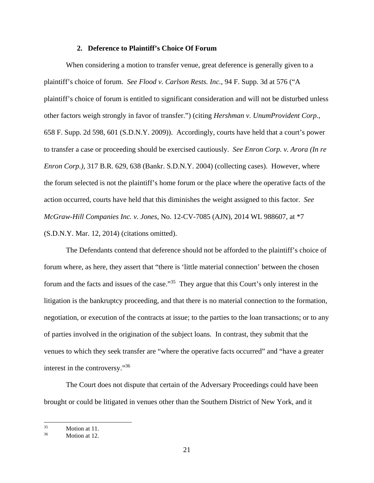### **2. Deference to Plaintiff's Choice Of Forum**

When considering a motion to transfer venue, great deference is generally given to a plaintiff's choice of forum. *See Flood v. Carlson Rests. Inc.*, 94 F. Supp. 3d at 576 ("A plaintiff's choice of forum is entitled to significant consideration and will not be disturbed unless other factors weigh strongly in favor of transfer.") (citing *Hershman v. UnumProvident Corp.*, 658 F. Supp. 2d 598, 601 (S.D.N.Y. 2009)). Accordingly, courts have held that a court's power to transfer a case or proceeding should be exercised cautiously. *See Enron Corp. v. Arora (In re Enron Corp.)*, 317 B.R. 629, 638 (Bankr. S.D.N.Y. 2004) (collecting cases). However, where the forum selected is not the plaintiff's home forum or the place where the operative facts of the action occurred, courts have held that this diminishes the weight assigned to this factor. *See McGraw-Hill Companies Inc. v. Jones*, No. 12-CV-7085 (AJN), 2014 WL 988607, at \*7 (S.D.N.Y. Mar. 12, 2014) (citations omitted).

The Defendants contend that deference should not be afforded to the plaintiff's choice of forum where, as here, they assert that "there is 'little material connection' between the chosen forum and the facts and issues of the case."<sup>35</sup> They argue that this Court's only interest in the litigation is the bankruptcy proceeding, and that there is no material connection to the formation, negotiation, or execution of the contracts at issue; to the parties to the loan transactions; or to any of parties involved in the origination of the subject loans. In contrast, they submit that the venues to which they seek transfer are "where the operative facts occurred" and "have a greater interest in the controversy."36

The Court does not dispute that certain of the Adversary Proceedings could have been brought or could be litigated in venues other than the Southern District of New York, and it

<sup>35</sup>  $\frac{35}{36}$  Motion at 11.

Motion at 12.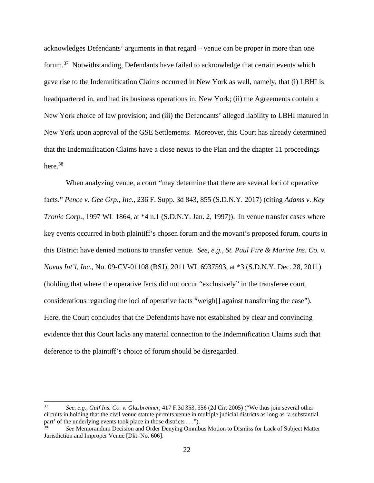acknowledges Defendants' arguments in that regard – venue can be proper in more than one forum.<sup>37</sup> Notwithstanding, Defendants have failed to acknowledge that certain events which gave rise to the Indemnification Claims occurred in New York as well, namely, that (i) LBHI is headquartered in, and had its business operations in, New York; (ii) the Agreements contain a New York choice of law provision; and (iii) the Defendants' alleged liability to LBHI matured in New York upon approval of the GSE Settlements. Moreover, this Court has already determined that the Indemnification Claims have a close nexus to the Plan and the chapter 11 proceedings here.<sup>38</sup>

When analyzing venue, a court "may determine that there are several loci of operative facts." *Pence v. Gee Grp., Inc.*, 236 F. Supp. 3d 843, 855 (S.D.N.Y. 2017) (citing *Adams v. Key Tronic Corp.*, 1997 WL 1864, at \*4 n.1 (S.D.N.Y. Jan. 2, 1997)). In venue transfer cases where key events occurred in both plaintiff's chosen forum and the movant's proposed forum, courts in this District have denied motions to transfer venue. *See, e.g.*, *St. Paul Fire & Marine Ins. Co. v. Novus Int'l, Inc.*, No. 09-CV-01108 (BSJ), 2011 WL 6937593, at \*3 (S.D.N.Y. Dec. 28, 2011) (holding that where the operative facts did not occur "exclusively" in the transferee court, considerations regarding the loci of operative facts "weigh[] against transferring the case"). Here, the Court concludes that the Defendants have not established by clear and convincing evidence that this Court lacks any material connection to the Indemnification Claims such that deference to the plaintiff's choice of forum should be disregarded.

<sup>37</sup> 37 *See*, *e.g.*, *Gulf Ins. Co. v. Glasbrenner*, 417 F.3d 353, 356 (2d Cir. 2005) ("We thus join several other circuits in holding that the civil venue statute permits venue in multiple judicial districts as long as 'a substantial part' of the underlying events took place in those districts . . .").<br><sup>38</sup> *See* Memorandum Decision and Order Denying Omnibus Motion to Dismiss for Lack of Subject Matter

Jurisdiction and Improper Venue [Dkt. No. 606].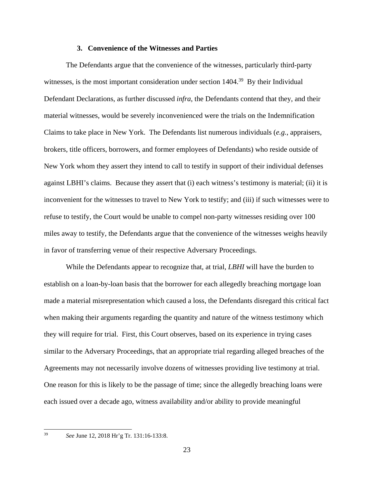#### **3. Convenience of the Witnesses and Parties**

The Defendants argue that the convenience of the witnesses, particularly third-party witnesses, is the most important consideration under section 1404.<sup>39</sup> By their Individual Defendant Declarations, as further discussed *infra*, the Defendants contend that they, and their material witnesses, would be severely inconvenienced were the trials on the Indemnification Claims to take place in New York. The Defendants list numerous individuals (*e.g.*, appraisers, brokers, title officers, borrowers, and former employees of Defendants) who reside outside of New York whom they assert they intend to call to testify in support of their individual defenses against LBHI's claims. Because they assert that (i) each witness's testimony is material; (ii) it is inconvenient for the witnesses to travel to New York to testify; and (iii) if such witnesses were to refuse to testify, the Court would be unable to compel non-party witnesses residing over 100 miles away to testify, the Defendants argue that the convenience of the witnesses weighs heavily in favor of transferring venue of their respective Adversary Proceedings.

While the Defendants appear to recognize that, at trial, *LBHI* will have the burden to establish on a loan-by-loan basis that the borrower for each allegedly breaching mortgage loan made a material misrepresentation which caused a loss, the Defendants disregard this critical fact when making their arguments regarding the quantity and nature of the witness testimony which they will require for trial. First, this Court observes, based on its experience in trying cases similar to the Adversary Proceedings, that an appropriate trial regarding alleged breaches of the Agreements may not necessarily involve dozens of witnesses providing live testimony at trial. One reason for this is likely to be the passage of time; since the allegedly breaching loans were each issued over a decade ago, witness availability and/or ability to provide meaningful

 $\overline{a}$ 

<sup>39</sup> *See* June 12, 2018 Hr'g Tr. 131:16-133:8.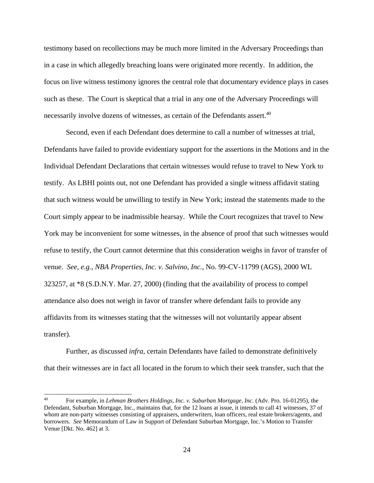testimony based on recollections may be much more limited in the Adversary Proceedings than in a case in which allegedly breaching loans were originated more recently. In addition, the focus on live witness testimony ignores the central role that documentary evidence plays in cases such as these. The Court is skeptical that a trial in any one of the Adversary Proceedings will necessarily involve dozens of witnesses, as certain of the Defendants assert.<sup>40</sup>

Second, even if each Defendant does determine to call a number of witnesses at trial, Defendants have failed to provide evidentiary support for the assertions in the Motions and in the Individual Defendant Declarations that certain witnesses would refuse to travel to New York to testify. As LBHI points out, not one Defendant has provided a single witness affidavit stating that such witness would be unwilling to testify in New York; instead the statements made to the Court simply appear to be inadmissible hearsay. While the Court recognizes that travel to New York may be inconvenient for some witnesses, in the absence of proof that such witnesses would refuse to testify, the Court cannot determine that this consideration weighs in favor of transfer of venue. *See*, *e.g.*, *NBA Properties, Inc. v. Salvino, Inc.*, No. 99-CV-11799 (AGS), 2000 WL 323257, at \*8 (S.D.N.Y. Mar. 27, 2000) (finding that the availability of process to compel attendance also does not weigh in favor of transfer where defendant fails to provide any affidavits from its witnesses stating that the witnesses will not voluntarily appear absent transfer).

Further, as discussed *infra*, certain Defendants have failed to demonstrate definitively that their witnesses are in fact all located in the forum to which their seek transfer, such that the

<sup>40</sup> 40 For example, in *Lehman Brothers Holdings, Inc. v. Suburban Mortgage, Inc.* (Adv. Pro. 16-01295), the Defendant, Suburban Mortgage, Inc., maintains that, for the 12 loans at issue, it intends to call 41 witnesses, 37 of whom are non-party witnesses consisting of appraisers, underwriters, loan officers, real estate brokers/agents, and borrowers. *See* Memorandum of Law in Support of Defendant Suburban Mortgage, Inc.'s Motion to Transfer Venue [Dkt. No. 462] at 3.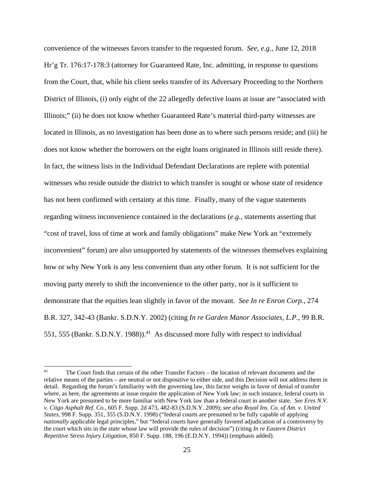convenience of the witnesses favors transfer to the requested forum. *See, e.g.*, June 12, 2018 Hr'g Tr. 176:17-178:3 (attorney for Guaranteed Rate, Inc. admitting, in response to questions from the Court, that, while his client seeks transfer of its Adversary Proceeding to the Northern District of Illinois, (i) only eight of the 22 allegedly defective loans at issue are "associated with Illinois;" (ii) he does not know whether Guaranteed Rate's material third-party witnesses are located in Illinois, as no investigation has been done as to where such persons reside; and (iii) he does not know whether the borrowers on the eight loans originated in Illinois still reside there). In fact, the witness lists in the Individual Defendant Declarations are replete with potential witnesses who reside outside the district to which transfer is sought or whose state of residence has not been confirmed with certainty at this time. Finally, many of the vague statements regarding witness inconvenience contained in the declarations (*e.g.*, statements asserting that "cost of travel, loss of time at work and family obligations" make New York an "extremely inconvenient" forum) are also unsupported by statements of the witnesses themselves explaining how or why New York is any less convenient than any other forum. It is not sufficient for the moving party merely to shift the inconvenience to the other party, nor is it sufficient to demonstrate that the equities lean slightly in favor of the movant. *See In re Enron Corp.*, 274 B.R. 327, 342-43 (Bankr. S.D.N.Y. 2002) (citing *In re Garden Manor Associates, L.P.*, 99 B.R. 551, 555 (Bankr, S.D.N.Y. 1988)).<sup>41</sup> As discussed more fully with respect to individual

 $\overline{a}$ 

<sup>&</sup>lt;sup>41</sup> The Court finds that certain of the other Transfer Factors – the location of relevant documents and the relative means of the parties – are neutral or not dispositive to either side, and this Decision will not address them in detail. Regarding the forum's familiarity with the governing law, this factor weighs in favor of denial of transfer where, as here, the agreements at issue require the application of New York law; in such instance, federal courts in New York are presumed to be more familiar with New York law than a federal court in another state. *See Eres N.V. v. Citgo Asphalt Ref. Co.*, 605 F. Supp. 2d 473, 482-83 (S.D.N.Y. 2009); *see also Royal Ins. Co. of Am. v. United States*, 998 F. Supp. 351, 355 (S.D.N.Y. 1998) ("federal courts are presumed to be fully capable of applying *nationally* applicable legal principles," but "federal courts have generally favored adjudication of a controversy by the court which sits in the *state* whose law will provide the rules of decision") (citing *In re Eastern District Repetitive Stress Injury Litigation*, 850 F. Supp. 188, 196 (E.D.N.Y. 1994)) (emphasis added).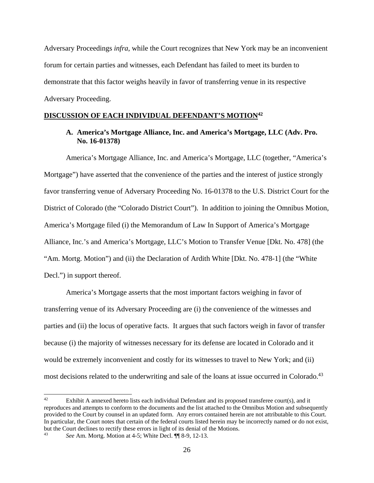Adversary Proceedings *infra*, while the Court recognizes that New York may be an inconvenient forum for certain parties and witnesses, each Defendant has failed to meet its burden to demonstrate that this factor weighs heavily in favor of transferring venue in its respective Adversary Proceeding.

# **DISCUSSION OF EACH INDIVIDUAL DEFENDANT'S MOTION42**

### **A. America's Mortgage Alliance, Inc. and America's Mortgage, LLC (Adv. Pro. No. 16-01378)**

America's Mortgage Alliance, Inc. and America's Mortgage, LLC (together, "America's Mortgage") have asserted that the convenience of the parties and the interest of justice strongly favor transferring venue of Adversary Proceeding No. 16-01378 to the U.S. District Court for the District of Colorado (the "Colorado District Court"). In addition to joining the Omnibus Motion, America's Mortgage filed (i) the Memorandum of Law In Support of America's Mortgage Alliance, Inc.'s and America's Mortgage, LLC's Motion to Transfer Venue [Dkt. No. 478] (the "Am. Mortg. Motion") and (ii) the Declaration of Ardith White [Dkt. No. 478-1] (the "White Decl.") in support thereof.

America's Mortgage asserts that the most important factors weighing in favor of transferring venue of its Adversary Proceeding are (i) the convenience of the witnesses and parties and (ii) the locus of operative facts. It argues that such factors weigh in favor of transfer because (i) the majority of witnesses necessary for its defense are located in Colorado and it would be extremely inconvenient and costly for its witnesses to travel to New York; and (ii) most decisions related to the underwriting and sale of the loans at issue occurred in Colorado.<sup>43</sup>

<sup>42</sup> Exhibit A annexed hereto lists each individual Defendant and its proposed transferee court(s), and it reproduces and attempts to conform to the documents and the list attached to the Omnibus Motion and subsequently provided to the Court by counsel in an updated form. Any errors contained herein are not attributable to this Court. In particular, the Court notes that certain of the federal courts listed herein may be incorrectly named or do not exist, but the Court declines to rectify these errors in light of its denial of the Motions. 43 *See* Am. Mortg. Motion at 4-5; White Decl. ¶¶ 8-9, 12-13.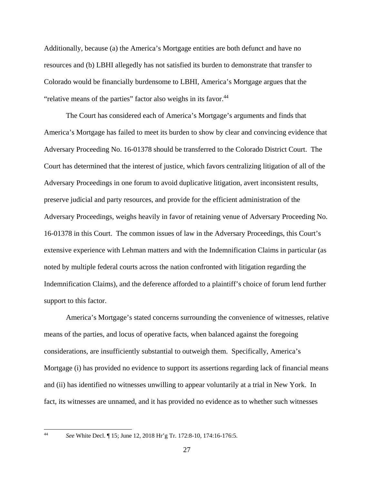Additionally, because (a) the America's Mortgage entities are both defunct and have no resources and (b) LBHI allegedly has not satisfied its burden to demonstrate that transfer to Colorado would be financially burdensome to LBHI, America's Mortgage argues that the "relative means of the parties" factor also weighs in its favor.<sup>44</sup>

The Court has considered each of America's Mortgage's arguments and finds that America's Mortgage has failed to meet its burden to show by clear and convincing evidence that Adversary Proceeding No. 16-01378 should be transferred to the Colorado District Court. The Court has determined that the interest of justice, which favors centralizing litigation of all of the Adversary Proceedings in one forum to avoid duplicative litigation, avert inconsistent results, preserve judicial and party resources, and provide for the efficient administration of the Adversary Proceedings, weighs heavily in favor of retaining venue of Adversary Proceeding No. 16-01378 in this Court. The common issues of law in the Adversary Proceedings, this Court's extensive experience with Lehman matters and with the Indemnification Claims in particular (as noted by multiple federal courts across the nation confronted with litigation regarding the Indemnification Claims), and the deference afforded to a plaintiff's choice of forum lend further support to this factor.

America's Mortgage's stated concerns surrounding the convenience of witnesses, relative means of the parties, and locus of operative facts, when balanced against the foregoing considerations, are insufficiently substantial to outweigh them. Specifically, America's Mortgage (i) has provided no evidence to support its assertions regarding lack of financial means and (ii) has identified no witnesses unwilling to appear voluntarily at a trial in New York. In fact, its witnesses are unnamed, and it has provided no evidence as to whether such witnesses

 $44$ 

<sup>44</sup> *See* White Decl. ¶ 15; June 12, 2018 Hr'g Tr. 172:8-10, 174:16-176:5.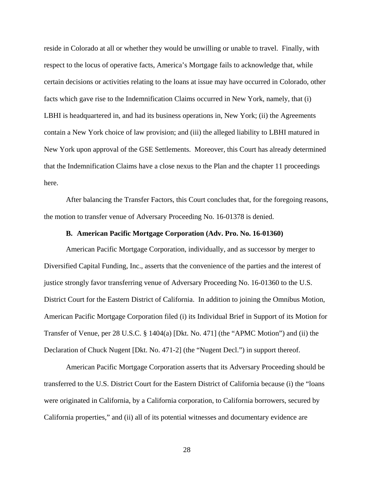reside in Colorado at all or whether they would be unwilling or unable to travel. Finally, with respect to the locus of operative facts, America's Mortgage fails to acknowledge that, while certain decisions or activities relating to the loans at issue may have occurred in Colorado, other facts which gave rise to the Indemnification Claims occurred in New York, namely, that (i) LBHI is headquartered in, and had its business operations in, New York; (ii) the Agreements contain a New York choice of law provision; and (iii) the alleged liability to LBHI matured in New York upon approval of the GSE Settlements. Moreover, this Court has already determined that the Indemnification Claims have a close nexus to the Plan and the chapter 11 proceedings here.

After balancing the Transfer Factors, this Court concludes that, for the foregoing reasons, the motion to transfer venue of Adversary Proceeding No. 16-01378 is denied.

### **B. American Pacific Mortgage Corporation (Adv. Pro. No. 16-01360)**

American Pacific Mortgage Corporation, individually, and as successor by merger to Diversified Capital Funding, Inc., asserts that the convenience of the parties and the interest of justice strongly favor transferring venue of Adversary Proceeding No. 16-01360 to the U.S. District Court for the Eastern District of California. In addition to joining the Omnibus Motion, American Pacific Mortgage Corporation filed (i) its Individual Brief in Support of its Motion for Transfer of Venue, per 28 U.S.C. § 1404(a) [Dkt. No. 471] (the "APMC Motion") and (ii) the Declaration of Chuck Nugent [Dkt. No. 471-2] (the "Nugent Decl.") in support thereof.

American Pacific Mortgage Corporation asserts that its Adversary Proceeding should be transferred to the U.S. District Court for the Eastern District of California because (i) the "loans were originated in California, by a California corporation, to California borrowers, secured by California properties," and (ii) all of its potential witnesses and documentary evidence are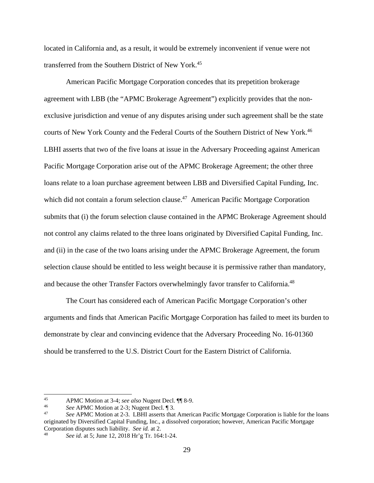located in California and, as a result, it would be extremely inconvenient if venue were not transferred from the Southern District of New York.45

American Pacific Mortgage Corporation concedes that its prepetition brokerage agreement with LBB (the "APMC Brokerage Agreement") explicitly provides that the nonexclusive jurisdiction and venue of any disputes arising under such agreement shall be the state courts of New York County and the Federal Courts of the Southern District of New York.<sup>46</sup> LBHI asserts that two of the five loans at issue in the Adversary Proceeding against American Pacific Mortgage Corporation arise out of the APMC Brokerage Agreement; the other three loans relate to a loan purchase agreement between LBB and Diversified Capital Funding, Inc. which did not contain a forum selection clause.<sup>47</sup> American Pacific Mortgage Corporation submits that (i) the forum selection clause contained in the APMC Brokerage Agreement should not control any claims related to the three loans originated by Diversified Capital Funding, Inc. and (ii) in the case of the two loans arising under the APMC Brokerage Agreement, the forum selection clause should be entitled to less weight because it is permissive rather than mandatory, and because the other Transfer Factors overwhelmingly favor transfer to California.48

The Court has considered each of American Pacific Mortgage Corporation's other arguments and finds that American Pacific Mortgage Corporation has failed to meet its burden to demonstrate by clear and convincing evidence that the Adversary Proceeding No. 16-01360 should be transferred to the U.S. District Court for the Eastern District of California.

 $45\,$ 

APMC Motion at 3-4; see also Nugent Decl. ¶ 8-9.<br>
See APMC Motion at 2-3; Nugent Decl. ¶ 3.<br>
See APMC Motion at 2-3. LBHI asserts that American Pacific Mortgage Corporation is liable for the loans originated by Diversified Capital Funding, Inc., a dissolved corporation; however, American Pacific Mortgage Corporation disputes such liability. *See id.* at 2.<br><sup>48</sup> *See id.* at 5; June 12, 2018 Hr'g Tr. 164:1-24.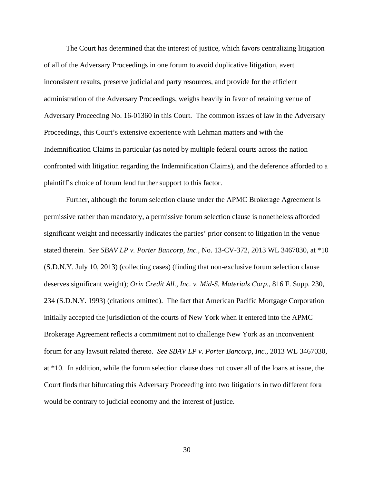The Court has determined that the interest of justice, which favors centralizing litigation of all of the Adversary Proceedings in one forum to avoid duplicative litigation, avert inconsistent results, preserve judicial and party resources, and provide for the efficient administration of the Adversary Proceedings, weighs heavily in favor of retaining venue of Adversary Proceeding No. 16-01360 in this Court. The common issues of law in the Adversary Proceedings, this Court's extensive experience with Lehman matters and with the Indemnification Claims in particular (as noted by multiple federal courts across the nation confronted with litigation regarding the Indemnification Claims), and the deference afforded to a plaintiff's choice of forum lend further support to this factor.

Further, although the forum selection clause under the APMC Brokerage Agreement is permissive rather than mandatory, a permissive forum selection clause is nonetheless afforded significant weight and necessarily indicates the parties' prior consent to litigation in the venue stated therein. *See SBAV LP v. Porter Bancorp, Inc.*, No. 13-CV-372, 2013 WL 3467030, at \*10 (S.D.N.Y. July 10, 2013) (collecting cases) (finding that non-exclusive forum selection clause deserves significant weight); *Orix Credit All., Inc. v. Mid-S. Materials Corp*., 816 F. Supp. 230, 234 (S.D.N.Y. 1993) (citations omitted). The fact that American Pacific Mortgage Corporation initially accepted the jurisdiction of the courts of New York when it entered into the APMC Brokerage Agreement reflects a commitment not to challenge New York as an inconvenient forum for any lawsuit related thereto. *See SBAV LP v. Porter Bancorp, Inc.*, 2013 WL 3467030, at \*10. In addition, while the forum selection clause does not cover all of the loans at issue, the Court finds that bifurcating this Adversary Proceeding into two litigations in two different fora would be contrary to judicial economy and the interest of justice.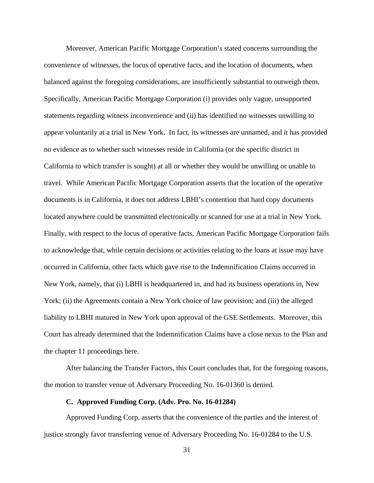Moreover, American Pacific Mortgage Corporation's stated concerns surrounding the convenience of witnesses, the locus of operative facts, and the location of documents, when balanced against the foregoing considerations, are insufficiently substantial to outweigh them. Specifically, American Pacific Mortgage Corporation (i) provides only vague, unsupported statements regarding witness inconvenience and (ii) has identified no witnesses unwilling to appear voluntarily at a trial in New York. In fact, its witnesses are unnamed, and it has provided no evidence as to whether such witnesses reside in California (or the specific district in California to which transfer is sought) at all or whether they would be unwilling or unable to travel. While American Pacific Mortgage Corporation asserts that the location of the operative documents is in California, it does not address LBHI's contention that hard copy documents located anywhere could be transmitted electronically or scanned for use at a trial in New York. Finally, with respect to the locus of operative facts, American Pacific Mortgage Corporation fails to acknowledge that, while certain decisions or activities relating to the loans at issue may have occurred in California, other facts which gave rise to the Indemnification Claims occurred in New York, namely, that (i) LBHI is headquartered in, and had its business operations in, New York; (ii) the Agreements contain a New York choice of law provision; and (iii) the alleged liability to LBHI matured in New York upon approval of the GSE Settlements. Moreover, this Court has already determined that the Indemnification Claims have a close nexus to the Plan and the chapter 11 proceedings here.

After balancing the Transfer Factors, this Court concludes that, for the foregoing reasons, the motion to transfer venue of Adversary Proceeding No. 16-01360 is denied.

### **C. Approved Funding Corp. (Adv. Pro. No. 16-01284)**

Approved Funding Corp. asserts that the convenience of the parties and the interest of justice strongly favor transferring venue of Adversary Proceeding No. 16-01284 to the U.S.

31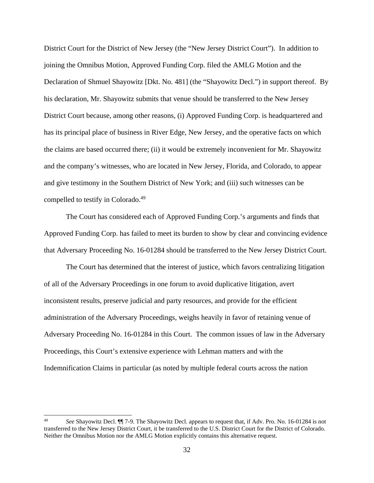District Court for the District of New Jersey (the "New Jersey District Court"). In addition to joining the Omnibus Motion, Approved Funding Corp. filed the AMLG Motion and the Declaration of Shmuel Shayowitz [Dkt. No. 481] (the "Shayowitz Decl.") in support thereof. By his declaration, Mr. Shayowitz submits that venue should be transferred to the New Jersey District Court because, among other reasons, (i) Approved Funding Corp. is headquartered and has its principal place of business in River Edge, New Jersey, and the operative facts on which the claims are based occurred there; (ii) it would be extremely inconvenient for Mr. Shayowitz and the company's witnesses, who are located in New Jersey, Florida, and Colorado, to appear and give testimony in the Southern District of New York; and (iii) such witnesses can be compelled to testify in Colorado.<sup>49</sup>

The Court has considered each of Approved Funding Corp.'s arguments and finds that Approved Funding Corp. has failed to meet its burden to show by clear and convincing evidence that Adversary Proceeding No. 16-01284 should be transferred to the New Jersey District Court.

The Court has determined that the interest of justice, which favors centralizing litigation of all of the Adversary Proceedings in one forum to avoid duplicative litigation, avert inconsistent results, preserve judicial and party resources, and provide for the efficient administration of the Adversary Proceedings, weighs heavily in favor of retaining venue of Adversary Proceeding No. 16-01284 in this Court. The common issues of law in the Adversary Proceedings, this Court's extensive experience with Lehman matters and with the Indemnification Claims in particular (as noted by multiple federal courts across the nation

 $\overline{a}$ 

<sup>49</sup> *See* Shayowitz Decl. ¶¶ 7-9. The Shayowitz Decl. appears to request that, if Adv. Pro. No. 16-01284 is not transferred to the New Jersey District Court, it be transferred to the U.S. District Court for the District of Colorado. Neither the Omnibus Motion nor the AMLG Motion explicitly contains this alternative request.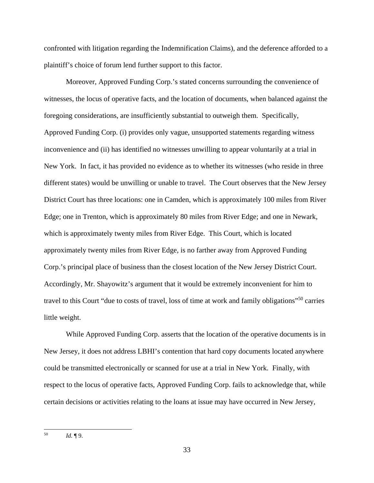confronted with litigation regarding the Indemnification Claims), and the deference afforded to a plaintiff's choice of forum lend further support to this factor.

Moreover, Approved Funding Corp.'s stated concerns surrounding the convenience of witnesses, the locus of operative facts, and the location of documents, when balanced against the foregoing considerations, are insufficiently substantial to outweigh them. Specifically, Approved Funding Corp. (i) provides only vague, unsupported statements regarding witness inconvenience and (ii) has identified no witnesses unwilling to appear voluntarily at a trial in New York. In fact, it has provided no evidence as to whether its witnesses (who reside in three different states) would be unwilling or unable to travel. The Court observes that the New Jersey District Court has three locations: one in Camden, which is approximately 100 miles from River Edge; one in Trenton, which is approximately 80 miles from River Edge; and one in Newark, which is approximately twenty miles from River Edge. This Court, which is located approximately twenty miles from River Edge, is no farther away from Approved Funding Corp.'s principal place of business than the closest location of the New Jersey District Court. Accordingly, Mr. Shayowitz's argument that it would be extremely inconvenient for him to travel to this Court "due to costs of travel, loss of time at work and family obligations"50 carries little weight.

While Approved Funding Corp. asserts that the location of the operative documents is in New Jersey, it does not address LBHI's contention that hard copy documents located anywhere could be transmitted electronically or scanned for use at a trial in New York. Finally, with respect to the locus of operative facts, Approved Funding Corp. fails to acknowledge that, while certain decisions or activities relating to the loans at issue may have occurred in New Jersey,

<sup>50</sup> 50 *Id.* ¶ 9.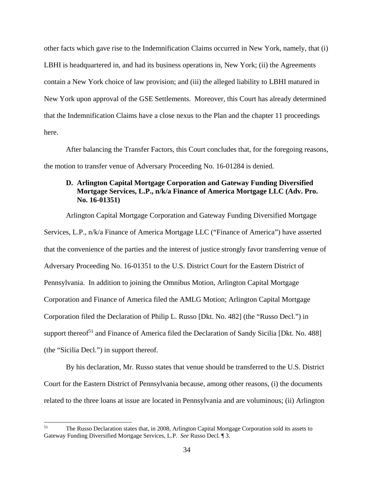other facts which gave rise to the Indemnification Claims occurred in New York, namely, that (i) LBHI is headquartered in, and had its business operations in, New York; (ii) the Agreements contain a New York choice of law provision; and (iii) the alleged liability to LBHI matured in New York upon approval of the GSE Settlements. Moreover, this Court has already determined that the Indemnification Claims have a close nexus to the Plan and the chapter 11 proceedings here.

After balancing the Transfer Factors, this Court concludes that, for the foregoing reasons, the motion to transfer venue of Adversary Proceeding No. 16-01284 is denied.

## **D. Arlington Capital Mortgage Corporation and Gateway Funding Diversified Mortgage Services, L.P., n/k/a Finance of America Mortgage LLC (Adv. Pro. No. 16-01351)**

Arlington Capital Mortgage Corporation and Gateway Funding Diversified Mortgage Services, L.P., n/k/a Finance of America Mortgage LLC ("Finance of America") have asserted that the convenience of the parties and the interest of justice strongly favor transferring venue of Adversary Proceeding No. 16-01351 to the U.S. District Court for the Eastern District of Pennsylvania. In addition to joining the Omnibus Motion, Arlington Capital Mortgage Corporation and Finance of America filed the AMLG Motion; Arlington Capital Mortgage Corporation filed the Declaration of Philip L. Russo [Dkt. No. 482] (the "Russo Decl.") in support thereof<sup>51</sup> and Finance of America filed the Declaration of Sandy Sicilia [Dkt. No. 488] (the "Sicilia Decl.") in support thereof.

By his declaration, Mr. Russo states that venue should be transferred to the U.S. District Court for the Eastern District of Pennsylvania because, among other reasons, (i) the documents related to the three loans at issue are located in Pennsylvania and are voluminous; (ii) Arlington

<sup>51</sup> 51 The Russo Declaration states that, in 2008, Arlington Capital Mortgage Corporation sold its assets to Gateway Funding Diversified Mortgage Services, L.P. *See* Russo Decl. ¶ 3.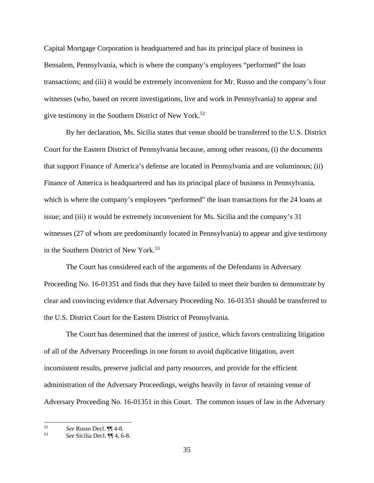Capital Mortgage Corporation is headquartered and has its principal place of business in Bensalem, Pennsylvania, which is where the company's employees "performed" the loan transactions; and (iii) it would be extremely inconvenient for Mr. Russo and the company's four witnesses (who, based on recent investigations, live and work in Pennsylvania) to appear and give testimony in the Southern District of New York.<sup>52</sup>

By her declaration, Ms. Sicilia states that venue should be transferred to the U.S. District Court for the Eastern District of Pennsylvania because, among other reasons, (i) the documents that support Finance of America's defense are located in Pennsylvania and are voluminous; (ii) Finance of America is headquartered and has its principal place of business in Pennsylvania, which is where the company's employees "performed" the loan transactions for the 24 loans at issue; and (iii) it would be extremely inconvenient for Ms. Sicilia and the company's 31 witnesses (27 of whom are predominantly located in Pennsylvania) to appear and give testimony in the Southern District of New York.<sup>53</sup>

The Court has considered each of the arguments of the Defendants in Adversary Proceeding No. 16-01351 and finds that they have failed to meet their burden to demonstrate by clear and convincing evidence that Adversary Proceeding No. 16-01351 should be transferred to the U.S. District Court for the Eastern District of Pennsylvania.

The Court has determined that the interest of justice, which favors centralizing litigation of all of the Adversary Proceedings in one forum to avoid duplicative litigation, avert inconsistent results, preserve judicial and party resources, and provide for the efficient administration of the Adversary Proceedings, weighs heavily in favor of retaining venue of Adversary Proceeding No. 16-01351 in this Court. The common issues of law in the Adversary

<sup>52</sup> <sup>52</sup>*See* Russo Decl. ¶¶ 4-8. 53 *See* Sicilia Decl. ¶¶ 4, 6-8.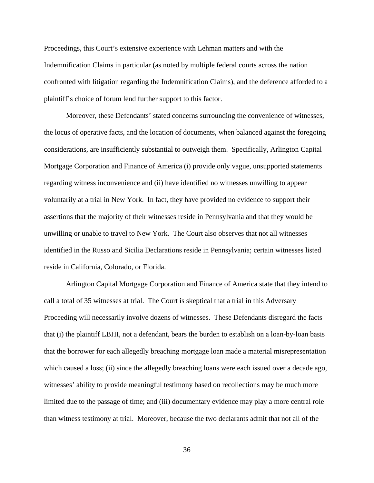Proceedings, this Court's extensive experience with Lehman matters and with the Indemnification Claims in particular (as noted by multiple federal courts across the nation confronted with litigation regarding the Indemnification Claims), and the deference afforded to a plaintiff's choice of forum lend further support to this factor.

Moreover, these Defendants' stated concerns surrounding the convenience of witnesses, the locus of operative facts, and the location of documents, when balanced against the foregoing considerations, are insufficiently substantial to outweigh them. Specifically, Arlington Capital Mortgage Corporation and Finance of America (i) provide only vague, unsupported statements regarding witness inconvenience and (ii) have identified no witnesses unwilling to appear voluntarily at a trial in New York. In fact, they have provided no evidence to support their assertions that the majority of their witnesses reside in Pennsylvania and that they would be unwilling or unable to travel to New York. The Court also observes that not all witnesses identified in the Russo and Sicilia Declarations reside in Pennsylvania; certain witnesses listed reside in California, Colorado, or Florida.

Arlington Capital Mortgage Corporation and Finance of America state that they intend to call a total of 35 witnesses at trial. The Court is skeptical that a trial in this Adversary Proceeding will necessarily involve dozens of witnesses. These Defendants disregard the facts that (i) the plaintiff LBHI, not a defendant, bears the burden to establish on a loan-by-loan basis that the borrower for each allegedly breaching mortgage loan made a material misrepresentation which caused a loss; (ii) since the allegedly breaching loans were each issued over a decade ago, witnesses' ability to provide meaningful testimony based on recollections may be much more limited due to the passage of time; and (iii) documentary evidence may play a more central role than witness testimony at trial. Moreover, because the two declarants admit that not all of the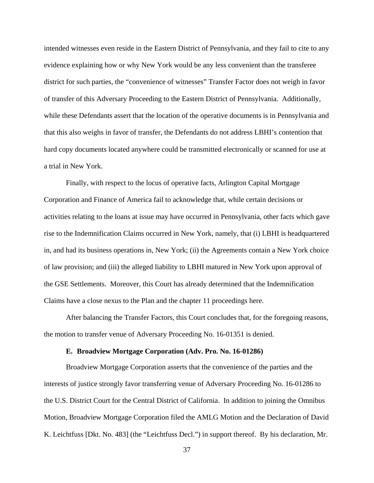intended witnesses even reside in the Eastern District of Pennsylvania, and they fail to cite to any evidence explaining how or why New York would be any less convenient than the transferee district for such parties, the "convenience of witnesses" Transfer Factor does not weigh in favor of transfer of this Adversary Proceeding to the Eastern District of Pennsylvania. Additionally, while these Defendants assert that the location of the operative documents is in Pennsylvania and that this also weighs in favor of transfer, the Defendants do not address LBHI's contention that hard copy documents located anywhere could be transmitted electronically or scanned for use at a trial in New York.

Finally, with respect to the locus of operative facts, Arlington Capital Mortgage Corporation and Finance of America fail to acknowledge that, while certain decisions or activities relating to the loans at issue may have occurred in Pennsylvania, other facts which gave rise to the Indemnification Claims occurred in New York, namely, that (i) LBHI is headquartered in, and had its business operations in, New York; (ii) the Agreements contain a New York choice of law provision; and (iii) the alleged liability to LBHI matured in New York upon approval of the GSE Settlements. Moreover, this Court has already determined that the Indemnification Claims have a close nexus to the Plan and the chapter 11 proceedings here.

After balancing the Transfer Factors, this Court concludes that, for the foregoing reasons, the motion to transfer venue of Adversary Proceeding No. 16-01351 is denied.

# **E. Broadview Mortgage Corporation (Adv. Pro. No. 16-01286)**

Broadview Mortgage Corporation asserts that the convenience of the parties and the interests of justice strongly favor transferring venue of Adversary Proceeding No. 16-01286 to the U.S. District Court for the Central District of California. In addition to joining the Omnibus Motion, Broadview Mortgage Corporation filed the AMLG Motion and the Declaration of David K. Leichtfuss [Dkt. No. 483] (the "Leichtfuss Decl.") in support thereof. By his declaration, Mr.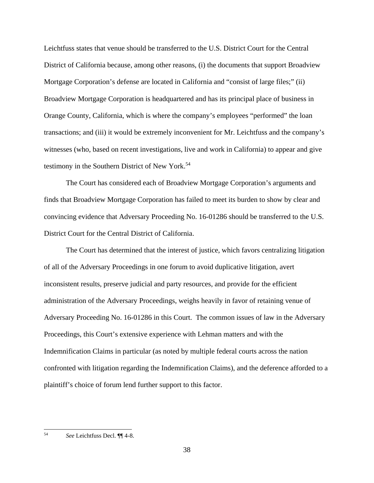Leichtfuss states that venue should be transferred to the U.S. District Court for the Central District of California because, among other reasons, (i) the documents that support Broadview Mortgage Corporation's defense are located in California and "consist of large files;" (ii) Broadview Mortgage Corporation is headquartered and has its principal place of business in Orange County, California, which is where the company's employees "performed" the loan transactions; and (iii) it would be extremely inconvenient for Mr. Leichtfuss and the company's witnesses (who, based on recent investigations, live and work in California) to appear and give testimony in the Southern District of New York.<sup>54</sup>

The Court has considered each of Broadview Mortgage Corporation's arguments and finds that Broadview Mortgage Corporation has failed to meet its burden to show by clear and convincing evidence that Adversary Proceeding No. 16-01286 should be transferred to the U.S. District Court for the Central District of California.

The Court has determined that the interest of justice, which favors centralizing litigation of all of the Adversary Proceedings in one forum to avoid duplicative litigation, avert inconsistent results, preserve judicial and party resources, and provide for the efficient administration of the Adversary Proceedings, weighs heavily in favor of retaining venue of Adversary Proceeding No. 16-01286 in this Court. The common issues of law in the Adversary Proceedings, this Court's extensive experience with Lehman matters and with the Indemnification Claims in particular (as noted by multiple federal courts across the nation confronted with litigation regarding the Indemnification Claims), and the deference afforded to a plaintiff's choice of forum lend further support to this factor.

<sup>54</sup> 54 *See* Leichtfuss Decl. ¶¶ 4-8.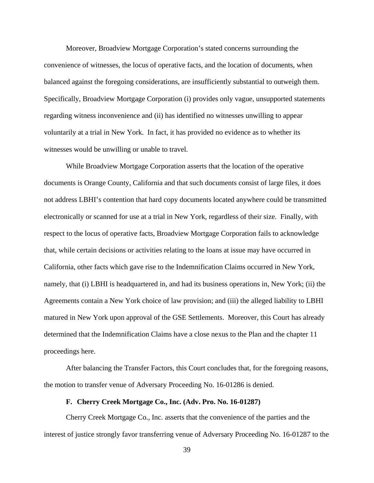Moreover, Broadview Mortgage Corporation's stated concerns surrounding the convenience of witnesses, the locus of operative facts, and the location of documents, when balanced against the foregoing considerations, are insufficiently substantial to outweigh them. Specifically, Broadview Mortgage Corporation (i) provides only vague, unsupported statements regarding witness inconvenience and (ii) has identified no witnesses unwilling to appear voluntarily at a trial in New York. In fact, it has provided no evidence as to whether its witnesses would be unwilling or unable to travel.

While Broadview Mortgage Corporation asserts that the location of the operative documents is Orange County, California and that such documents consist of large files, it does not address LBHI's contention that hard copy documents located anywhere could be transmitted electronically or scanned for use at a trial in New York, regardless of their size. Finally, with respect to the locus of operative facts, Broadview Mortgage Corporation fails to acknowledge that, while certain decisions or activities relating to the loans at issue may have occurred in California, other facts which gave rise to the Indemnification Claims occurred in New York, namely, that (i) LBHI is headquartered in, and had its business operations in, New York; (ii) the Agreements contain a New York choice of law provision; and (iii) the alleged liability to LBHI matured in New York upon approval of the GSE Settlements. Moreover, this Court has already determined that the Indemnification Claims have a close nexus to the Plan and the chapter 11 proceedings here.

After balancing the Transfer Factors, this Court concludes that, for the foregoing reasons, the motion to transfer venue of Adversary Proceeding No. 16-01286 is denied.

# **F. Cherry Creek Mortgage Co., Inc. (Adv. Pro. No. 16-01287)**

Cherry Creek Mortgage Co., Inc. asserts that the convenience of the parties and the interest of justice strongly favor transferring venue of Adversary Proceeding No. 16-01287 to the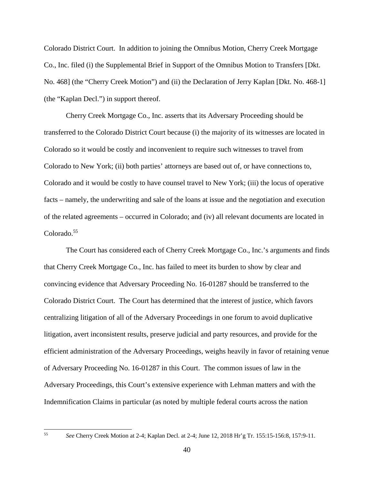Colorado District Court. In addition to joining the Omnibus Motion, Cherry Creek Mortgage Co., Inc. filed (i) the Supplemental Brief in Support of the Omnibus Motion to Transfers [Dkt. No. 468] (the "Cherry Creek Motion") and (ii) the Declaration of Jerry Kaplan [Dkt. No. 468-1] (the "Kaplan Decl.") in support thereof.

Cherry Creek Mortgage Co., Inc. asserts that its Adversary Proceeding should be transferred to the Colorado District Court because (i) the majority of its witnesses are located in Colorado so it would be costly and inconvenient to require such witnesses to travel from Colorado to New York; (ii) both parties' attorneys are based out of, or have connections to, Colorado and it would be costly to have counsel travel to New York; (iii) the locus of operative facts – namely, the underwriting and sale of the loans at issue and the negotiation and execution of the related agreements – occurred in Colorado; and (iv) all relevant documents are located in Colorado.<sup>55</sup>

The Court has considered each of Cherry Creek Mortgage Co., Inc.'s arguments and finds that Cherry Creek Mortgage Co., Inc. has failed to meet its burden to show by clear and convincing evidence that Adversary Proceeding No. 16-01287 should be transferred to the Colorado District Court. The Court has determined that the interest of justice, which favors centralizing litigation of all of the Adversary Proceedings in one forum to avoid duplicative litigation, avert inconsistent results, preserve judicial and party resources, and provide for the efficient administration of the Adversary Proceedings, weighs heavily in favor of retaining venue of Adversary Proceeding No. 16-01287 in this Court. The common issues of law in the Adversary Proceedings, this Court's extensive experience with Lehman matters and with the Indemnification Claims in particular (as noted by multiple federal courts across the nation

<sup>55</sup> *See* Cherry Creek Motion at 2-4; Kaplan Decl. at 2-4; June 12, 2018 Hr'g Tr. 155:15-156:8, 157:9-11.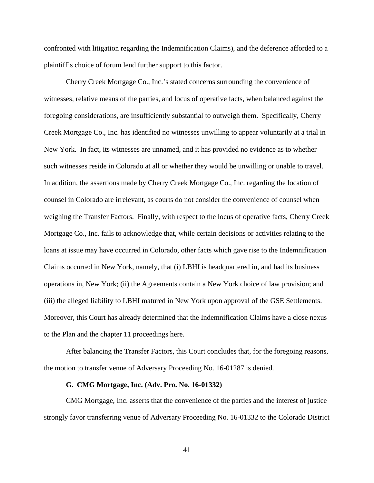confronted with litigation regarding the Indemnification Claims), and the deference afforded to a plaintiff's choice of forum lend further support to this factor.

Cherry Creek Mortgage Co., Inc.'s stated concerns surrounding the convenience of witnesses, relative means of the parties, and locus of operative facts, when balanced against the foregoing considerations, are insufficiently substantial to outweigh them. Specifically, Cherry Creek Mortgage Co., Inc. has identified no witnesses unwilling to appear voluntarily at a trial in New York. In fact, its witnesses are unnamed, and it has provided no evidence as to whether such witnesses reside in Colorado at all or whether they would be unwilling or unable to travel. In addition, the assertions made by Cherry Creek Mortgage Co., Inc. regarding the location of counsel in Colorado are irrelevant, as courts do not consider the convenience of counsel when weighing the Transfer Factors. Finally, with respect to the locus of operative facts, Cherry Creek Mortgage Co., Inc. fails to acknowledge that, while certain decisions or activities relating to the loans at issue may have occurred in Colorado, other facts which gave rise to the Indemnification Claims occurred in New York, namely, that (i) LBHI is headquartered in, and had its business operations in, New York; (ii) the Agreements contain a New York choice of law provision; and (iii) the alleged liability to LBHI matured in New York upon approval of the GSE Settlements. Moreover, this Court has already determined that the Indemnification Claims have a close nexus to the Plan and the chapter 11 proceedings here.

After balancing the Transfer Factors, this Court concludes that, for the foregoing reasons, the motion to transfer venue of Adversary Proceeding No. 16-01287 is denied.

#### **G. CMG Mortgage, Inc. (Adv. Pro. No. 16-01332)**

CMG Mortgage, Inc. asserts that the convenience of the parties and the interest of justice strongly favor transferring venue of Adversary Proceeding No. 16-01332 to the Colorado District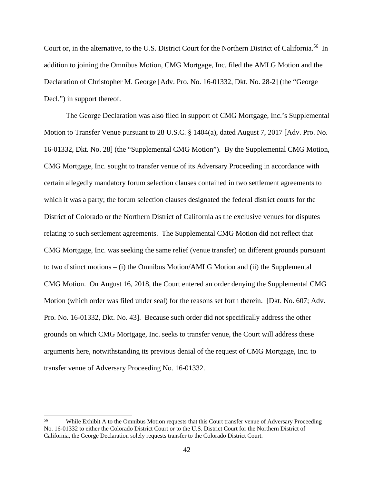Court or, in the alternative, to the U.S. District Court for the Northern District of California.56 In addition to joining the Omnibus Motion, CMG Mortgage, Inc. filed the AMLG Motion and the Declaration of Christopher M. George [Adv. Pro. No. 16-01332, Dkt. No. 28-2] (the "George Decl.") in support thereof.

The George Declaration was also filed in support of CMG Mortgage, Inc.'s Supplemental Motion to Transfer Venue pursuant to 28 U.S.C. § 1404(a), dated August 7, 2017 [Adv. Pro. No. 16-01332, Dkt. No. 28] (the "Supplemental CMG Motion"). By the Supplemental CMG Motion, CMG Mortgage, Inc. sought to transfer venue of its Adversary Proceeding in accordance with certain allegedly mandatory forum selection clauses contained in two settlement agreements to which it was a party; the forum selection clauses designated the federal district courts for the District of Colorado or the Northern District of California as the exclusive venues for disputes relating to such settlement agreements. The Supplemental CMG Motion did not reflect that CMG Mortgage, Inc. was seeking the same relief (venue transfer) on different grounds pursuant to two distinct motions – (i) the Omnibus Motion/AMLG Motion and (ii) the Supplemental CMG Motion. On August 16, 2018, the Court entered an order denying the Supplemental CMG Motion (which order was filed under seal) for the reasons set forth therein. [Dkt. No. 607; Adv. Pro. No. 16-01332, Dkt. No. 43]. Because such order did not specifically address the other grounds on which CMG Mortgage, Inc. seeks to transfer venue, the Court will address these arguments here, notwithstanding its previous denial of the request of CMG Mortgage, Inc. to transfer venue of Adversary Proceeding No. 16-01332.

 $\overline{a}$ 

<sup>&</sup>lt;sup>56</sup> While Exhibit A to the Omnibus Motion requests that this Court transfer venue of Adversary Proceeding No. 16-01332 to either the Colorado District Court or to the U.S. District Court for the Northern District of California, the George Declaration solely requests transfer to the Colorado District Court.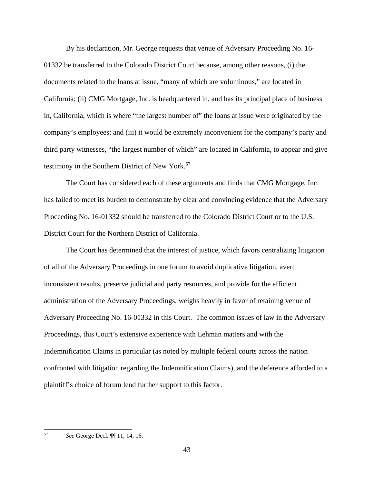By his declaration, Mr. George requests that venue of Adversary Proceeding No. 16- 01332 be transferred to the Colorado District Court because, among other reasons, (i) the documents related to the loans at issue, "many of which are voluminous," are located in California; (ii) CMG Mortgage, Inc. is headquartered in, and has its principal place of business in, California, which is where "the largest number of" the loans at issue were originated by the company's employees; and (iii) it would be extremely inconvenient for the company's party and third party witnesses, "the largest number of which" are located in California, to appear and give testimony in the Southern District of New York.<sup>57</sup>

The Court has considered each of these arguments and finds that CMG Mortgage, Inc. has failed to meet its burden to demonstrate by clear and convincing evidence that the Adversary Proceeding No. 16-01332 should be transferred to the Colorado District Court or to the U.S. District Court for the Northern District of California.

The Court has determined that the interest of justice, which favors centralizing litigation of all of the Adversary Proceedings in one forum to avoid duplicative litigation, avert inconsistent results, preserve judicial and party resources, and provide for the efficient administration of the Adversary Proceedings, weighs heavily in favor of retaining venue of Adversary Proceeding No. 16-01332 in this Court. The common issues of law in the Adversary Proceedings, this Court's extensive experience with Lehman matters and with the Indemnification Claims in particular (as noted by multiple federal courts across the nation confronted with litigation regarding the Indemnification Claims), and the deference afforded to a plaintiff's choice of forum lend further support to this factor.

57 57 *See* George Decl. ¶¶ 11, 14, 16.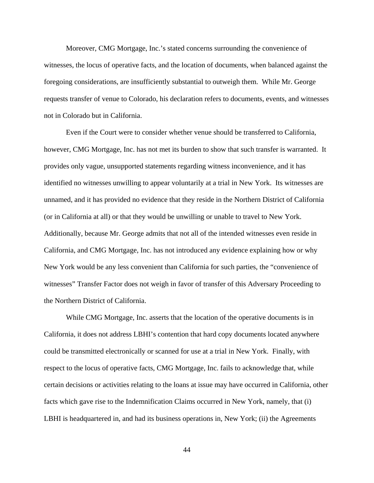Moreover, CMG Mortgage, Inc.'s stated concerns surrounding the convenience of witnesses, the locus of operative facts, and the location of documents, when balanced against the foregoing considerations, are insufficiently substantial to outweigh them. While Mr. George requests transfer of venue to Colorado, his declaration refers to documents, events, and witnesses not in Colorado but in California.

Even if the Court were to consider whether venue should be transferred to California, however, CMG Mortgage, Inc. has not met its burden to show that such transfer is warranted. It provides only vague, unsupported statements regarding witness inconvenience, and it has identified no witnesses unwilling to appear voluntarily at a trial in New York. Its witnesses are unnamed, and it has provided no evidence that they reside in the Northern District of California (or in California at all) or that they would be unwilling or unable to travel to New York. Additionally, because Mr. George admits that not all of the intended witnesses even reside in California, and CMG Mortgage, Inc. has not introduced any evidence explaining how or why New York would be any less convenient than California for such parties, the "convenience of witnesses" Transfer Factor does not weigh in favor of transfer of this Adversary Proceeding to the Northern District of California.

While CMG Mortgage, Inc. asserts that the location of the operative documents is in California, it does not address LBHI's contention that hard copy documents located anywhere could be transmitted electronically or scanned for use at a trial in New York. Finally, with respect to the locus of operative facts, CMG Mortgage, Inc. fails to acknowledge that, while certain decisions or activities relating to the loans at issue may have occurred in California, other facts which gave rise to the Indemnification Claims occurred in New York, namely, that (i) LBHI is headquartered in, and had its business operations in, New York; (ii) the Agreements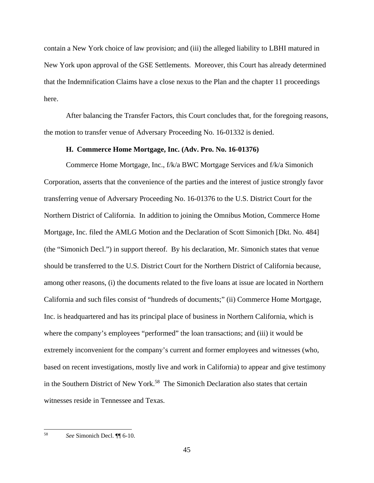contain a New York choice of law provision; and (iii) the alleged liability to LBHI matured in New York upon approval of the GSE Settlements. Moreover, this Court has already determined that the Indemnification Claims have a close nexus to the Plan and the chapter 11 proceedings here.

After balancing the Transfer Factors, this Court concludes that, for the foregoing reasons, the motion to transfer venue of Adversary Proceeding No. 16-01332 is denied.

# **H. Commerce Home Mortgage, Inc. (Adv. Pro. No. 16-01376)**

Commerce Home Mortgage, Inc., f/k/a BWC Mortgage Services and f/k/a Simonich Corporation, asserts that the convenience of the parties and the interest of justice strongly favor transferring venue of Adversary Proceeding No. 16-01376 to the U.S. District Court for the Northern District of California. In addition to joining the Omnibus Motion, Commerce Home Mortgage, Inc. filed the AMLG Motion and the Declaration of Scott Simonich [Dkt. No. 484] (the "Simonich Decl.") in support thereof. By his declaration, Mr. Simonich states that venue should be transferred to the U.S. District Court for the Northern District of California because, among other reasons, (i) the documents related to the five loans at issue are located in Northern California and such files consist of "hundreds of documents;" (ii) Commerce Home Mortgage, Inc. is headquartered and has its principal place of business in Northern California, which is where the company's employees "performed" the loan transactions; and (iii) it would be extremely inconvenient for the company's current and former employees and witnesses (who, based on recent investigations, mostly live and work in California) to appear and give testimony in the Southern District of New York.<sup>58</sup> The Simonich Declaration also states that certain witnesses reside in Tennessee and Texas.

 $\overline{a}$ 

<sup>58</sup> *See* Simonich Decl. ¶¶ 6-10.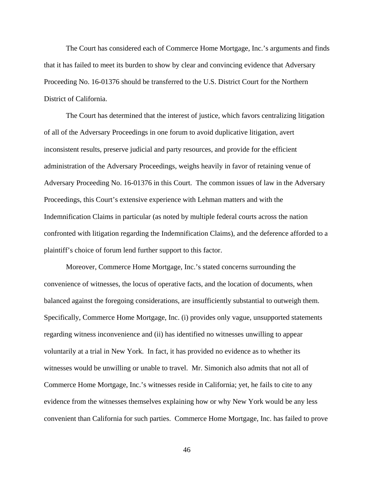The Court has considered each of Commerce Home Mortgage, Inc.'s arguments and finds that it has failed to meet its burden to show by clear and convincing evidence that Adversary Proceeding No. 16-01376 should be transferred to the U.S. District Court for the Northern District of California.

The Court has determined that the interest of justice, which favors centralizing litigation of all of the Adversary Proceedings in one forum to avoid duplicative litigation, avert inconsistent results, preserve judicial and party resources, and provide for the efficient administration of the Adversary Proceedings, weighs heavily in favor of retaining venue of Adversary Proceeding No. 16-01376 in this Court. The common issues of law in the Adversary Proceedings, this Court's extensive experience with Lehman matters and with the Indemnification Claims in particular (as noted by multiple federal courts across the nation confronted with litigation regarding the Indemnification Claims), and the deference afforded to a plaintiff's choice of forum lend further support to this factor.

Moreover, Commerce Home Mortgage, Inc.'s stated concerns surrounding the convenience of witnesses, the locus of operative facts, and the location of documents, when balanced against the foregoing considerations, are insufficiently substantial to outweigh them. Specifically, Commerce Home Mortgage, Inc. (i) provides only vague, unsupported statements regarding witness inconvenience and (ii) has identified no witnesses unwilling to appear voluntarily at a trial in New York. In fact, it has provided no evidence as to whether its witnesses would be unwilling or unable to travel. Mr. Simonich also admits that not all of Commerce Home Mortgage, Inc.'s witnesses reside in California; yet, he fails to cite to any evidence from the witnesses themselves explaining how or why New York would be any less convenient than California for such parties. Commerce Home Mortgage, Inc. has failed to prove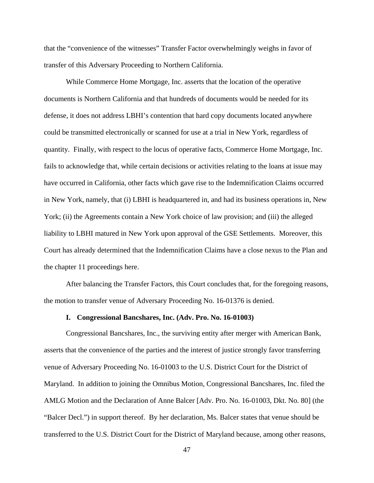that the "convenience of the witnesses" Transfer Factor overwhelmingly weighs in favor of transfer of this Adversary Proceeding to Northern California.

While Commerce Home Mortgage, Inc. asserts that the location of the operative documents is Northern California and that hundreds of documents would be needed for its defense, it does not address LBHI's contention that hard copy documents located anywhere could be transmitted electronically or scanned for use at a trial in New York, regardless of quantity. Finally, with respect to the locus of operative facts, Commerce Home Mortgage, Inc. fails to acknowledge that, while certain decisions or activities relating to the loans at issue may have occurred in California, other facts which gave rise to the Indemnification Claims occurred in New York, namely, that (i) LBHI is headquartered in, and had its business operations in, New York; (ii) the Agreements contain a New York choice of law provision; and (iii) the alleged liability to LBHI matured in New York upon approval of the GSE Settlements. Moreover, this Court has already determined that the Indemnification Claims have a close nexus to the Plan and the chapter 11 proceedings here.

After balancing the Transfer Factors, this Court concludes that, for the foregoing reasons, the motion to transfer venue of Adversary Proceeding No. 16-01376 is denied.

#### **I. Congressional Bancshares, Inc. (Adv. Pro. No. 16-01003)**

Congressional Bancshares, Inc., the surviving entity after merger with American Bank, asserts that the convenience of the parties and the interest of justice strongly favor transferring venue of Adversary Proceeding No. 16-01003 to the U.S. District Court for the District of Maryland. In addition to joining the Omnibus Motion, Congressional Bancshares, Inc. filed the AMLG Motion and the Declaration of Anne Balcer [Adv. Pro. No. 16-01003, Dkt. No. 80] (the "Balcer Decl.") in support thereof. By her declaration, Ms. Balcer states that venue should be transferred to the U.S. District Court for the District of Maryland because, among other reasons,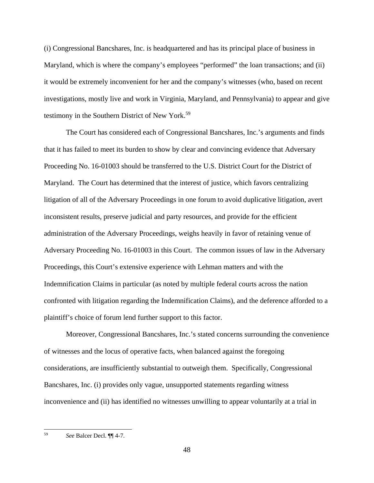(i) Congressional Bancshares, Inc. is headquartered and has its principal place of business in Maryland, which is where the company's employees "performed" the loan transactions; and (ii) it would be extremely inconvenient for her and the company's witnesses (who, based on recent investigations, mostly live and work in Virginia, Maryland, and Pennsylvania) to appear and give testimony in the Southern District of New York.<sup>59</sup>

The Court has considered each of Congressional Bancshares, Inc.'s arguments and finds that it has failed to meet its burden to show by clear and convincing evidence that Adversary Proceeding No. 16-01003 should be transferred to the U.S. District Court for the District of Maryland. The Court has determined that the interest of justice, which favors centralizing litigation of all of the Adversary Proceedings in one forum to avoid duplicative litigation, avert inconsistent results, preserve judicial and party resources, and provide for the efficient administration of the Adversary Proceedings, weighs heavily in favor of retaining venue of Adversary Proceeding No. 16-01003 in this Court. The common issues of law in the Adversary Proceedings, this Court's extensive experience with Lehman matters and with the Indemnification Claims in particular (as noted by multiple federal courts across the nation confronted with litigation regarding the Indemnification Claims), and the deference afforded to a plaintiff's choice of forum lend further support to this factor.

Moreover, Congressional Bancshares, Inc.'s stated concerns surrounding the convenience of witnesses and the locus of operative facts, when balanced against the foregoing considerations, are insufficiently substantial to outweigh them. Specifically, Congressional Bancshares, Inc. (i) provides only vague, unsupported statements regarding witness inconvenience and (ii) has identified no witnesses unwilling to appear voluntarily at a trial in

 $\overline{a}$ 

<sup>59</sup> *See* Balcer Decl. ¶¶ 4-7.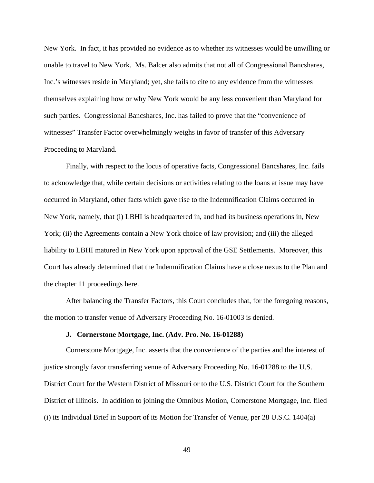New York. In fact, it has provided no evidence as to whether its witnesses would be unwilling or unable to travel to New York. Ms. Balcer also admits that not all of Congressional Bancshares, Inc.'s witnesses reside in Maryland; yet, she fails to cite to any evidence from the witnesses themselves explaining how or why New York would be any less convenient than Maryland for such parties. Congressional Bancshares, Inc. has failed to prove that the "convenience of witnesses" Transfer Factor overwhelmingly weighs in favor of transfer of this Adversary Proceeding to Maryland.

Finally, with respect to the locus of operative facts, Congressional Bancshares, Inc. fails to acknowledge that, while certain decisions or activities relating to the loans at issue may have occurred in Maryland, other facts which gave rise to the Indemnification Claims occurred in New York, namely, that (i) LBHI is headquartered in, and had its business operations in, New York; (ii) the Agreements contain a New York choice of law provision; and (iii) the alleged liability to LBHI matured in New York upon approval of the GSE Settlements. Moreover, this Court has already determined that the Indemnification Claims have a close nexus to the Plan and the chapter 11 proceedings here.

After balancing the Transfer Factors, this Court concludes that, for the foregoing reasons, the motion to transfer venue of Adversary Proceeding No. 16-01003 is denied.

# **J. Cornerstone Mortgage, Inc. (Adv. Pro. No. 16-01288)**

Cornerstone Mortgage, Inc. asserts that the convenience of the parties and the interest of justice strongly favor transferring venue of Adversary Proceeding No. 16-01288 to the U.S. District Court for the Western District of Missouri or to the U.S. District Court for the Southern District of Illinois. In addition to joining the Omnibus Motion, Cornerstone Mortgage, Inc. filed (i) its Individual Brief in Support of its Motion for Transfer of Venue, per 28 U.S.C. 1404(a)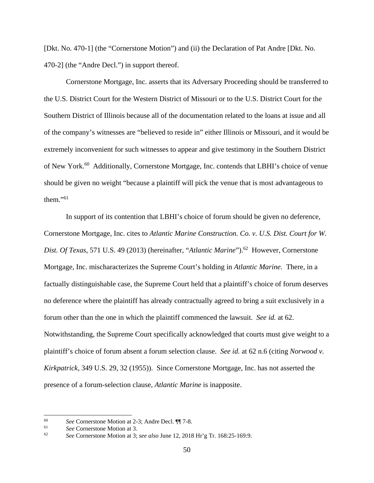[Dkt. No. 470-1] (the "Cornerstone Motion") and (ii) the Declaration of Pat Andre [Dkt. No. 470-2] (the "Andre Decl.") in support thereof.

Cornerstone Mortgage, Inc. asserts that its Adversary Proceeding should be transferred to the U.S. District Court for the Western District of Missouri or to the U.S. District Court for the Southern District of Illinois because all of the documentation related to the loans at issue and all of the company's witnesses are "believed to reside in" either Illinois or Missouri, and it would be extremely inconvenient for such witnesses to appear and give testimony in the Southern District of New York.<sup>60</sup> Additionally, Cornerstone Mortgage, Inc. contends that LBHI's choice of venue should be given no weight "because a plaintiff will pick the venue that is most advantageous to them." $61$ 

In support of its contention that LBHI's choice of forum should be given no deference, Cornerstone Mortgage, Inc. cites to *Atlantic Marine Construction. Co. v. U.S. Dist. Court for W. Dist. Of Texas*, 571 U.S. 49 (2013) (hereinafter, "*Atlantic Marine*").<sup>62</sup> However, Cornerstone Mortgage, Inc. mischaracterizes the Supreme Court's holding in *Atlantic Marine.* There, in a factually distinguishable case, the Supreme Court held that a plaintiff's choice of forum deserves no deference where the plaintiff has already contractually agreed to bring a suit exclusively in a forum other than the one in which the plaintiff commenced the lawsuit. *See id.* at 62. Notwithstanding, the Supreme Court specifically acknowledged that courts must give weight to a plaintiff's choice of forum absent a forum selection clause. *See id.* at 62 n.6 (citing *Norwood v. Kirkpatrick,* 349 U.S. 29, 32 (1955)). Since Cornerstone Mortgage, Inc. has not asserted the presence of a forum-selection clause, *Atlantic Marine* is inapposite.

 $\overline{a}$ 

<sup>60</sup>*See* Cornerstone Motion at 2-3; Andre Decl. ¶¶ 7-8. 61 *See* Cornerstone Motion at 3. 62 *See* Cornerstone Motion at 3; *see also* June 12, 2018 Hr'g Tr. 168:25-169:9.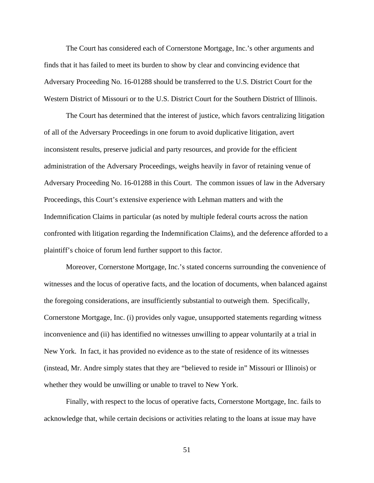The Court has considered each of Cornerstone Mortgage, Inc.'s other arguments and finds that it has failed to meet its burden to show by clear and convincing evidence that Adversary Proceeding No. 16-01288 should be transferred to the U.S. District Court for the Western District of Missouri or to the U.S. District Court for the Southern District of Illinois.

The Court has determined that the interest of justice, which favors centralizing litigation of all of the Adversary Proceedings in one forum to avoid duplicative litigation, avert inconsistent results, preserve judicial and party resources, and provide for the efficient administration of the Adversary Proceedings, weighs heavily in favor of retaining venue of Adversary Proceeding No. 16-01288 in this Court. The common issues of law in the Adversary Proceedings, this Court's extensive experience with Lehman matters and with the Indemnification Claims in particular (as noted by multiple federal courts across the nation confronted with litigation regarding the Indemnification Claims), and the deference afforded to a plaintiff's choice of forum lend further support to this factor.

Moreover, Cornerstone Mortgage, Inc.'s stated concerns surrounding the convenience of witnesses and the locus of operative facts, and the location of documents, when balanced against the foregoing considerations, are insufficiently substantial to outweigh them. Specifically, Cornerstone Mortgage, Inc. (i) provides only vague, unsupported statements regarding witness inconvenience and (ii) has identified no witnesses unwilling to appear voluntarily at a trial in New York. In fact, it has provided no evidence as to the state of residence of its witnesses (instead, Mr. Andre simply states that they are "believed to reside in" Missouri or Illinois) or whether they would be unwilling or unable to travel to New York.

Finally, with respect to the locus of operative facts, Cornerstone Mortgage, Inc. fails to acknowledge that, while certain decisions or activities relating to the loans at issue may have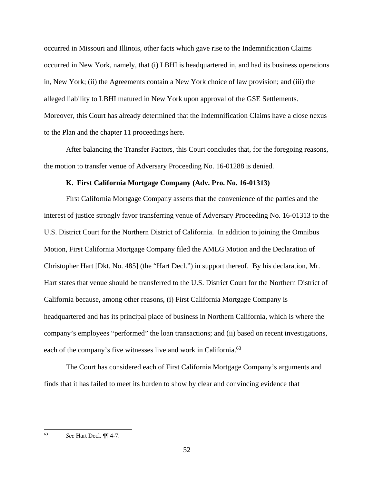occurred in Missouri and Illinois, other facts which gave rise to the Indemnification Claims occurred in New York, namely, that (i) LBHI is headquartered in, and had its business operations in, New York; (ii) the Agreements contain a New York choice of law provision; and (iii) the alleged liability to LBHI matured in New York upon approval of the GSE Settlements. Moreover, this Court has already determined that the Indemnification Claims have a close nexus to the Plan and the chapter 11 proceedings here.

After balancing the Transfer Factors, this Court concludes that, for the foregoing reasons, the motion to transfer venue of Adversary Proceeding No. 16-01288 is denied.

# **K. First California Mortgage Company (Adv. Pro. No. 16-01313)**

First California Mortgage Company asserts that the convenience of the parties and the interest of justice strongly favor transferring venue of Adversary Proceeding No. 16-01313 to the U.S. District Court for the Northern District of California. In addition to joining the Omnibus Motion, First California Mortgage Company filed the AMLG Motion and the Declaration of Christopher Hart [Dkt. No. 485] (the "Hart Decl.") in support thereof. By his declaration, Mr. Hart states that venue should be transferred to the U.S. District Court for the Northern District of California because, among other reasons, (i) First California Mortgage Company is headquartered and has its principal place of business in Northern California, which is where the company's employees "performed" the loan transactions; and (ii) based on recent investigations, each of the company's five witnesses live and work in California.<sup>63</sup>

The Court has considered each of First California Mortgage Company's arguments and finds that it has failed to meet its burden to show by clear and convincing evidence that

 $\overline{a}$ 63 *See* Hart Decl. ¶¶ 4-7.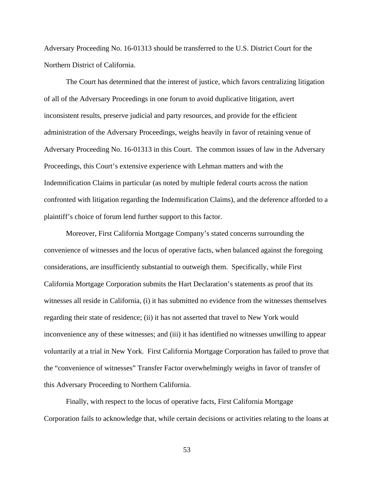Adversary Proceeding No. 16-01313 should be transferred to the U.S. District Court for the Northern District of California.

The Court has determined that the interest of justice, which favors centralizing litigation of all of the Adversary Proceedings in one forum to avoid duplicative litigation, avert inconsistent results, preserve judicial and party resources, and provide for the efficient administration of the Adversary Proceedings, weighs heavily in favor of retaining venue of Adversary Proceeding No. 16-01313 in this Court. The common issues of law in the Adversary Proceedings, this Court's extensive experience with Lehman matters and with the Indemnification Claims in particular (as noted by multiple federal courts across the nation confronted with litigation regarding the Indemnification Claims), and the deference afforded to a plaintiff's choice of forum lend further support to this factor.

Moreover, First California Mortgage Company's stated concerns surrounding the convenience of witnesses and the locus of operative facts, when balanced against the foregoing considerations, are insufficiently substantial to outweigh them. Specifically, while First California Mortgage Corporation submits the Hart Declaration's statements as proof that its witnesses all reside in California, (i) it has submitted no evidence from the witnesses themselves regarding their state of residence; (ii) it has not asserted that travel to New York would inconvenience any of these witnesses; and (iii) it has identified no witnesses unwilling to appear voluntarily at a trial in New York. First California Mortgage Corporation has failed to prove that the "convenience of witnesses" Transfer Factor overwhelmingly weighs in favor of transfer of this Adversary Proceeding to Northern California.

Finally, with respect to the locus of operative facts, First California Mortgage Corporation fails to acknowledge that, while certain decisions or activities relating to the loans at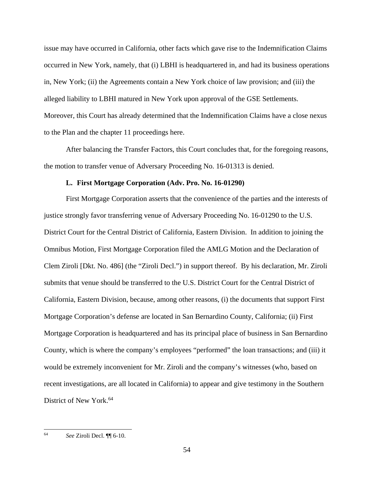issue may have occurred in California, other facts which gave rise to the Indemnification Claims occurred in New York, namely, that (i) LBHI is headquartered in, and had its business operations in, New York; (ii) the Agreements contain a New York choice of law provision; and (iii) the alleged liability to LBHI matured in New York upon approval of the GSE Settlements. Moreover, this Court has already determined that the Indemnification Claims have a close nexus to the Plan and the chapter 11 proceedings here.

After balancing the Transfer Factors, this Court concludes that, for the foregoing reasons, the motion to transfer venue of Adversary Proceeding No. 16-01313 is denied.

## **L. First Mortgage Corporation (Adv. Pro. No. 16-01290)**

First Mortgage Corporation asserts that the convenience of the parties and the interests of justice strongly favor transferring venue of Adversary Proceeding No. 16-01290 to the U.S. District Court for the Central District of California, Eastern Division. In addition to joining the Omnibus Motion, First Mortgage Corporation filed the AMLG Motion and the Declaration of Clem Ziroli [Dkt. No. 486] (the "Ziroli Decl.") in support thereof. By his declaration, Mr. Ziroli submits that venue should be transferred to the U.S. District Court for the Central District of California, Eastern Division, because, among other reasons, (i) the documents that support First Mortgage Corporation's defense are located in San Bernardino County, California; (ii) First Mortgage Corporation is headquartered and has its principal place of business in San Bernardino County, which is where the company's employees "performed" the loan transactions; and (iii) it would be extremely inconvenient for Mr. Ziroli and the company's witnesses (who, based on recent investigations, are all located in California) to appear and give testimony in the Southern District of New York.<sup>64</sup>

 $\overline{a}$ 

<sup>64</sup> *See* Ziroli Decl. ¶¶ 6-10.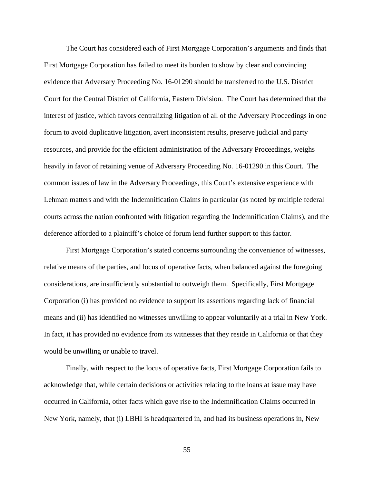The Court has considered each of First Mortgage Corporation's arguments and finds that First Mortgage Corporation has failed to meet its burden to show by clear and convincing evidence that Adversary Proceeding No. 16-01290 should be transferred to the U.S. District Court for the Central District of California, Eastern Division. The Court has determined that the interest of justice, which favors centralizing litigation of all of the Adversary Proceedings in one forum to avoid duplicative litigation, avert inconsistent results, preserve judicial and party resources, and provide for the efficient administration of the Adversary Proceedings, weighs heavily in favor of retaining venue of Adversary Proceeding No. 16-01290 in this Court. The common issues of law in the Adversary Proceedings, this Court's extensive experience with Lehman matters and with the Indemnification Claims in particular (as noted by multiple federal courts across the nation confronted with litigation regarding the Indemnification Claims), and the deference afforded to a plaintiff's choice of forum lend further support to this factor.

First Mortgage Corporation's stated concerns surrounding the convenience of witnesses, relative means of the parties, and locus of operative facts, when balanced against the foregoing considerations, are insufficiently substantial to outweigh them. Specifically, First Mortgage Corporation (i) has provided no evidence to support its assertions regarding lack of financial means and (ii) has identified no witnesses unwilling to appear voluntarily at a trial in New York. In fact, it has provided no evidence from its witnesses that they reside in California or that they would be unwilling or unable to travel.

Finally, with respect to the locus of operative facts, First Mortgage Corporation fails to acknowledge that, while certain decisions or activities relating to the loans at issue may have occurred in California, other facts which gave rise to the Indemnification Claims occurred in New York, namely, that (i) LBHI is headquartered in, and had its business operations in, New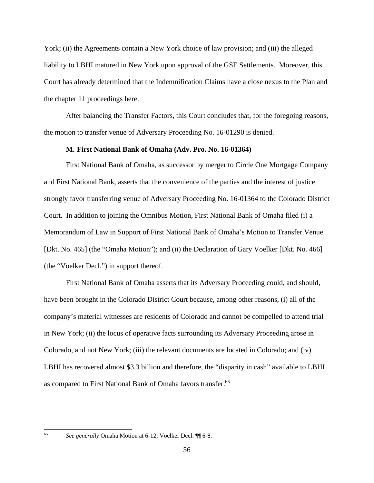York; (ii) the Agreements contain a New York choice of law provision; and (iii) the alleged liability to LBHI matured in New York upon approval of the GSE Settlements. Moreover, this Court has already determined that the Indemnification Claims have a close nexus to the Plan and the chapter 11 proceedings here.

After balancing the Transfer Factors, this Court concludes that, for the foregoing reasons, the motion to transfer venue of Adversary Proceeding No. 16-01290 is denied.

# **M. First National Bank of Omaha (Adv. Pro. No. 16-01364)**

First National Bank of Omaha, as successor by merger to Circle One Mortgage Company and First National Bank, asserts that the convenience of the parties and the interest of justice strongly favor transferring venue of Adversary Proceeding No. 16-01364 to the Colorado District Court. In addition to joining the Omnibus Motion, First National Bank of Omaha filed (i) a Memorandum of Law in Support of First National Bank of Omaha's Motion to Transfer Venue [Dkt. No. 465] (the "Omaha Motion"); and (ii) the Declaration of Gary Voelker [Dkt. No. 466] (the "Voelker Decl.") in support thereof.

First National Bank of Omaha asserts that its Adversary Proceeding could, and should, have been brought in the Colorado District Court because, among other reasons, (i) all of the company's material witnesses are residents of Colorado and cannot be compelled to attend trial in New York; (ii) the locus of operative facts surrounding its Adversary Proceeding arose in Colorado, and not New York; (iii) the relevant documents are located in Colorado; and (iv) LBHI has recovered almost \$3.3 billion and therefore, the "disparity in cash" available to LBHI as compared to First National Bank of Omaha favors transfer.65

 $\overline{a}$ 

<sup>65</sup> *See generally* Omaha Motion at 6-12; Voelker Decl. ¶¶ 6-8.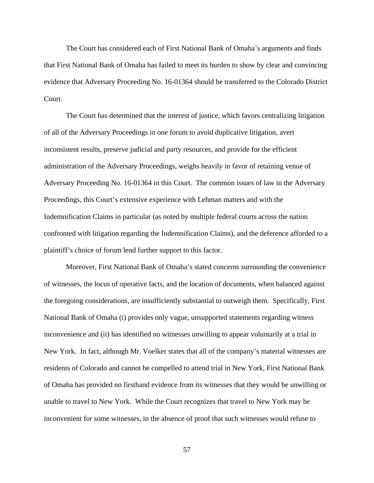The Court has considered each of First National Bank of Omaha's arguments and finds that First National Bank of Omaha has failed to meet its burden to show by clear and convincing evidence that Adversary Proceeding No. 16-01364 should be transferred to the Colorado District Court.

The Court has determined that the interest of justice, which favors centralizing litigation of all of the Adversary Proceedings in one forum to avoid duplicative litigation, avert inconsistent results, preserve judicial and party resources, and provide for the efficient administration of the Adversary Proceedings, weighs heavily in favor of retaining venue of Adversary Proceeding No. 16-01364 in this Court. The common issues of law in the Adversary Proceedings, this Court's extensive experience with Lehman matters and with the Indemnification Claims in particular (as noted by multiple federal courts across the nation confronted with litigation regarding the Indemnification Claims), and the deference afforded to a plaintiff's choice of forum lend further support to this factor.

Moreover, First National Bank of Omaha's stated concerns surrounding the convenience of witnesses, the locus of operative facts, and the location of documents, when balanced against the foregoing considerations, are insufficiently substantial to outweigh them. Specifically, First National Bank of Omaha (i) provides only vague, unsupported statements regarding witness inconvenience and (ii) has identified no witnesses unwilling to appear voluntarily at a trial in New York. In fact, although Mr. Voelker states that all of the company's material witnesses are residents of Colorado and cannot be compelled to attend trial in New York, First National Bank of Omaha has provided no firsthand evidence from its witnesses that they would be unwilling or unable to travel to New York. While the Court recognizes that travel to New York may be inconvenient for some witnesses, in the absence of proof that such witnesses would refuse to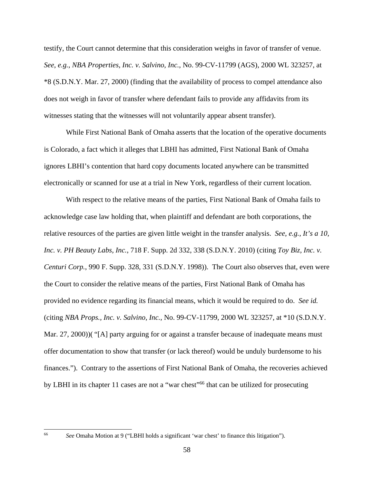testify, the Court cannot determine that this consideration weighs in favor of transfer of venue. *See*, *e.g.*, *NBA Properties, Inc. v. Salvino, Inc.*, No. 99-CV-11799 (AGS), 2000 WL 323257, at \*8 (S.D.N.Y. Mar. 27, 2000) (finding that the availability of process to compel attendance also does not weigh in favor of transfer where defendant fails to provide any affidavits from its witnesses stating that the witnesses will not voluntarily appear absent transfer).

While First National Bank of Omaha asserts that the location of the operative documents is Colorado, a fact which it alleges that LBHI has admitted, First National Bank of Omaha ignores LBHI's contention that hard copy documents located anywhere can be transmitted electronically or scanned for use at a trial in New York, regardless of their current location.

With respect to the relative means of the parties, First National Bank of Omaha fails to acknowledge case law holding that, when plaintiff and defendant are both corporations, the relative resources of the parties are given little weight in the transfer analysis. *See*, *e.g.*, *It's a 10, Inc. v. PH Beauty Labs, Inc.*, 718 F. Supp. 2d 332, 338 (S.D.N.Y. 2010) (citing *Toy Biz, Inc. v. Centuri Corp.*, 990 F. Supp. 328, 331 (S.D.N.Y. 1998)). The Court also observes that, even were the Court to consider the relative means of the parties, First National Bank of Omaha has provided no evidence regarding its financial means, which it would be required to do. *See id.*  (citing *NBA Props., Inc. v. Salvino, Inc.*, No. 99-CV-11799, 2000 WL 323257, at \*10 (S.D.N.Y. Mar. 27, 2000))( "[A] party arguing for or against a transfer because of inadequate means must offer documentation to show that transfer (or lack thereof) would be unduly burdensome to his finances."). Contrary to the assertions of First National Bank of Omaha, the recoveries achieved by LBHI in its chapter 11 cases are not a "war chest"<sup>66</sup> that can be utilized for prosecuting

 $\overline{\phantom{a}}$ 

<sup>66</sup> *See* Omaha Motion at 9 ("LBHI holds a significant 'war chest' to finance this litigation").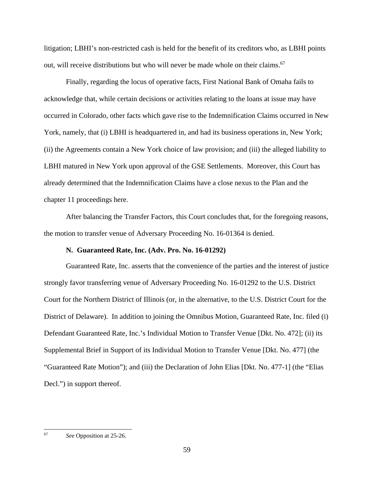litigation; LBHI's non-restricted cash is held for the benefit of its creditors who, as LBHI points out, will receive distributions but who will never be made whole on their claims.<sup>67</sup>

Finally, regarding the locus of operative facts, First National Bank of Omaha fails to acknowledge that, while certain decisions or activities relating to the loans at issue may have occurred in Colorado, other facts which gave rise to the Indemnification Claims occurred in New York, namely, that (i) LBHI is headquartered in, and had its business operations in, New York; (ii) the Agreements contain a New York choice of law provision; and (iii) the alleged liability to LBHI matured in New York upon approval of the GSE Settlements. Moreover, this Court has already determined that the Indemnification Claims have a close nexus to the Plan and the chapter 11 proceedings here.

After balancing the Transfer Factors, this Court concludes that, for the foregoing reasons, the motion to transfer venue of Adversary Proceeding No. 16-01364 is denied.

## **N. Guaranteed Rate, Inc. (Adv. Pro. No. 16-01292)**

Guaranteed Rate, Inc. asserts that the convenience of the parties and the interest of justice strongly favor transferring venue of Adversary Proceeding No. 16-01292 to the U.S. District Court for the Northern District of Illinois (or, in the alternative, to the U.S. District Court for the District of Delaware). In addition to joining the Omnibus Motion, Guaranteed Rate, Inc. filed (i) Defendant Guaranteed Rate, Inc.'s Individual Motion to Transfer Venue [Dkt. No. 472]; (ii) its Supplemental Brief in Support of its Individual Motion to Transfer Venue [Dkt. No. 477] (the "Guaranteed Rate Motion"); and (iii) the Declaration of John Elias [Dkt. No. 477-1] (the "Elias Decl.") in support thereof.

 $\overline{\phantom{a}}$ 

<sup>67</sup> *See* Opposition at 25-26.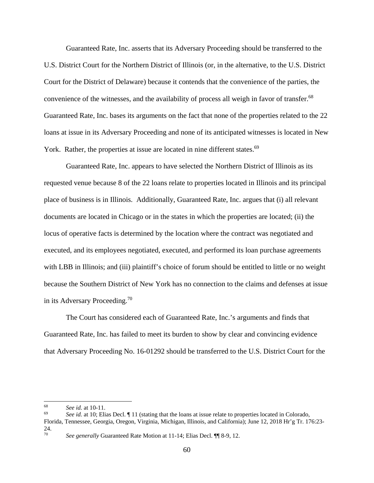Guaranteed Rate, Inc. asserts that its Adversary Proceeding should be transferred to the U.S. District Court for the Northern District of Illinois (or, in the alternative, to the U.S. District Court for the District of Delaware) because it contends that the convenience of the parties, the convenience of the witnesses, and the availability of process all weigh in favor of transfer.<sup>68</sup> Guaranteed Rate, Inc. bases its arguments on the fact that none of the properties related to the 22 loans at issue in its Adversary Proceeding and none of its anticipated witnesses is located in New York. Rather, the properties at issue are located in nine different states.<sup>69</sup>

Guaranteed Rate, Inc. appears to have selected the Northern District of Illinois as its requested venue because 8 of the 22 loans relate to properties located in Illinois and its principal place of business is in Illinois. Additionally, Guaranteed Rate, Inc. argues that (i) all relevant documents are located in Chicago or in the states in which the properties are located; (ii) the locus of operative facts is determined by the location where the contract was negotiated and executed, and its employees negotiated, executed, and performed its loan purchase agreements with LBB in Illinois; and (iii) plaintiff's choice of forum should be entitled to little or no weight because the Southern District of New York has no connection to the claims and defenses at issue in its Adversary Proceeding.70

The Court has considered each of Guaranteed Rate, Inc.'s arguments and finds that Guaranteed Rate, Inc. has failed to meet its burden to show by clear and convincing evidence that Adversary Proceeding No. 16-01292 should be transferred to the U.S. District Court for the

<sup>68</sup> 

<sup>68</sup>*See id.* at 10-11. 69 *See id.* at 10; Elias Decl. ¶ 11 (stating that the loans at issue relate to properties located in Colorado, Florida, Tennessee, Georgia, Oregon, Virginia, Michigan, Illinois, and California); June 12, 2018 Hr'g Tr. 176:23- 24.

<sup>70</sup> *See generally* Guaranteed Rate Motion at 11-14; Elias Decl. ¶¶ 8-9, 12.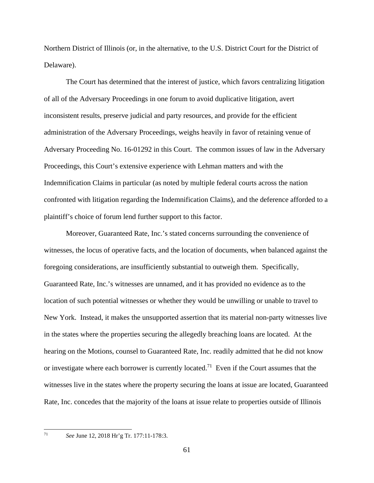Northern District of Illinois (or, in the alternative, to the U.S. District Court for the District of Delaware).

The Court has determined that the interest of justice, which favors centralizing litigation of all of the Adversary Proceedings in one forum to avoid duplicative litigation, avert inconsistent results, preserve judicial and party resources, and provide for the efficient administration of the Adversary Proceedings, weighs heavily in favor of retaining venue of Adversary Proceeding No. 16-01292 in this Court. The common issues of law in the Adversary Proceedings, this Court's extensive experience with Lehman matters and with the Indemnification Claims in particular (as noted by multiple federal courts across the nation confronted with litigation regarding the Indemnification Claims), and the deference afforded to a plaintiff's choice of forum lend further support to this factor.

Moreover, Guaranteed Rate, Inc.'s stated concerns surrounding the convenience of witnesses, the locus of operative facts, and the location of documents, when balanced against the foregoing considerations, are insufficiently substantial to outweigh them. Specifically, Guaranteed Rate, Inc.'s witnesses are unnamed, and it has provided no evidence as to the location of such potential witnesses or whether they would be unwilling or unable to travel to New York. Instead, it makes the unsupported assertion that its material non-party witnesses live in the states where the properties securing the allegedly breaching loans are located. At the hearing on the Motions, counsel to Guaranteed Rate, Inc. readily admitted that he did not know or investigate where each borrower is currently located.<sup>71</sup> Even if the Court assumes that the witnesses live in the states where the property securing the loans at issue are located, Guaranteed Rate, Inc. concedes that the majority of the loans at issue relate to properties outside of Illinois

<sup>71</sup> *See* June 12, 2018 Hr'g Tr. 177:11-178:3.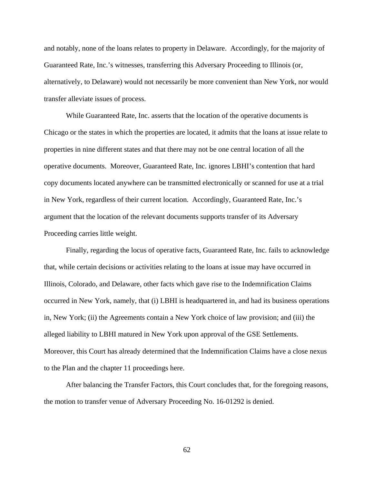and notably, none of the loans relates to property in Delaware. Accordingly, for the majority of Guaranteed Rate, Inc.'s witnesses, transferring this Adversary Proceeding to Illinois (or, alternatively, to Delaware) would not necessarily be more convenient than New York, nor would transfer alleviate issues of process.

While Guaranteed Rate, Inc. asserts that the location of the operative documents is Chicago or the states in which the properties are located, it admits that the loans at issue relate to properties in nine different states and that there may not be one central location of all the operative documents. Moreover, Guaranteed Rate, Inc. ignores LBHI's contention that hard copy documents located anywhere can be transmitted electronically or scanned for use at a trial in New York, regardless of their current location. Accordingly, Guaranteed Rate, Inc.'s argument that the location of the relevant documents supports transfer of its Adversary Proceeding carries little weight.

Finally, regarding the locus of operative facts, Guaranteed Rate, Inc. fails to acknowledge that, while certain decisions or activities relating to the loans at issue may have occurred in Illinois, Colorado, and Delaware, other facts which gave rise to the Indemnification Claims occurred in New York, namely, that (i) LBHI is headquartered in, and had its business operations in, New York; (ii) the Agreements contain a New York choice of law provision; and (iii) the alleged liability to LBHI matured in New York upon approval of the GSE Settlements. Moreover, this Court has already determined that the Indemnification Claims have a close nexus to the Plan and the chapter 11 proceedings here.

After balancing the Transfer Factors, this Court concludes that, for the foregoing reasons, the motion to transfer venue of Adversary Proceeding No. 16-01292 is denied.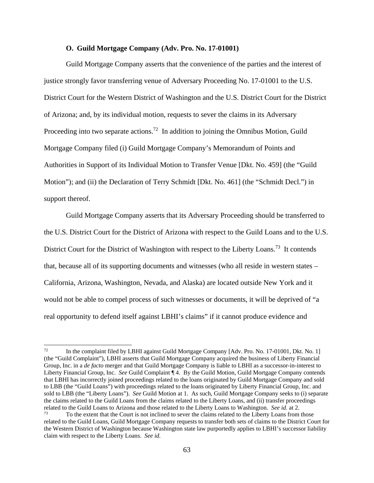#### **O. Guild Mortgage Company (Adv. Pro. No. 17-01001)**

Guild Mortgage Company asserts that the convenience of the parties and the interest of justice strongly favor transferring venue of Adversary Proceeding No. 17-01001 to the U.S. District Court for the Western District of Washington and the U.S. District Court for the District of Arizona; and, by its individual motion, requests to sever the claims in its Adversary Proceeding into two separate actions.<sup>72</sup> In addition to joining the Omnibus Motion, Guild Mortgage Company filed (i) Guild Mortgage Company's Memorandum of Points and Authorities in Support of its Individual Motion to Transfer Venue [Dkt. No. 459] (the "Guild Motion"); and (ii) the Declaration of Terry Schmidt [Dkt. No. 461] (the "Schmidt Decl.") in support thereof.

Guild Mortgage Company asserts that its Adversary Proceeding should be transferred to the U.S. District Court for the District of Arizona with respect to the Guild Loans and to the U.S. District Court for the District of Washington with respect to the Liberty Loans.<sup>73</sup> It contends that, because all of its supporting documents and witnesses (who all reside in western states – California, Arizona, Washington, Nevada, and Alaska) are located outside New York and it would not be able to compel process of such witnesses or documents, it will be deprived of "a real opportunity to defend itself against LBHI's claims" if it cannot produce evidence and

 $72$ In the complaint filed by LBHI against Guild Mortgage Company [Adv. Pro. No. 17-01001, Dkt. No. 1] (the "Guild Complaint"), LBHI asserts that Guild Mortgage Company acquired the business of Liberty Financial Group, Inc. in a *de facto* merger and that Guild Mortgage Company is liable to LBHI as a successor-in-interest to Liberty Financial Group, Inc. *See* Guild Complaint ¶ 4. By the Guild Motion, Guild Mortgage Company contends that LBHI has incorrectly joined proceedings related to the loans originated by Guild Mortgage Company and sold to LBB (the "Guild Loans") with proceedings related to the loans originated by Liberty Financial Group, Inc. and sold to LBB (the "Liberty Loans"). *See* Guild Motion at 1. As such, Guild Mortgage Company seeks to (i) separate the claims related to the Guild Loans from the claims related to the Liberty Loans, and (ii) transfer proceedings related to the Guild Loans to Arizona and those related to the Liberty Loans to Washington. *See id.* at 2. To the extent that the Court is not inclined to sever the claims related to the Liberty Loans from those

related to the Guild Loans, Guild Mortgage Company requests to transfer both sets of claims to the District Court for the Western District of Washington because Washington state law purportedly applies to LBHI's successor liability claim with respect to the Liberty Loans. *See id.*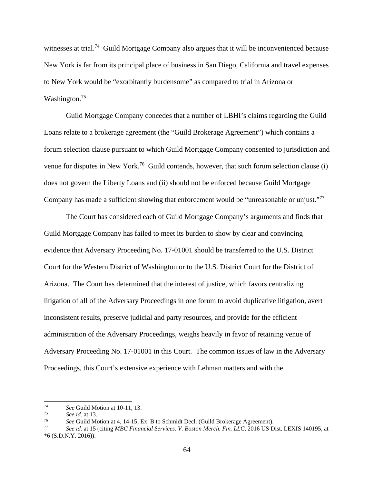witnesses at trial.<sup>74</sup> Guild Mortgage Company also argues that it will be inconvenienced because New York is far from its principal place of business in San Diego, California and travel expenses to New York would be "exorbitantly burdensome" as compared to trial in Arizona or Washington.<sup>75</sup>

Guild Mortgage Company concedes that a number of LBHI's claims regarding the Guild Loans relate to a brokerage agreement (the "Guild Brokerage Agreement") which contains a forum selection clause pursuant to which Guild Mortgage Company consented to jurisdiction and venue for disputes in New York.<sup>76</sup> Guild contends, however, that such forum selection clause (i) does not govern the Liberty Loans and (ii) should not be enforced because Guild Mortgage Company has made a sufficient showing that enforcement would be "unreasonable or unjust."<sup>77</sup>

The Court has considered each of Guild Mortgage Company's arguments and finds that Guild Mortgage Company has failed to meet its burden to show by clear and convincing evidence that Adversary Proceeding No. 17-01001 should be transferred to the U.S. District Court for the Western District of Washington or to the U.S. District Court for the District of Arizona. The Court has determined that the interest of justice, which favors centralizing litigation of all of the Adversary Proceedings in one forum to avoid duplicative litigation, avert inconsistent results, preserve judicial and party resources, and provide for the efficient administration of the Adversary Proceedings, weighs heavily in favor of retaining venue of Adversary Proceeding No. 17-01001 in this Court. The common issues of law in the Adversary Proceedings, this Court's extensive experience with Lehman matters and with the

 $74$ 

<sup>&</sup>lt;sup>74</sup> See Guild Motion at 10-11, 13.<br>
<sup>75</sup> See id. at 13.<br>
<sup>76</sup> See Guild Motion at 4, 14-15; Ex. B to Schmidt Decl. (Guild Brokerage Agreement).<br> *See id.* at 15 (citing *MBC Financial Services. V. Boston Merch. Fin. LLC* \*6 (S.D.N.Y. 2016)).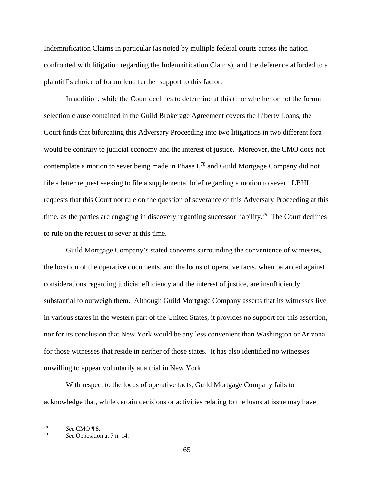Indemnification Claims in particular (as noted by multiple federal courts across the nation confronted with litigation regarding the Indemnification Claims), and the deference afforded to a plaintiff's choice of forum lend further support to this factor.

In addition, while the Court declines to determine at this time whether or not the forum selection clause contained in the Guild Brokerage Agreement covers the Liberty Loans, the Court finds that bifurcating this Adversary Proceeding into two litigations in two different fora would be contrary to judicial economy and the interest of justice. Moreover, the CMO does not contemplate a motion to sever being made in Phase I,78 and Guild Mortgage Company did not file a letter request seeking to file a supplemental brief regarding a motion to sever. LBHI requests that this Court not rule on the question of severance of this Adversary Proceeding at this time, as the parties are engaging in discovery regarding successor liability.<sup>79</sup> The Court declines to rule on the request to sever at this time.

Guild Mortgage Company's stated concerns surrounding the convenience of witnesses, the location of the operative documents, and the locus of operative facts, when balanced against considerations regarding judicial efficiency and the interest of justice, are insufficiently substantial to outweigh them. Although Guild Mortgage Company asserts that its witnesses live in various states in the western part of the United States, it provides no support for this assertion, nor for its conclusion that New York would be any less convenient than Washington or Arizona for those witnesses that reside in neither of those states. It has also identified no witnesses unwilling to appear voluntarily at a trial in New York.

With respect to the locus of operative facts, Guild Mortgage Company fails to acknowledge that, while certain decisions or activities relating to the loans at issue may have

<sup>78</sup> 

<sup>78</sup>*See* CMO ¶ 8. 79 *See* Opposition at 7 n. 14.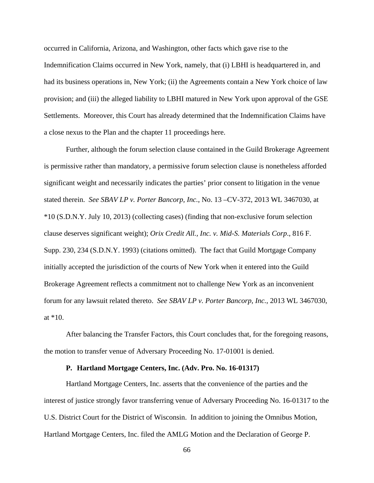occurred in California, Arizona, and Washington, other facts which gave rise to the Indemnification Claims occurred in New York, namely, that (i) LBHI is headquartered in, and had its business operations in, New York; (ii) the Agreements contain a New York choice of law provision; and (iii) the alleged liability to LBHI matured in New York upon approval of the GSE Settlements. Moreover, this Court has already determined that the Indemnification Claims have a close nexus to the Plan and the chapter 11 proceedings here.

Further, although the forum selection clause contained in the Guild Brokerage Agreement is permissive rather than mandatory, a permissive forum selection clause is nonetheless afforded significant weight and necessarily indicates the parties' prior consent to litigation in the venue stated therein. *See SBAV LP v. Porter Bancorp, Inc.*, No. 13 –CV-372, 2013 WL 3467030, at \*10 (S.D.N.Y. July 10, 2013) (collecting cases) (finding that non-exclusive forum selection clause deserves significant weight); *Orix Credit All., Inc. v. Mid-S. Materials Corp*., 816 F. Supp. 230, 234 (S.D.N.Y. 1993) (citations omitted). The fact that Guild Mortgage Company initially accepted the jurisdiction of the courts of New York when it entered into the Guild Brokerage Agreement reflects a commitment not to challenge New York as an inconvenient forum for any lawsuit related thereto. *See SBAV LP v. Porter Bancorp, Inc.*, 2013 WL 3467030, at \*10.

After balancing the Transfer Factors, this Court concludes that, for the foregoing reasons, the motion to transfer venue of Adversary Proceeding No. 17-01001 is denied.

# **P. Hartland Mortgage Centers, Inc. (Adv. Pro. No. 16-01317)**

Hartland Mortgage Centers, Inc. asserts that the convenience of the parties and the interest of justice strongly favor transferring venue of Adversary Proceeding No. 16-01317 to the U.S. District Court for the District of Wisconsin. In addition to joining the Omnibus Motion, Hartland Mortgage Centers, Inc. filed the AMLG Motion and the Declaration of George P.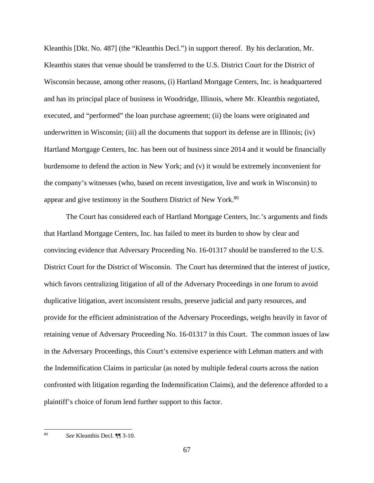Kleanthis [Dkt. No. 487] (the "Kleanthis Decl.") in support thereof. By his declaration, Mr. Kleanthis states that venue should be transferred to the U.S. District Court for the District of Wisconsin because, among other reasons, (i) Hartland Mortgage Centers, Inc. is headquartered and has its principal place of business in Woodridge, Illinois, where Mr. Kleanthis negotiated, executed, and "performed" the loan purchase agreement; (ii) the loans were originated and underwritten in Wisconsin; (iii) all the documents that support its defense are in Illinois; (iv) Hartland Mortgage Centers, Inc. has been out of business since 2014 and it would be financially burdensome to defend the action in New York; and (v) it would be extremely inconvenient for the company's witnesses (who, based on recent investigation, live and work in Wisconsin) to appear and give testimony in the Southern District of New York.<sup>80</sup>

The Court has considered each of Hartland Mortgage Centers, Inc.'s arguments and finds that Hartland Mortgage Centers, Inc. has failed to meet its burden to show by clear and convincing evidence that Adversary Proceeding No. 16-01317 should be transferred to the U.S. District Court for the District of Wisconsin. The Court has determined that the interest of justice, which favors centralizing litigation of all of the Adversary Proceedings in one forum to avoid duplicative litigation, avert inconsistent results, preserve judicial and party resources, and provide for the efficient administration of the Adversary Proceedings, weighs heavily in favor of retaining venue of Adversary Proceeding No. 16-01317 in this Court. The common issues of law in the Adversary Proceedings, this Court's extensive experience with Lehman matters and with the Indemnification Claims in particular (as noted by multiple federal courts across the nation confronted with litigation regarding the Indemnification Claims), and the deference afforded to a plaintiff's choice of forum lend further support to this factor.

 $\overline{\phantom{a}}$ 80 *See* Kleanthis Decl. ¶¶ 3-10.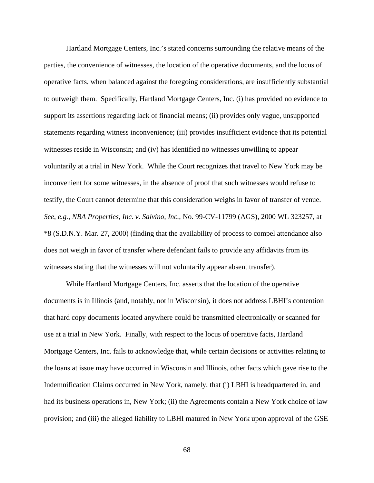Hartland Mortgage Centers, Inc.'s stated concerns surrounding the relative means of the parties, the convenience of witnesses, the location of the operative documents, and the locus of operative facts, when balanced against the foregoing considerations, are insufficiently substantial to outweigh them. Specifically, Hartland Mortgage Centers, Inc. (i) has provided no evidence to support its assertions regarding lack of financial means; (ii) provides only vague, unsupported statements regarding witness inconvenience; (iii) provides insufficient evidence that its potential witnesses reside in Wisconsin; and (iv) has identified no witnesses unwilling to appear voluntarily at a trial in New York. While the Court recognizes that travel to New York may be inconvenient for some witnesses, in the absence of proof that such witnesses would refuse to testify, the Court cannot determine that this consideration weighs in favor of transfer of venue. *See*, *e.g.*, *NBA Properties, Inc. v. Salvino, Inc.*, No. 99-CV-11799 (AGS), 2000 WL 323257, at \*8 (S.D.N.Y. Mar. 27, 2000) (finding that the availability of process to compel attendance also does not weigh in favor of transfer where defendant fails to provide any affidavits from its witnesses stating that the witnesses will not voluntarily appear absent transfer).

While Hartland Mortgage Centers, Inc. asserts that the location of the operative documents is in Illinois (and, notably, not in Wisconsin), it does not address LBHI's contention that hard copy documents located anywhere could be transmitted electronically or scanned for use at a trial in New York. Finally, with respect to the locus of operative facts, Hartland Mortgage Centers, Inc. fails to acknowledge that, while certain decisions or activities relating to the loans at issue may have occurred in Wisconsin and Illinois, other facts which gave rise to the Indemnification Claims occurred in New York, namely, that (i) LBHI is headquartered in, and had its business operations in, New York; (ii) the Agreements contain a New York choice of law provision; and (iii) the alleged liability to LBHI matured in New York upon approval of the GSE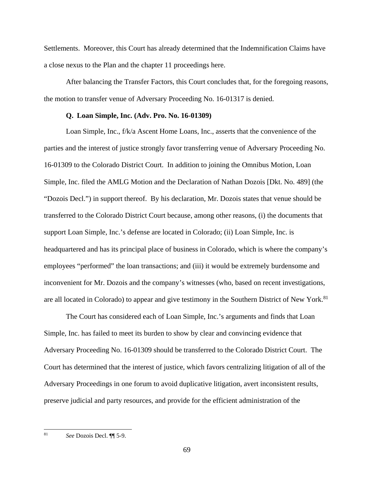Settlements. Moreover, this Court has already determined that the Indemnification Claims have a close nexus to the Plan and the chapter 11 proceedings here.

After balancing the Transfer Factors, this Court concludes that, for the foregoing reasons, the motion to transfer venue of Adversary Proceeding No. 16-01317 is denied.

## **Q. Loan Simple, Inc. (Adv. Pro. No. 16-01309)**

Loan Simple, Inc., f/k/a Ascent Home Loans, Inc., asserts that the convenience of the parties and the interest of justice strongly favor transferring venue of Adversary Proceeding No. 16-01309 to the Colorado District Court. In addition to joining the Omnibus Motion, Loan Simple, Inc. filed the AMLG Motion and the Declaration of Nathan Dozois [Dkt. No. 489] (the "Dozois Decl.") in support thereof. By his declaration, Mr. Dozois states that venue should be transferred to the Colorado District Court because, among other reasons, (i) the documents that support Loan Simple, Inc.'s defense are located in Colorado; (ii) Loan Simple, Inc. is headquartered and has its principal place of business in Colorado, which is where the company's employees "performed" the loan transactions; and (iii) it would be extremely burdensome and inconvenient for Mr. Dozois and the company's witnesses (who, based on recent investigations, are all located in Colorado) to appear and give testimony in the Southern District of New York.<sup>81</sup>

The Court has considered each of Loan Simple, Inc.'s arguments and finds that Loan Simple, Inc. has failed to meet its burden to show by clear and convincing evidence that Adversary Proceeding No. 16-01309 should be transferred to the Colorado District Court. The Court has determined that the interest of justice, which favors centralizing litigation of all of the Adversary Proceedings in one forum to avoid duplicative litigation, avert inconsistent results, preserve judicial and party resources, and provide for the efficient administration of the

 $\overline{\phantom{a}}$ 

<sup>81</sup> *See* Dozois Decl. ¶¶ 5-9.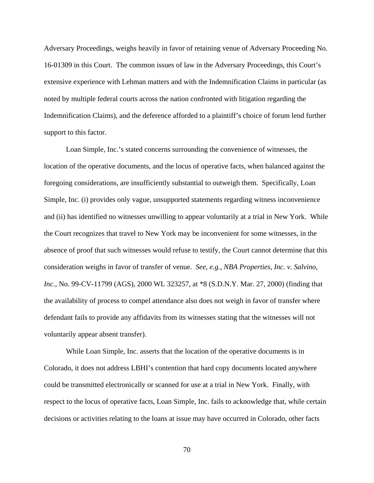Adversary Proceedings, weighs heavily in favor of retaining venue of Adversary Proceeding No. 16-01309 in this Court. The common issues of law in the Adversary Proceedings, this Court's extensive experience with Lehman matters and with the Indemnification Claims in particular (as noted by multiple federal courts across the nation confronted with litigation regarding the Indemnification Claims), and the deference afforded to a plaintiff's choice of forum lend further support to this factor.

Loan Simple, Inc.'s stated concerns surrounding the convenience of witnesses, the location of the operative documents, and the locus of operative facts, when balanced against the foregoing considerations, are insufficiently substantial to outweigh them. Specifically, Loan Simple, Inc. (i) provides only vague, unsupported statements regarding witness inconvenience and (ii) has identified no witnesses unwilling to appear voluntarily at a trial in New York. While the Court recognizes that travel to New York may be inconvenient for some witnesses, in the absence of proof that such witnesses would refuse to testify, the Court cannot determine that this consideration weighs in favor of transfer of venue. *See*, *e.g.*, *NBA Properties, Inc. v. Salvino, Inc.*, No. 99-CV-11799 (AGS), 2000 WL 323257, at \*8 (S.D.N.Y. Mar. 27, 2000) (finding that the availability of process to compel attendance also does not weigh in favor of transfer where defendant fails to provide any affidavits from its witnesses stating that the witnesses will not voluntarily appear absent transfer).

While Loan Simple, Inc. asserts that the location of the operative documents is in Colorado, it does not address LBHI's contention that hard copy documents located anywhere could be transmitted electronically or scanned for use at a trial in New York. Finally, with respect to the locus of operative facts, Loan Simple, Inc. fails to acknowledge that, while certain decisions or activities relating to the loans at issue may have occurred in Colorado, other facts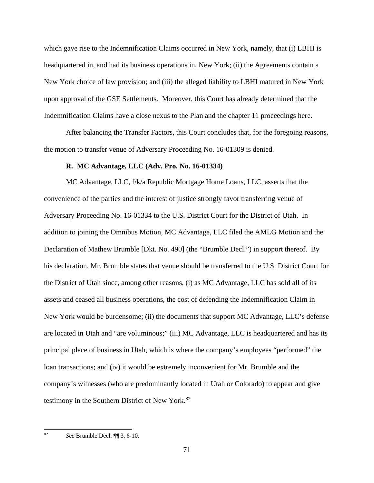which gave rise to the Indemnification Claims occurred in New York, namely, that (i) LBHI is headquartered in, and had its business operations in, New York; (ii) the Agreements contain a New York choice of law provision; and (iii) the alleged liability to LBHI matured in New York upon approval of the GSE Settlements. Moreover, this Court has already determined that the Indemnification Claims have a close nexus to the Plan and the chapter 11 proceedings here.

After balancing the Transfer Factors, this Court concludes that, for the foregoing reasons, the motion to transfer venue of Adversary Proceeding No. 16-01309 is denied.

## **R. MC Advantage, LLC (Adv. Pro. No. 16-01334)**

MC Advantage, LLC, f/k/a Republic Mortgage Home Loans, LLC, asserts that the convenience of the parties and the interest of justice strongly favor transferring venue of Adversary Proceeding No. 16-01334 to the U.S. District Court for the District of Utah. In addition to joining the Omnibus Motion, MC Advantage, LLC filed the AMLG Motion and the Declaration of Mathew Brumble [Dkt. No. 490] (the "Brumble Decl.") in support thereof. By his declaration, Mr. Brumble states that venue should be transferred to the U.S. District Court for the District of Utah since, among other reasons, (i) as MC Advantage, LLC has sold all of its assets and ceased all business operations, the cost of defending the Indemnification Claim in New York would be burdensome; (ii) the documents that support MC Advantage, LLC's defense are located in Utah and "are voluminous;" (iii) MC Advantage, LLC is headquartered and has its principal place of business in Utah, which is where the company's employees "performed" the loan transactions; and (iv) it would be extremely inconvenient for Mr. Brumble and the company's witnesses (who are predominantly located in Utah or Colorado) to appear and give testimony in the Southern District of New York.<sup>82</sup>

82 82 *See* Brumble Decl. ¶¶ 3, 6-10.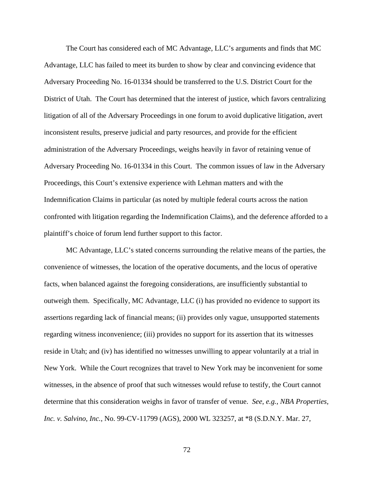The Court has considered each of MC Advantage, LLC's arguments and finds that MC Advantage, LLC has failed to meet its burden to show by clear and convincing evidence that Adversary Proceeding No. 16-01334 should be transferred to the U.S. District Court for the District of Utah. The Court has determined that the interest of justice, which favors centralizing litigation of all of the Adversary Proceedings in one forum to avoid duplicative litigation, avert inconsistent results, preserve judicial and party resources, and provide for the efficient administration of the Adversary Proceedings, weighs heavily in favor of retaining venue of Adversary Proceeding No. 16-01334 in this Court. The common issues of law in the Adversary Proceedings, this Court's extensive experience with Lehman matters and with the Indemnification Claims in particular (as noted by multiple federal courts across the nation confronted with litigation regarding the Indemnification Claims), and the deference afforded to a plaintiff's choice of forum lend further support to this factor.

MC Advantage, LLC's stated concerns surrounding the relative means of the parties, the convenience of witnesses, the location of the operative documents, and the locus of operative facts, when balanced against the foregoing considerations, are insufficiently substantial to outweigh them. Specifically, MC Advantage, LLC (i) has provided no evidence to support its assertions regarding lack of financial means; (ii) provides only vague, unsupported statements regarding witness inconvenience; (iii) provides no support for its assertion that its witnesses reside in Utah; and (iv) has identified no witnesses unwilling to appear voluntarily at a trial in New York. While the Court recognizes that travel to New York may be inconvenient for some witnesses, in the absence of proof that such witnesses would refuse to testify, the Court cannot determine that this consideration weighs in favor of transfer of venue. *See*, *e.g.*, *NBA Properties, Inc. v. Salvino, Inc.*, No. 99-CV-11799 (AGS), 2000 WL 323257, at \*8 (S.D.N.Y. Mar. 27,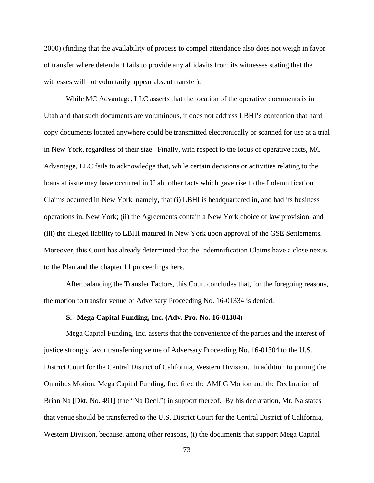2000) (finding that the availability of process to compel attendance also does not weigh in favor of transfer where defendant fails to provide any affidavits from its witnesses stating that the witnesses will not voluntarily appear absent transfer).

While MC Advantage, LLC asserts that the location of the operative documents is in Utah and that such documents are voluminous, it does not address LBHI's contention that hard copy documents located anywhere could be transmitted electronically or scanned for use at a trial in New York, regardless of their size. Finally, with respect to the locus of operative facts, MC Advantage, LLC fails to acknowledge that, while certain decisions or activities relating to the loans at issue may have occurred in Utah, other facts which gave rise to the Indemnification Claims occurred in New York, namely, that (i) LBHI is headquartered in, and had its business operations in, New York; (ii) the Agreements contain a New York choice of law provision; and (iii) the alleged liability to LBHI matured in New York upon approval of the GSE Settlements. Moreover, this Court has already determined that the Indemnification Claims have a close nexus to the Plan and the chapter 11 proceedings here.

After balancing the Transfer Factors, this Court concludes that, for the foregoing reasons, the motion to transfer venue of Adversary Proceeding No. 16-01334 is denied.

### **S. Mega Capital Funding, Inc. (Adv. Pro. No. 16-01304)**

Mega Capital Funding, Inc. asserts that the convenience of the parties and the interest of justice strongly favor transferring venue of Adversary Proceeding No. 16-01304 to the U.S. District Court for the Central District of California, Western Division. In addition to joining the Omnibus Motion, Mega Capital Funding, Inc. filed the AMLG Motion and the Declaration of Brian Na [Dkt. No. 491] (the "Na Decl.") in support thereof. By his declaration, Mr. Na states that venue should be transferred to the U.S. District Court for the Central District of California, Western Division, because, among other reasons, (i) the documents that support Mega Capital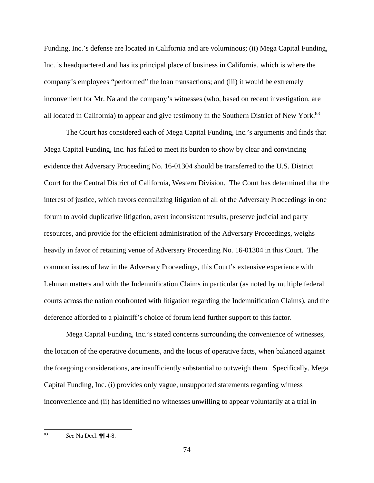Funding, Inc.'s defense are located in California and are voluminous; (ii) Mega Capital Funding, Inc. is headquartered and has its principal place of business in California, which is where the company's employees "performed" the loan transactions; and (iii) it would be extremely inconvenient for Mr. Na and the company's witnesses (who, based on recent investigation, are all located in California) to appear and give testimony in the Southern District of New York.<sup>83</sup>

The Court has considered each of Mega Capital Funding, Inc.'s arguments and finds that Mega Capital Funding, Inc. has failed to meet its burden to show by clear and convincing evidence that Adversary Proceeding No. 16-01304 should be transferred to the U.S. District Court for the Central District of California, Western Division. The Court has determined that the interest of justice, which favors centralizing litigation of all of the Adversary Proceedings in one forum to avoid duplicative litigation, avert inconsistent results, preserve judicial and party resources, and provide for the efficient administration of the Adversary Proceedings, weighs heavily in favor of retaining venue of Adversary Proceeding No. 16-01304 in this Court. The common issues of law in the Adversary Proceedings, this Court's extensive experience with Lehman matters and with the Indemnification Claims in particular (as noted by multiple federal courts across the nation confronted with litigation regarding the Indemnification Claims), and the deference afforded to a plaintiff's choice of forum lend further support to this factor.

Mega Capital Funding, Inc.'s stated concerns surrounding the convenience of witnesses, the location of the operative documents, and the locus of operative facts, when balanced against the foregoing considerations, are insufficiently substantial to outweigh them. Specifically, Mega Capital Funding, Inc. (i) provides only vague, unsupported statements regarding witness inconvenience and (ii) has identified no witnesses unwilling to appear voluntarily at a trial in

<sup>83</sup> *See* Na Decl. ¶¶ 4-8.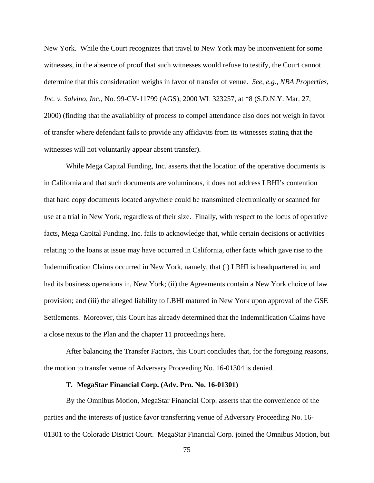New York. While the Court recognizes that travel to New York may be inconvenient for some witnesses, in the absence of proof that such witnesses would refuse to testify, the Court cannot determine that this consideration weighs in favor of transfer of venue. *See*, *e.g.*, *NBA Properties, Inc. v. Salvino, Inc.*, No. 99-CV-11799 (AGS), 2000 WL 323257, at \*8 (S.D.N.Y. Mar. 27, 2000) (finding that the availability of process to compel attendance also does not weigh in favor of transfer where defendant fails to provide any affidavits from its witnesses stating that the witnesses will not voluntarily appear absent transfer).

While Mega Capital Funding, Inc. asserts that the location of the operative documents is in California and that such documents are voluminous, it does not address LBHI's contention that hard copy documents located anywhere could be transmitted electronically or scanned for use at a trial in New York, regardless of their size. Finally, with respect to the locus of operative facts, Mega Capital Funding, Inc. fails to acknowledge that, while certain decisions or activities relating to the loans at issue may have occurred in California, other facts which gave rise to the Indemnification Claims occurred in New York, namely, that (i) LBHI is headquartered in, and had its business operations in, New York; (ii) the Agreements contain a New York choice of law provision; and (iii) the alleged liability to LBHI matured in New York upon approval of the GSE Settlements. Moreover, this Court has already determined that the Indemnification Claims have a close nexus to the Plan and the chapter 11 proceedings here.

After balancing the Transfer Factors, this Court concludes that, for the foregoing reasons, the motion to transfer venue of Adversary Proceeding No. 16-01304 is denied.

#### **T. MegaStar Financial Corp. (Adv. Pro. No. 16-01301)**

By the Omnibus Motion, MegaStar Financial Corp. asserts that the convenience of the parties and the interests of justice favor transferring venue of Adversary Proceeding No. 16- 01301 to the Colorado District Court. MegaStar Financial Corp. joined the Omnibus Motion, but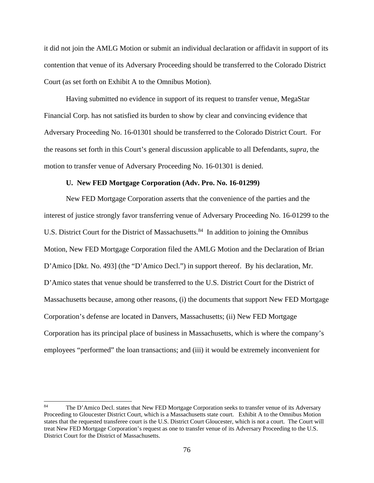it did not join the AMLG Motion or submit an individual declaration or affidavit in support of its contention that venue of its Adversary Proceeding should be transferred to the Colorado District Court (as set forth on Exhibit A to the Omnibus Motion).

Having submitted no evidence in support of its request to transfer venue, MegaStar Financial Corp. has not satisfied its burden to show by clear and convincing evidence that Adversary Proceeding No. 16-01301 should be transferred to the Colorado District Court. For the reasons set forth in this Court's general discussion applicable to all Defendants, *supra*, the motion to transfer venue of Adversary Proceeding No. 16-01301 is denied.

### **U. New FED Mortgage Corporation (Adv. Pro. No. 16-01299)**

New FED Mortgage Corporation asserts that the convenience of the parties and the interest of justice strongly favor transferring venue of Adversary Proceeding No. 16-01299 to the U.S. District Court for the District of Massachusetts.<sup>84</sup> In addition to joining the Omnibus Motion, New FED Mortgage Corporation filed the AMLG Motion and the Declaration of Brian D'Amico [Dkt. No. 493] (the "D'Amico Decl.") in support thereof. By his declaration, Mr. D'Amico states that venue should be transferred to the U.S. District Court for the District of Massachusetts because, among other reasons, (i) the documents that support New FED Mortgage Corporation's defense are located in Danvers, Massachusetts; (ii) New FED Mortgage Corporation has its principal place of business in Massachusetts, which is where the company's employees "performed" the loan transactions; and (iii) it would be extremely inconvenient for

<sup>84</sup> The D'Amico Decl. states that New FED Mortgage Corporation seeks to transfer venue of its Adversary Proceeding to Gloucester District Court, which is a Massachusetts state court. Exhibit A to the Omnibus Motion states that the requested transferee court is the U.S. District Court Gloucester, which is not a court. The Court will treat New FED Mortgage Corporation's request as one to transfer venue of its Adversary Proceeding to the U.S. District Court for the District of Massachusetts.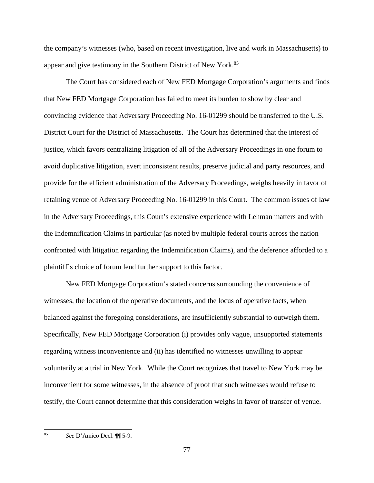the company's witnesses (who, based on recent investigation, live and work in Massachusetts) to appear and give testimony in the Southern District of New York.85

The Court has considered each of New FED Mortgage Corporation's arguments and finds that New FED Mortgage Corporation has failed to meet its burden to show by clear and convincing evidence that Adversary Proceeding No. 16-01299 should be transferred to the U.S. District Court for the District of Massachusetts. The Court has determined that the interest of justice, which favors centralizing litigation of all of the Adversary Proceedings in one forum to avoid duplicative litigation, avert inconsistent results, preserve judicial and party resources, and provide for the efficient administration of the Adversary Proceedings, weighs heavily in favor of retaining venue of Adversary Proceeding No. 16-01299 in this Court. The common issues of law in the Adversary Proceedings, this Court's extensive experience with Lehman matters and with the Indemnification Claims in particular (as noted by multiple federal courts across the nation confronted with litigation regarding the Indemnification Claims), and the deference afforded to a plaintiff's choice of forum lend further support to this factor.

New FED Mortgage Corporation's stated concerns surrounding the convenience of witnesses, the location of the operative documents, and the locus of operative facts, when balanced against the foregoing considerations, are insufficiently substantial to outweigh them. Specifically, New FED Mortgage Corporation (i) provides only vague, unsupported statements regarding witness inconvenience and (ii) has identified no witnesses unwilling to appear voluntarily at a trial in New York. While the Court recognizes that travel to New York may be inconvenient for some witnesses, in the absence of proof that such witnesses would refuse to testify, the Court cannot determine that this consideration weighs in favor of transfer of venue.

<sup>85</sup> *See* D'Amico Decl. ¶¶ 5-9.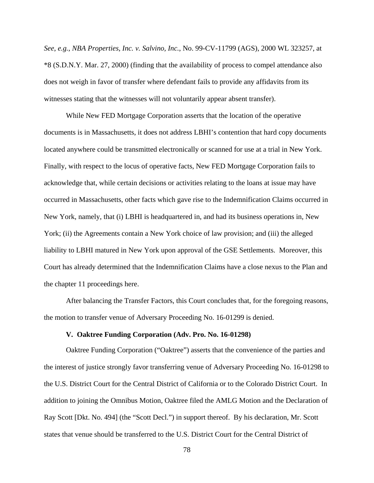*See*, *e.g.*, *NBA Properties, Inc. v. Salvino, Inc.*, No. 99-CV-11799 (AGS), 2000 WL 323257, at \*8 (S.D.N.Y. Mar. 27, 2000) (finding that the availability of process to compel attendance also does not weigh in favor of transfer where defendant fails to provide any affidavits from its witnesses stating that the witnesses will not voluntarily appear absent transfer).

While New FED Mortgage Corporation asserts that the location of the operative documents is in Massachusetts, it does not address LBHI's contention that hard copy documents located anywhere could be transmitted electronically or scanned for use at a trial in New York. Finally, with respect to the locus of operative facts, New FED Mortgage Corporation fails to acknowledge that, while certain decisions or activities relating to the loans at issue may have occurred in Massachusetts, other facts which gave rise to the Indemnification Claims occurred in New York, namely, that (i) LBHI is headquartered in, and had its business operations in, New York; (ii) the Agreements contain a New York choice of law provision; and (iii) the alleged liability to LBHI matured in New York upon approval of the GSE Settlements. Moreover, this Court has already determined that the Indemnification Claims have a close nexus to the Plan and the chapter 11 proceedings here.

After balancing the Transfer Factors, this Court concludes that, for the foregoing reasons, the motion to transfer venue of Adversary Proceeding No. 16-01299 is denied.

## **V. Oaktree Funding Corporation (Adv. Pro. No. 16-01298)**

Oaktree Funding Corporation ("Oaktree") asserts that the convenience of the parties and the interest of justice strongly favor transferring venue of Adversary Proceeding No. 16-01298 to the U.S. District Court for the Central District of California or to the Colorado District Court. In addition to joining the Omnibus Motion, Oaktree filed the AMLG Motion and the Declaration of Ray Scott [Dkt. No. 494] (the "Scott Decl.") in support thereof. By his declaration, Mr. Scott states that venue should be transferred to the U.S. District Court for the Central District of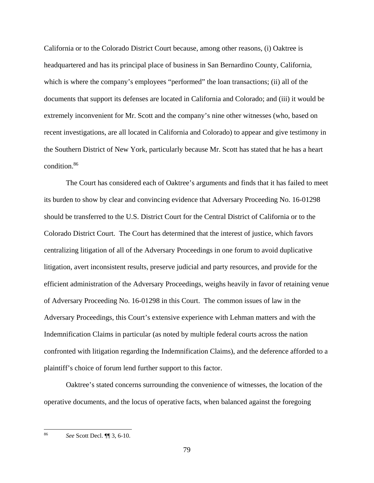California or to the Colorado District Court because, among other reasons, (i) Oaktree is headquartered and has its principal place of business in San Bernardino County, California, which is where the company's employees "performed" the loan transactions; (ii) all of the documents that support its defenses are located in California and Colorado; and (iii) it would be extremely inconvenient for Mr. Scott and the company's nine other witnesses (who, based on recent investigations, are all located in California and Colorado) to appear and give testimony in the Southern District of New York, particularly because Mr. Scott has stated that he has a heart condition.86

The Court has considered each of Oaktree's arguments and finds that it has failed to meet its burden to show by clear and convincing evidence that Adversary Proceeding No. 16-01298 should be transferred to the U.S. District Court for the Central District of California or to the Colorado District Court. The Court has determined that the interest of justice, which favors centralizing litigation of all of the Adversary Proceedings in one forum to avoid duplicative litigation, avert inconsistent results, preserve judicial and party resources, and provide for the efficient administration of the Adversary Proceedings, weighs heavily in favor of retaining venue of Adversary Proceeding No. 16-01298 in this Court. The common issues of law in the Adversary Proceedings, this Court's extensive experience with Lehman matters and with the Indemnification Claims in particular (as noted by multiple federal courts across the nation confronted with litigation regarding the Indemnification Claims), and the deference afforded to a plaintiff's choice of forum lend further support to this factor.

Oaktree's stated concerns surrounding the convenience of witnesses, the location of the operative documents, and the locus of operative facts, when balanced against the foregoing

 $\overline{\phantom{a}}$ 86 *See* Scott Decl. ¶¶ 3, 6-10.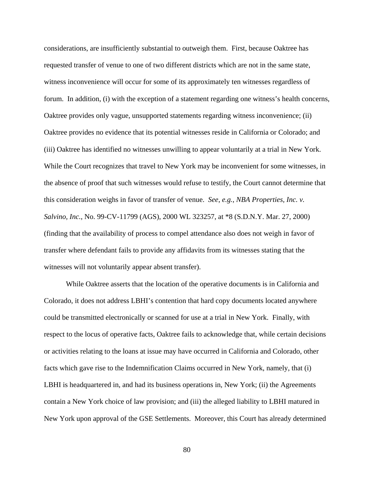considerations, are insufficiently substantial to outweigh them. First, because Oaktree has requested transfer of venue to one of two different districts which are not in the same state, witness inconvenience will occur for some of its approximately ten witnesses regardless of forum. In addition, (i) with the exception of a statement regarding one witness's health concerns, Oaktree provides only vague, unsupported statements regarding witness inconvenience; (ii) Oaktree provides no evidence that its potential witnesses reside in California or Colorado; and (iii) Oaktree has identified no witnesses unwilling to appear voluntarily at a trial in New York. While the Court recognizes that travel to New York may be inconvenient for some witnesses, in the absence of proof that such witnesses would refuse to testify, the Court cannot determine that this consideration weighs in favor of transfer of venue. *See*, *e.g.*, *NBA Properties, Inc. v. Salvino, Inc.*, No. 99-CV-11799 (AGS), 2000 WL 323257, at \*8 (S.D.N.Y. Mar. 27, 2000) (finding that the availability of process to compel attendance also does not weigh in favor of transfer where defendant fails to provide any affidavits from its witnesses stating that the witnesses will not voluntarily appear absent transfer).

While Oaktree asserts that the location of the operative documents is in California and Colorado, it does not address LBHI's contention that hard copy documents located anywhere could be transmitted electronically or scanned for use at a trial in New York. Finally, with respect to the locus of operative facts, Oaktree fails to acknowledge that, while certain decisions or activities relating to the loans at issue may have occurred in California and Colorado, other facts which gave rise to the Indemnification Claims occurred in New York, namely, that (i) LBHI is headquartered in, and had its business operations in, New York; (ii) the Agreements contain a New York choice of law provision; and (iii) the alleged liability to LBHI matured in New York upon approval of the GSE Settlements. Moreover, this Court has already determined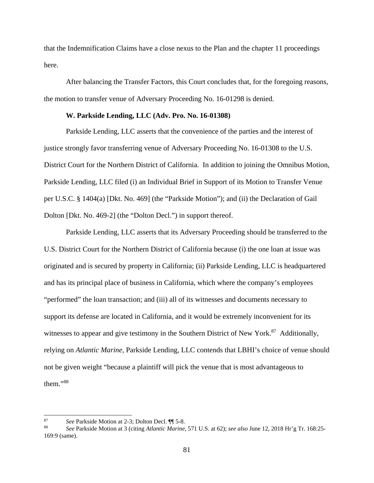that the Indemnification Claims have a close nexus to the Plan and the chapter 11 proceedings here.

After balancing the Transfer Factors, this Court concludes that, for the foregoing reasons, the motion to transfer venue of Adversary Proceeding No. 16-01298 is denied.

# **W. Parkside Lending, LLC (Adv. Pro. No. 16-01308)**

Parkside Lending, LLC asserts that the convenience of the parties and the interest of justice strongly favor transferring venue of Adversary Proceeding No. 16-01308 to the U.S. District Court for the Northern District of California. In addition to joining the Omnibus Motion, Parkside Lending, LLC filed (i) an Individual Brief in Support of its Motion to Transfer Venue per U.S.C. § 1404(a) [Dkt. No. 469] (the "Parkside Motion"); and (ii) the Declaration of Gail Dolton [Dkt. No. 469-2] (the "Dolton Decl.") in support thereof.

Parkside Lending, LLC asserts that its Adversary Proceeding should be transferred to the U.S. District Court for the Northern District of California because (i) the one loan at issue was originated and is secured by property in California; (ii) Parkside Lending, LLC is headquartered and has its principal place of business in California, which where the company's employees "performed" the loan transaction; and (iii) all of its witnesses and documents necessary to support its defense are located in California, and it would be extremely inconvenient for its witnesses to appear and give testimony in the Southern District of New York.<sup>87</sup> Additionally, relying on *Atlantic Marine*, Parkside Lending, LLC contends that LBHI's choice of venue should not be given weight "because a plaintiff will pick the venue that is most advantageous to them."88

 $87\,$ 

<sup>87</sup>*See* Parkside Motion at 2-3; Dolton Decl. ¶¶ 5-8. 88 *See* Parkside Motion at 3 (citing *Atlantic Marine*, 571 U.S. at 62); *see also* June 12, 2018 Hr'g Tr. 168:25- 169:9 (same).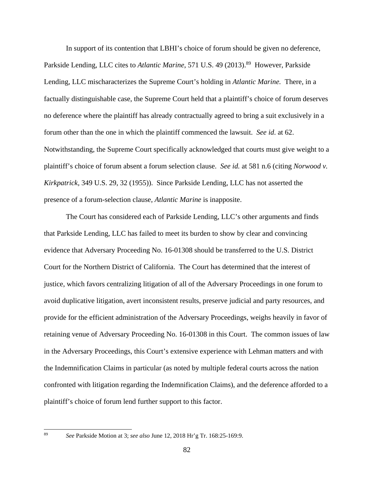In support of its contention that LBHI's choice of forum should be given no deference, Parkside Lending, LLC cites to *Atlantic Marine*, 571 U.S. 49 (2013).<sup>89</sup> However, Parkside Lending, LLC mischaracterizes the Supreme Court's holding in *Atlantic Marine.* There, in a factually distinguishable case, the Supreme Court held that a plaintiff's choice of forum deserves no deference where the plaintiff has already contractually agreed to bring a suit exclusively in a forum other than the one in which the plaintiff commenced the lawsuit. *See id*. at 62. Notwithstanding, the Supreme Court specifically acknowledged that courts must give weight to a plaintiff's choice of forum absent a forum selection clause. *See id.* at 581 n.6 (citing *Norwood v. Kirkpatrick,* 349 U.S. 29, 32 (1955)). Since Parkside Lending, LLC has not asserted the presence of a forum-selection clause, *Atlantic Marine* is inapposite.

The Court has considered each of Parkside Lending, LLC's other arguments and finds that Parkside Lending, LLC has failed to meet its burden to show by clear and convincing evidence that Adversary Proceeding No. 16-01308 should be transferred to the U.S. District Court for the Northern District of California. The Court has determined that the interest of justice, which favors centralizing litigation of all of the Adversary Proceedings in one forum to avoid duplicative litigation, avert inconsistent results, preserve judicial and party resources, and provide for the efficient administration of the Adversary Proceedings, weighs heavily in favor of retaining venue of Adversary Proceeding No. 16-01308 in this Court. The common issues of law in the Adversary Proceedings, this Court's extensive experience with Lehman matters and with the Indemnification Claims in particular (as noted by multiple federal courts across the nation confronted with litigation regarding the Indemnification Claims), and the deference afforded to a plaintiff's choice of forum lend further support to this factor.

<sup>89</sup> *See* Parkside Motion at 3; *see also* June 12, 2018 Hr'g Tr. 168:25-169:9.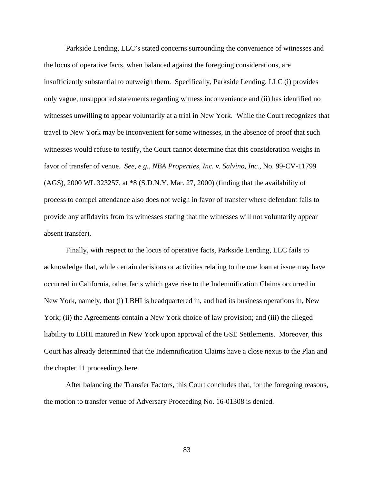Parkside Lending, LLC's stated concerns surrounding the convenience of witnesses and the locus of operative facts, when balanced against the foregoing considerations, are insufficiently substantial to outweigh them. Specifically, Parkside Lending, LLC (i) provides only vague, unsupported statements regarding witness inconvenience and (ii) has identified no witnesses unwilling to appear voluntarily at a trial in New York. While the Court recognizes that travel to New York may be inconvenient for some witnesses, in the absence of proof that such witnesses would refuse to testify, the Court cannot determine that this consideration weighs in favor of transfer of venue. *See*, *e.g.*, *NBA Properties, Inc. v. Salvino, Inc.*, No. 99-CV-11799 (AGS), 2000 WL 323257, at \*8 (S.D.N.Y. Mar. 27, 2000) (finding that the availability of process to compel attendance also does not weigh in favor of transfer where defendant fails to provide any affidavits from its witnesses stating that the witnesses will not voluntarily appear absent transfer).

Finally, with respect to the locus of operative facts, Parkside Lending, LLC fails to acknowledge that, while certain decisions or activities relating to the one loan at issue may have occurred in California, other facts which gave rise to the Indemnification Claims occurred in New York, namely, that (i) LBHI is headquartered in, and had its business operations in, New York; (ii) the Agreements contain a New York choice of law provision; and (iii) the alleged liability to LBHI matured in New York upon approval of the GSE Settlements. Moreover, this Court has already determined that the Indemnification Claims have a close nexus to the Plan and the chapter 11 proceedings here.

After balancing the Transfer Factors, this Court concludes that, for the foregoing reasons, the motion to transfer venue of Adversary Proceeding No. 16-01308 is denied.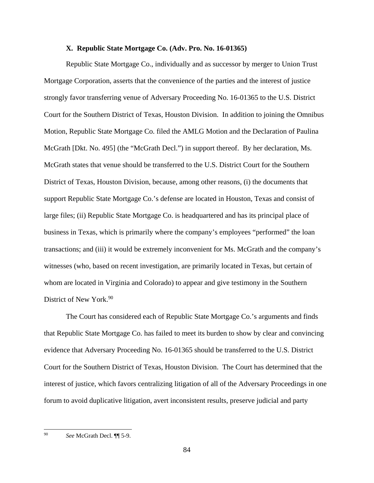### **X. Republic State Mortgage Co. (Adv. Pro. No. 16-01365)**

Republic State Mortgage Co., individually and as successor by merger to Union Trust Mortgage Corporation, asserts that the convenience of the parties and the interest of justice strongly favor transferring venue of Adversary Proceeding No. 16-01365 to the U.S. District Court for the Southern District of Texas, Houston Division. In addition to joining the Omnibus Motion, Republic State Mortgage Co. filed the AMLG Motion and the Declaration of Paulina McGrath [Dkt. No. 495] (the "McGrath Decl.") in support thereof. By her declaration, Ms. McGrath states that venue should be transferred to the U.S. District Court for the Southern District of Texas, Houston Division, because, among other reasons, (i) the documents that support Republic State Mortgage Co.'s defense are located in Houston, Texas and consist of large files; (ii) Republic State Mortgage Co. is headquartered and has its principal place of business in Texas, which is primarily where the company's employees "performed" the loan transactions; and (iii) it would be extremely inconvenient for Ms. McGrath and the company's witnesses (who, based on recent investigation, are primarily located in Texas, but certain of whom are located in Virginia and Colorado) to appear and give testimony in the Southern District of New York.<sup>90</sup>

The Court has considered each of Republic State Mortgage Co.'s arguments and finds that Republic State Mortgage Co. has failed to meet its burden to show by clear and convincing evidence that Adversary Proceeding No. 16-01365 should be transferred to the U.S. District Court for the Southern District of Texas, Houston Division. The Court has determined that the interest of justice, which favors centralizing litigation of all of the Adversary Proceedings in one forum to avoid duplicative litigation, avert inconsistent results, preserve judicial and party

<sup>90</sup> *See* McGrath Decl. ¶¶ 5-9.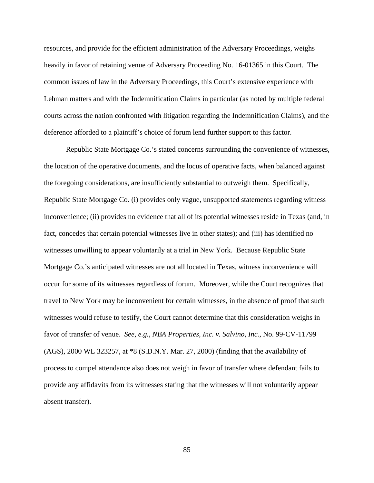resources, and provide for the efficient administration of the Adversary Proceedings, weighs heavily in favor of retaining venue of Adversary Proceeding No. 16-01365 in this Court. The common issues of law in the Adversary Proceedings, this Court's extensive experience with Lehman matters and with the Indemnification Claims in particular (as noted by multiple federal courts across the nation confronted with litigation regarding the Indemnification Claims), and the deference afforded to a plaintiff's choice of forum lend further support to this factor.

Republic State Mortgage Co.'s stated concerns surrounding the convenience of witnesses, the location of the operative documents, and the locus of operative facts, when balanced against the foregoing considerations, are insufficiently substantial to outweigh them. Specifically, Republic State Mortgage Co. (i) provides only vague, unsupported statements regarding witness inconvenience; (ii) provides no evidence that all of its potential witnesses reside in Texas (and, in fact, concedes that certain potential witnesses live in other states); and (iii) has identified no witnesses unwilling to appear voluntarily at a trial in New York. Because Republic State Mortgage Co.'s anticipated witnesses are not all located in Texas, witness inconvenience will occur for some of its witnesses regardless of forum. Moreover, while the Court recognizes that travel to New York may be inconvenient for certain witnesses, in the absence of proof that such witnesses would refuse to testify, the Court cannot determine that this consideration weighs in favor of transfer of venue. *See*, *e.g.*, *NBA Properties, Inc. v. Salvino, Inc.*, No. 99-CV-11799 (AGS), 2000 WL 323257, at \*8 (S.D.N.Y. Mar. 27, 2000) (finding that the availability of process to compel attendance also does not weigh in favor of transfer where defendant fails to provide any affidavits from its witnesses stating that the witnesses will not voluntarily appear absent transfer).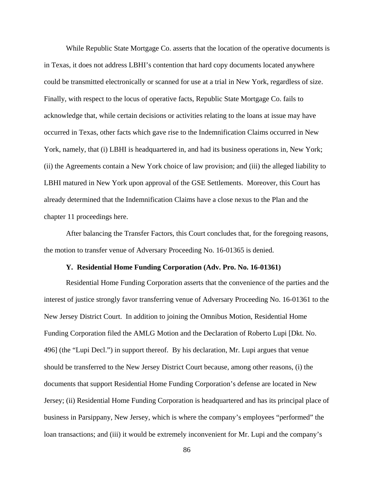While Republic State Mortgage Co. asserts that the location of the operative documents is in Texas, it does not address LBHI's contention that hard copy documents located anywhere could be transmitted electronically or scanned for use at a trial in New York, regardless of size. Finally, with respect to the locus of operative facts, Republic State Mortgage Co. fails to acknowledge that, while certain decisions or activities relating to the loans at issue may have occurred in Texas, other facts which gave rise to the Indemnification Claims occurred in New York, namely, that (i) LBHI is headquartered in, and had its business operations in, New York; (ii) the Agreements contain a New York choice of law provision; and (iii) the alleged liability to LBHI matured in New York upon approval of the GSE Settlements. Moreover, this Court has already determined that the Indemnification Claims have a close nexus to the Plan and the chapter 11 proceedings here.

After balancing the Transfer Factors, this Court concludes that, for the foregoing reasons, the motion to transfer venue of Adversary Proceeding No. 16-01365 is denied.

#### **Y. Residential Home Funding Corporation (Adv. Pro. No. 16-01361)**

Residential Home Funding Corporation asserts that the convenience of the parties and the interest of justice strongly favor transferring venue of Adversary Proceeding No. 16-01361 to the New Jersey District Court. In addition to joining the Omnibus Motion, Residential Home Funding Corporation filed the AMLG Motion and the Declaration of Roberto Lupi [Dkt. No. 496] (the "Lupi Decl.") in support thereof. By his declaration, Mr. Lupi argues that venue should be transferred to the New Jersey District Court because, among other reasons, (i) the documents that support Residential Home Funding Corporation's defense are located in New Jersey; (ii) Residential Home Funding Corporation is headquartered and has its principal place of business in Parsippany, New Jersey, which is where the company's employees "performed" the loan transactions; and (iii) it would be extremely inconvenient for Mr. Lupi and the company's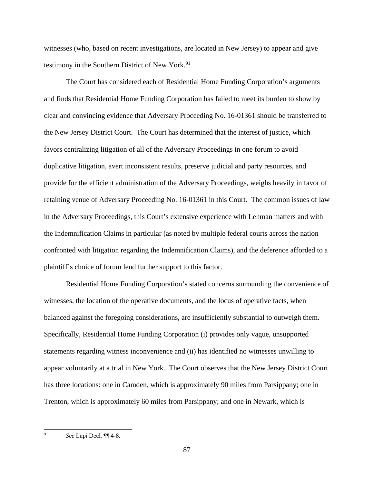witnesses (who, based on recent investigations, are located in New Jersey) to appear and give testimony in the Southern District of New York.<sup>91</sup>

The Court has considered each of Residential Home Funding Corporation's arguments and finds that Residential Home Funding Corporation has failed to meet its burden to show by clear and convincing evidence that Adversary Proceeding No. 16-01361 should be transferred to the New Jersey District Court. The Court has determined that the interest of justice, which favors centralizing litigation of all of the Adversary Proceedings in one forum to avoid duplicative litigation, avert inconsistent results, preserve judicial and party resources, and provide for the efficient administration of the Adversary Proceedings, weighs heavily in favor of retaining venue of Adversary Proceeding No. 16-01361 in this Court. The common issues of law in the Adversary Proceedings, this Court's extensive experience with Lehman matters and with the Indemnification Claims in particular (as noted by multiple federal courts across the nation confronted with litigation regarding the Indemnification Claims), and the deference afforded to a plaintiff's choice of forum lend further support to this factor.

Residential Home Funding Corporation's stated concerns surrounding the convenience of witnesses, the location of the operative documents, and the locus of operative facts, when balanced against the foregoing considerations, are insufficiently substantial to outweigh them. Specifically, Residential Home Funding Corporation (i) provides only vague, unsupported statements regarding witness inconvenience and (ii) has identified no witnesses unwilling to appear voluntarily at a trial in New York. The Court observes that the New Jersey District Court has three locations: one in Camden, which is approximately 90 miles from Parsippany; one in Trenton, which is approximately 60 miles from Parsippany; and one in Newark, which is

<sup>91</sup> *See* Lupi Decl. ¶¶ 4-8.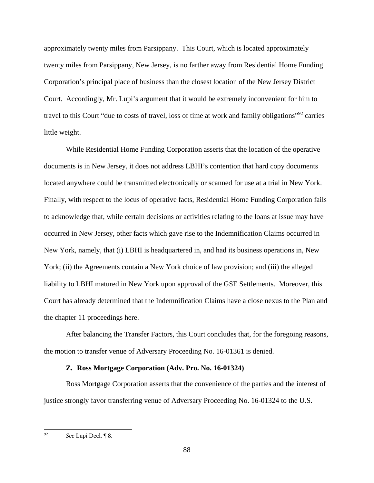approximately twenty miles from Parsippany. This Court, which is located approximately twenty miles from Parsippany, New Jersey, is no farther away from Residential Home Funding Corporation's principal place of business than the closest location of the New Jersey District Court. Accordingly, Mr. Lupi's argument that it would be extremely inconvenient for him to travel to this Court "due to costs of travel, loss of time at work and family obligations"92 carries little weight.

While Residential Home Funding Corporation asserts that the location of the operative documents is in New Jersey, it does not address LBHI's contention that hard copy documents located anywhere could be transmitted electronically or scanned for use at a trial in New York. Finally, with respect to the locus of operative facts, Residential Home Funding Corporation fails to acknowledge that, while certain decisions or activities relating to the loans at issue may have occurred in New Jersey, other facts which gave rise to the Indemnification Claims occurred in New York, namely, that (i) LBHI is headquartered in, and had its business operations in, New York; (ii) the Agreements contain a New York choice of law provision; and (iii) the alleged liability to LBHI matured in New York upon approval of the GSE Settlements. Moreover, this Court has already determined that the Indemnification Claims have a close nexus to the Plan and the chapter 11 proceedings here.

After balancing the Transfer Factors, this Court concludes that, for the foregoing reasons, the motion to transfer venue of Adversary Proceeding No. 16-01361 is denied.

# **Z. Ross Mortgage Corporation (Adv. Pro. No. 16-01324)**

Ross Mortgage Corporation asserts that the convenience of the parties and the interest of justice strongly favor transferring venue of Adversary Proceeding No. 16-01324 to the U.S.

<sup>92</sup> See Lupi Decl. ¶ 8.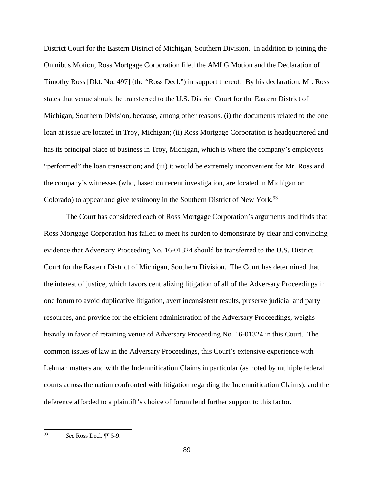District Court for the Eastern District of Michigan, Southern Division. In addition to joining the Omnibus Motion, Ross Mortgage Corporation filed the AMLG Motion and the Declaration of Timothy Ross [Dkt. No. 497] (the "Ross Decl.") in support thereof. By his declaration, Mr. Ross states that venue should be transferred to the U.S. District Court for the Eastern District of Michigan, Southern Division, because, among other reasons, (i) the documents related to the one loan at issue are located in Troy, Michigan; (ii) Ross Mortgage Corporation is headquartered and has its principal place of business in Troy, Michigan, which is where the company's employees "performed" the loan transaction; and (iii) it would be extremely inconvenient for Mr. Ross and the company's witnesses (who, based on recent investigation, are located in Michigan or Colorado) to appear and give testimony in the Southern District of New York.<sup>93</sup>

The Court has considered each of Ross Mortgage Corporation's arguments and finds that Ross Mortgage Corporation has failed to meet its burden to demonstrate by clear and convincing evidence that Adversary Proceeding No. 16-01324 should be transferred to the U.S. District Court for the Eastern District of Michigan, Southern Division. The Court has determined that the interest of justice, which favors centralizing litigation of all of the Adversary Proceedings in one forum to avoid duplicative litigation, avert inconsistent results, preserve judicial and party resources, and provide for the efficient administration of the Adversary Proceedings, weighs heavily in favor of retaining venue of Adversary Proceeding No. 16-01324 in this Court. The common issues of law in the Adversary Proceedings, this Court's extensive experience with Lehman matters and with the Indemnification Claims in particular (as noted by multiple federal courts across the nation confronted with litigation regarding the Indemnification Claims), and the deference afforded to a plaintiff's choice of forum lend further support to this factor.

<sup>93</sup> 93 *See* Ross Decl. ¶¶ 5-9.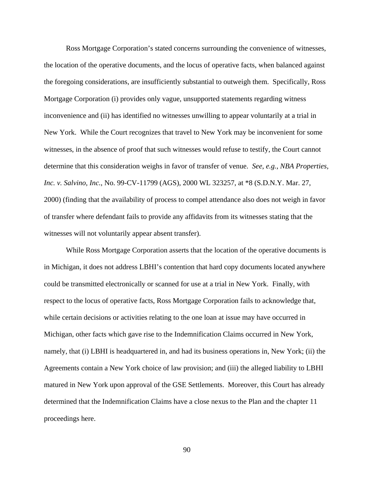Ross Mortgage Corporation's stated concerns surrounding the convenience of witnesses, the location of the operative documents, and the locus of operative facts, when balanced against the foregoing considerations, are insufficiently substantial to outweigh them. Specifically, Ross Mortgage Corporation (i) provides only vague, unsupported statements regarding witness inconvenience and (ii) has identified no witnesses unwilling to appear voluntarily at a trial in New York. While the Court recognizes that travel to New York may be inconvenient for some witnesses, in the absence of proof that such witnesses would refuse to testify, the Court cannot determine that this consideration weighs in favor of transfer of venue. *See*, *e.g.*, *NBA Properties, Inc. v. Salvino, Inc.*, No. 99-CV-11799 (AGS), 2000 WL 323257, at \*8 (S.D.N.Y. Mar. 27, 2000) (finding that the availability of process to compel attendance also does not weigh in favor of transfer where defendant fails to provide any affidavits from its witnesses stating that the witnesses will not voluntarily appear absent transfer).

While Ross Mortgage Corporation asserts that the location of the operative documents is in Michigan, it does not address LBHI's contention that hard copy documents located anywhere could be transmitted electronically or scanned for use at a trial in New York. Finally, with respect to the locus of operative facts, Ross Mortgage Corporation fails to acknowledge that, while certain decisions or activities relating to the one loan at issue may have occurred in Michigan, other facts which gave rise to the Indemnification Claims occurred in New York, namely, that (i) LBHI is headquartered in, and had its business operations in, New York; (ii) the Agreements contain a New York choice of law provision; and (iii) the alleged liability to LBHI matured in New York upon approval of the GSE Settlements. Moreover, this Court has already determined that the Indemnification Claims have a close nexus to the Plan and the chapter 11 proceedings here.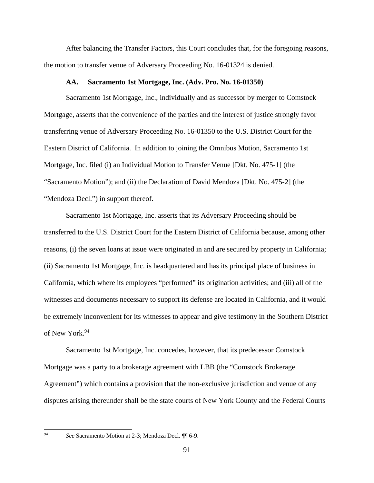After balancing the Transfer Factors, this Court concludes that, for the foregoing reasons, the motion to transfer venue of Adversary Proceeding No. 16-01324 is denied.

#### **AA. Sacramento 1st Mortgage, Inc. (Adv. Pro. No. 16-01350)**

Sacramento 1st Mortgage, Inc., individually and as successor by merger to Comstock Mortgage, asserts that the convenience of the parties and the interest of justice strongly favor transferring venue of Adversary Proceeding No. 16-01350 to the U.S. District Court for the Eastern District of California. In addition to joining the Omnibus Motion, Sacramento 1st Mortgage, Inc. filed (i) an Individual Motion to Transfer Venue [Dkt. No. 475-1] (the "Sacramento Motion"); and (ii) the Declaration of David Mendoza [Dkt. No. 475-2] (the "Mendoza Decl.") in support thereof.

Sacramento 1st Mortgage, Inc. asserts that its Adversary Proceeding should be transferred to the U.S. District Court for the Eastern District of California because, among other reasons, (i) the seven loans at issue were originated in and are secured by property in California; (ii) Sacramento 1st Mortgage, Inc. is headquartered and has its principal place of business in California, which where its employees "performed" its origination activities; and (iii) all of the witnesses and documents necessary to support its defense are located in California, and it would be extremely inconvenient for its witnesses to appear and give testimony in the Southern District of New York.94

Sacramento 1st Mortgage, Inc. concedes, however, that its predecessor Comstock Mortgage was a party to a brokerage agreement with LBB (the "Comstock Brokerage Agreement") which contains a provision that the non-exclusive jurisdiction and venue of any disputes arising thereunder shall be the state courts of New York County and the Federal Courts

<sup>94</sup> *See* Sacramento Motion at 2-3; Mendoza Decl. ¶¶ 6-9.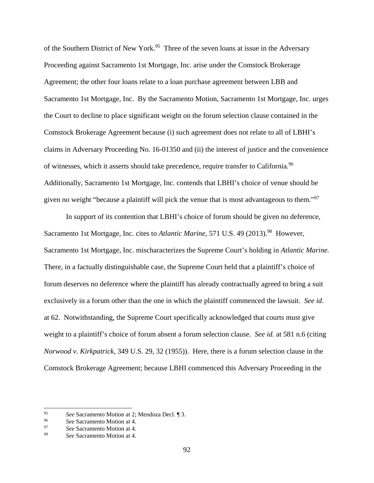of the Southern District of New York.<sup>95</sup> Three of the seven loans at issue in the Adversary Proceeding against Sacramento 1st Mortgage, Inc. arise under the Comstock Brokerage Agreement; the other four loans relate to a loan purchase agreement between LBB and Sacramento 1st Mortgage, Inc. By the Sacramento Motion, Sacramento 1st Mortgage, Inc. urges the Court to decline to place significant weight on the forum selection clause contained in the Comstock Brokerage Agreement because (i) such agreement does not relate to all of LBHI's claims in Adversary Proceeding No. 16-01350 and (ii) the interest of justice and the convenience of witnesses, which it asserts should take precedence, require transfer to California.<sup>96</sup> Additionally, Sacramento 1st Mortgage, Inc. contends that LBHI's choice of venue should be given no weight "because a plaintiff will pick the venue that is most advantageous to them."<sup>97</sup>

In support of its contention that LBHI's choice of forum should be given no deference, Sacramento 1st Mortgage, Inc. cites to *Atlantic Marine*, 571 U.S. 49 (2013).<sup>98</sup> However, Sacramento 1st Mortgage, Inc. mischaracterizes the Supreme Court's holding in *Atlantic Marine.* There, in a factually distinguishable case, the Supreme Court held that a plaintiff's choice of forum deserves no deference where the plaintiff has already contractually agreed to bring a suit exclusively in a forum other than the one in which the plaintiff commenced the lawsuit. *See id*. at 62. Notwithstanding, the Supreme Court specifically acknowledged that courts must give weight to a plaintiff's choice of forum absent a forum selection clause. *See id.* at 581 n.6 (citing *Norwood v. Kirkpatrick,* 349 U.S. 29, 32 (1955)). Here, there is a forum selection clause in the Comstock Brokerage Agreement; because LBHI commenced this Adversary Proceeding in the

<sup>95</sup> See Sacramento Motion at 2; Mendoza Decl. ¶ 3.<br>
96 See Sacramento Motion at 4.<br>
98 See Sacramento Motion at 4.

See Sacramento Motion at 4.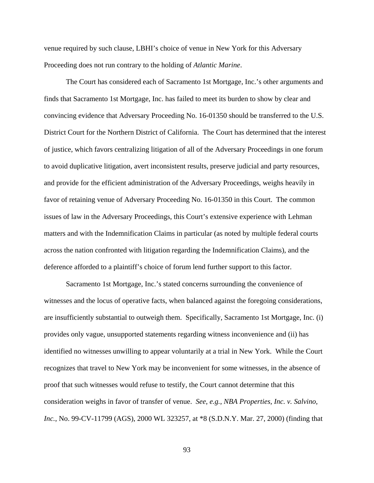venue required by such clause, LBHI's choice of venue in New York for this Adversary Proceeding does not run contrary to the holding of *Atlantic Marine*.

The Court has considered each of Sacramento 1st Mortgage, Inc.'s other arguments and finds that Sacramento 1st Mortgage, Inc. has failed to meet its burden to show by clear and convincing evidence that Adversary Proceeding No. 16-01350 should be transferred to the U.S. District Court for the Northern District of California. The Court has determined that the interest of justice, which favors centralizing litigation of all of the Adversary Proceedings in one forum to avoid duplicative litigation, avert inconsistent results, preserve judicial and party resources, and provide for the efficient administration of the Adversary Proceedings, weighs heavily in favor of retaining venue of Adversary Proceeding No. 16-01350 in this Court. The common issues of law in the Adversary Proceedings, this Court's extensive experience with Lehman matters and with the Indemnification Claims in particular (as noted by multiple federal courts across the nation confronted with litigation regarding the Indemnification Claims), and the deference afforded to a plaintiff's choice of forum lend further support to this factor.

Sacramento 1st Mortgage, Inc.'s stated concerns surrounding the convenience of witnesses and the locus of operative facts, when balanced against the foregoing considerations, are insufficiently substantial to outweigh them. Specifically, Sacramento 1st Mortgage, Inc. (i) provides only vague, unsupported statements regarding witness inconvenience and (ii) has identified no witnesses unwilling to appear voluntarily at a trial in New York. While the Court recognizes that travel to New York may be inconvenient for some witnesses, in the absence of proof that such witnesses would refuse to testify, the Court cannot determine that this consideration weighs in favor of transfer of venue. *See*, *e.g.*, *NBA Properties, Inc. v. Salvino, Inc.*, No. 99-CV-11799 (AGS), 2000 WL 323257, at \*8 (S.D.N.Y. Mar. 27, 2000) (finding that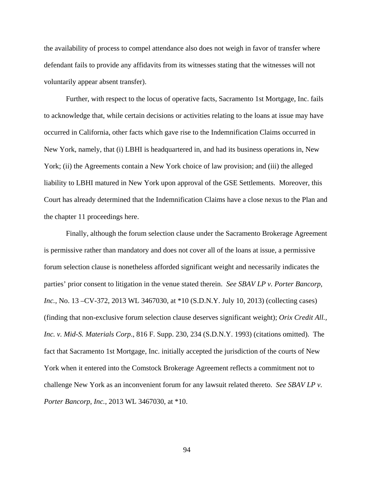the availability of process to compel attendance also does not weigh in favor of transfer where defendant fails to provide any affidavits from its witnesses stating that the witnesses will not voluntarily appear absent transfer).

Further, with respect to the locus of operative facts, Sacramento 1st Mortgage, Inc. fails to acknowledge that, while certain decisions or activities relating to the loans at issue may have occurred in California, other facts which gave rise to the Indemnification Claims occurred in New York, namely, that (i) LBHI is headquartered in, and had its business operations in, New York; (ii) the Agreements contain a New York choice of law provision; and (iii) the alleged liability to LBHI matured in New York upon approval of the GSE Settlements. Moreover, this Court has already determined that the Indemnification Claims have a close nexus to the Plan and the chapter 11 proceedings here.

Finally, although the forum selection clause under the Sacramento Brokerage Agreement is permissive rather than mandatory and does not cover all of the loans at issue, a permissive forum selection clause is nonetheless afforded significant weight and necessarily indicates the parties' prior consent to litigation in the venue stated therein. *See SBAV LP v. Porter Bancorp, Inc.*, No. 13 –CV-372, 2013 WL 3467030, at \*10 (S.D.N.Y. July 10, 2013) (collecting cases) (finding that non-exclusive forum selection clause deserves significant weight); *Orix Credit All., Inc. v. Mid-S. Materials Corp*., 816 F. Supp. 230, 234 (S.D.N.Y. 1993) (citations omitted). The fact that Sacramento 1st Mortgage, Inc. initially accepted the jurisdiction of the courts of New York when it entered into the Comstock Brokerage Agreement reflects a commitment not to challenge New York as an inconvenient forum for any lawsuit related thereto. *See SBAV LP v. Porter Bancorp, Inc.*, 2013 WL 3467030, at \*10.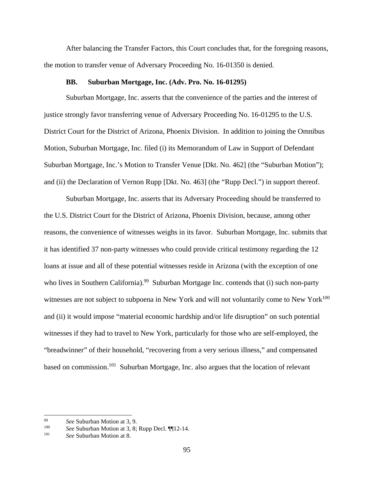After balancing the Transfer Factors, this Court concludes that, for the foregoing reasons, the motion to transfer venue of Adversary Proceeding No. 16-01350 is denied.

# **BB. Suburban Mortgage, Inc. (Adv. Pro. No. 16-01295)**

Suburban Mortgage, Inc. asserts that the convenience of the parties and the interest of justice strongly favor transferring venue of Adversary Proceeding No. 16-01295 to the U.S. District Court for the District of Arizona, Phoenix Division. In addition to joining the Omnibus Motion, Suburban Mortgage, Inc. filed (i) its Memorandum of Law in Support of Defendant Suburban Mortgage, Inc.'s Motion to Transfer Venue [Dkt. No. 462] (the "Suburban Motion"); and (ii) the Declaration of Vernon Rupp [Dkt. No. 463] (the "Rupp Decl.") in support thereof.

Suburban Mortgage, Inc. asserts that its Adversary Proceeding should be transferred to the U.S. District Court for the District of Arizona, Phoenix Division, because, among other reasons, the convenience of witnesses weighs in its favor. Suburban Mortgage, Inc. submits that it has identified 37 non-party witnesses who could provide critical testimony regarding the 12 loans at issue and all of these potential witnesses reside in Arizona (with the exception of one who lives in Southern California).<sup>99</sup> Suburban Mortgage Inc. contends that (i) such non-party witnesses are not subject to subpoena in New York and will not voluntarily come to New York<sup>100</sup> and (ii) it would impose "material economic hardship and/or life disruption" on such potential witnesses if they had to travel to New York, particularly for those who are self-employed, the "breadwinner" of their household, "recovering from a very serious illness," and compensated based on commission.101 Suburban Mortgage, Inc. also argues that the location of relevant

<sup>99</sup>*See* Suburban Motion at 3, 9. 100 *See* Suburban Motion at 3, 8; Rupp Decl. ¶¶12-14. 101 *See* Suburban Motion at 8.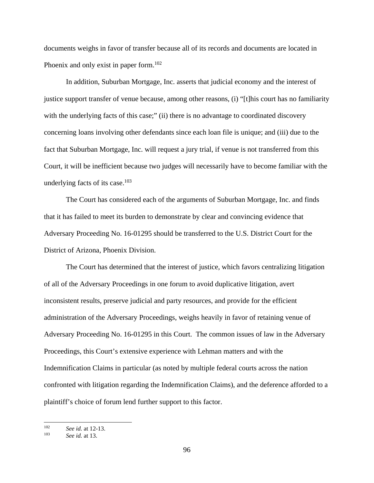documents weighs in favor of transfer because all of its records and documents are located in Phoenix and only exist in paper form.<sup>102</sup>

In addition, Suburban Mortgage, Inc. asserts that judicial economy and the interest of justice support transfer of venue because, among other reasons, (i) "[t]his court has no familiarity with the underlying facts of this case;" (ii) there is no advantage to coordinated discovery concerning loans involving other defendants since each loan file is unique; and (iii) due to the fact that Suburban Mortgage, Inc. will request a jury trial, if venue is not transferred from this Court, it will be inefficient because two judges will necessarily have to become familiar with the underlying facts of its case. $103$ 

The Court has considered each of the arguments of Suburban Mortgage, Inc. and finds that it has failed to meet its burden to demonstrate by clear and convincing evidence that Adversary Proceeding No. 16-01295 should be transferred to the U.S. District Court for the District of Arizona, Phoenix Division.

The Court has determined that the interest of justice, which favors centralizing litigation of all of the Adversary Proceedings in one forum to avoid duplicative litigation, avert inconsistent results, preserve judicial and party resources, and provide for the efficient administration of the Adversary Proceedings, weighs heavily in favor of retaining venue of Adversary Proceeding No. 16-01295 in this Court. The common issues of law in the Adversary Proceedings, this Court's extensive experience with Lehman matters and with the Indemnification Claims in particular (as noted by multiple federal courts across the nation confronted with litigation regarding the Indemnification Claims), and the deference afforded to a plaintiff's choice of forum lend further support to this factor.

<sup>102</sup> <sup>102</sup>*See id.* at 12-13. 103 *See id.* at 13.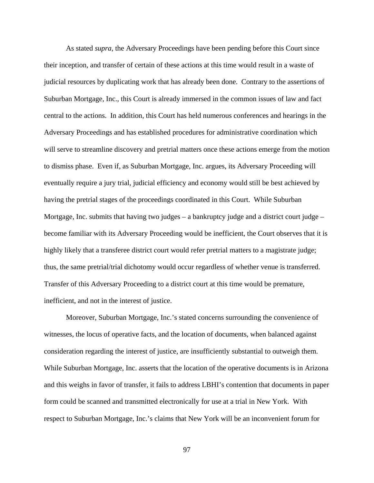As stated *supra*, the Adversary Proceedings have been pending before this Court since their inception, and transfer of certain of these actions at this time would result in a waste of judicial resources by duplicating work that has already been done. Contrary to the assertions of Suburban Mortgage, Inc., this Court is already immersed in the common issues of law and fact central to the actions. In addition, this Court has held numerous conferences and hearings in the Adversary Proceedings and has established procedures for administrative coordination which will serve to streamline discovery and pretrial matters once these actions emerge from the motion to dismiss phase. Even if, as Suburban Mortgage, Inc. argues, its Adversary Proceeding will eventually require a jury trial, judicial efficiency and economy would still be best achieved by having the pretrial stages of the proceedings coordinated in this Court. While Suburban Mortgage, Inc. submits that having two judges  $-$  a bankruptcy judge and a district court judge  $$ become familiar with its Adversary Proceeding would be inefficient, the Court observes that it is highly likely that a transferee district court would refer pretrial matters to a magistrate judge; thus, the same pretrial/trial dichotomy would occur regardless of whether venue is transferred. Transfer of this Adversary Proceeding to a district court at this time would be premature, inefficient, and not in the interest of justice.

Moreover, Suburban Mortgage, Inc.'s stated concerns surrounding the convenience of witnesses, the locus of operative facts, and the location of documents, when balanced against consideration regarding the interest of justice, are insufficiently substantial to outweigh them. While Suburban Mortgage, Inc. asserts that the location of the operative documents is in Arizona and this weighs in favor of transfer, it fails to address LBHI's contention that documents in paper form could be scanned and transmitted electronically for use at a trial in New York. With respect to Suburban Mortgage, Inc.'s claims that New York will be an inconvenient forum for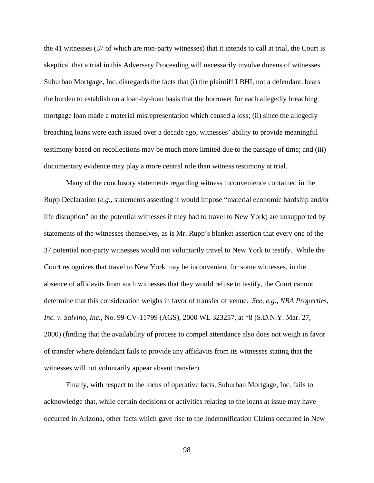the 41 witnesses (37 of which are non-party witnesses) that it intends to call at trial, the Court is skeptical that a trial in this Adversary Proceeding will necessarily involve dozens of witnesses. Suburban Mortgage, Inc. disregards the facts that (i) the plaintiff LBHI, not a defendant, bears the burden to establish on a loan-by-loan basis that the borrower for each allegedly breaching mortgage loan made a material misrepresentation which caused a loss; (ii) since the allegedly breaching loans were each issued over a decade ago, witnesses' ability to provide meaningful testimony based on recollections may be much more limited due to the passage of time; and (iii) documentary evidence may play a more central role than witness testimony at trial.

Many of the conclusory statements regarding witness inconvenience contained in the Rupp Declaration (*e.g.*, statements asserting it would impose "material economic hardship and/or life disruption" on the potential witnesses if they had to travel to New York) are unsupported by statements of the witnesses themselves, as is Mr. Rupp's blanket assertion that every one of the 37 potential non-party witnesses would not voluntarily travel to New York to testify. While the Court recognizes that travel to New York may be inconvenient for some witnesses, in the absence of affidavits from such witnesses that they would refuse to testify, the Court cannot determine that this consideration weighs in favor of transfer of venue. *See*, *e.g.*, *NBA Properties, Inc. v. Salvino, Inc.*, No. 99-CV-11799 (AGS), 2000 WL 323257, at \*8 (S.D.N.Y. Mar. 27, 2000) (finding that the availability of process to compel attendance also does not weigh in favor of transfer where defendant fails to provide any affidavits from its witnesses stating that the witnesses will not voluntarily appear absent transfer).

Finally, with respect to the locus of operative facts, Suburban Mortgage, Inc. fails to acknowledge that, while certain decisions or activities relating to the loans at issue may have occurred in Arizona, other facts which gave rise to the Indemnification Claims occurred in New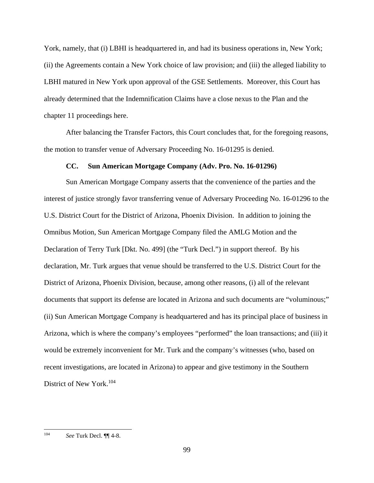York, namely, that (i) LBHI is headquartered in, and had its business operations in, New York; (ii) the Agreements contain a New York choice of law provision; and (iii) the alleged liability to LBHI matured in New York upon approval of the GSE Settlements. Moreover, this Court has already determined that the Indemnification Claims have a close nexus to the Plan and the chapter 11 proceedings here.

After balancing the Transfer Factors, this Court concludes that, for the foregoing reasons, the motion to transfer venue of Adversary Proceeding No. 16-01295 is denied.

### **CC. Sun American Mortgage Company (Adv. Pro. No. 16-01296)**

Sun American Mortgage Company asserts that the convenience of the parties and the interest of justice strongly favor transferring venue of Adversary Proceeding No. 16-01296 to the U.S. District Court for the District of Arizona, Phoenix Division. In addition to joining the Omnibus Motion, Sun American Mortgage Company filed the AMLG Motion and the Declaration of Terry Turk [Dkt. No. 499] (the "Turk Decl.") in support thereof. By his declaration, Mr. Turk argues that venue should be transferred to the U.S. District Court for the District of Arizona, Phoenix Division, because, among other reasons, (i) all of the relevant documents that support its defense are located in Arizona and such documents are "voluminous;" (ii) Sun American Mortgage Company is headquartered and has its principal place of business in Arizona, which is where the company's employees "performed" the loan transactions; and (iii) it would be extremely inconvenient for Mr. Turk and the company's witnesses (who, based on recent investigations, are located in Arizona) to appear and give testimony in the Southern District of New York.104

<sup>104</sup> 104 *See* Turk Decl. ¶¶ 4-8.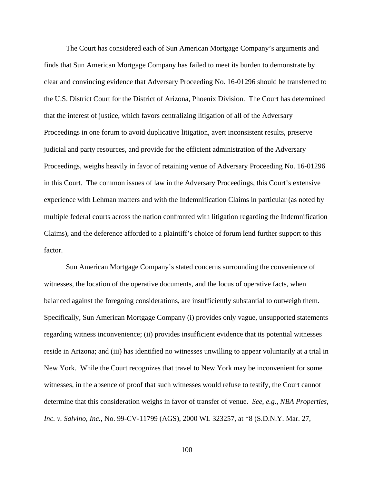The Court has considered each of Sun American Mortgage Company's arguments and finds that Sun American Mortgage Company has failed to meet its burden to demonstrate by clear and convincing evidence that Adversary Proceeding No. 16-01296 should be transferred to the U.S. District Court for the District of Arizona, Phoenix Division. The Court has determined that the interest of justice, which favors centralizing litigation of all of the Adversary Proceedings in one forum to avoid duplicative litigation, avert inconsistent results, preserve judicial and party resources, and provide for the efficient administration of the Adversary Proceedings, weighs heavily in favor of retaining venue of Adversary Proceeding No. 16-01296 in this Court. The common issues of law in the Adversary Proceedings, this Court's extensive experience with Lehman matters and with the Indemnification Claims in particular (as noted by multiple federal courts across the nation confronted with litigation regarding the Indemnification Claims), and the deference afforded to a plaintiff's choice of forum lend further support to this factor.

Sun American Mortgage Company's stated concerns surrounding the convenience of witnesses, the location of the operative documents, and the locus of operative facts, when balanced against the foregoing considerations, are insufficiently substantial to outweigh them. Specifically, Sun American Mortgage Company (i) provides only vague, unsupported statements regarding witness inconvenience; (ii) provides insufficient evidence that its potential witnesses reside in Arizona; and (iii) has identified no witnesses unwilling to appear voluntarily at a trial in New York. While the Court recognizes that travel to New York may be inconvenient for some witnesses, in the absence of proof that such witnesses would refuse to testify, the Court cannot determine that this consideration weighs in favor of transfer of venue. *See*, *e.g.*, *NBA Properties, Inc. v. Salvino, Inc.*, No. 99-CV-11799 (AGS), 2000 WL 323257, at \*8 (S.D.N.Y. Mar. 27,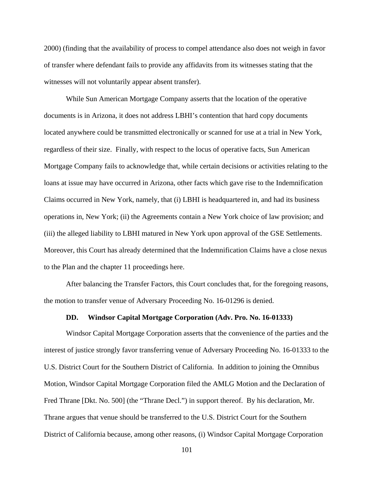2000) (finding that the availability of process to compel attendance also does not weigh in favor of transfer where defendant fails to provide any affidavits from its witnesses stating that the witnesses will not voluntarily appear absent transfer).

While Sun American Mortgage Company asserts that the location of the operative documents is in Arizona, it does not address LBHI's contention that hard copy documents located anywhere could be transmitted electronically or scanned for use at a trial in New York, regardless of their size. Finally, with respect to the locus of operative facts, Sun American Mortgage Company fails to acknowledge that, while certain decisions or activities relating to the loans at issue may have occurred in Arizona, other facts which gave rise to the Indemnification Claims occurred in New York, namely, that (i) LBHI is headquartered in, and had its business operations in, New York; (ii) the Agreements contain a New York choice of law provision; and (iii) the alleged liability to LBHI matured in New York upon approval of the GSE Settlements. Moreover, this Court has already determined that the Indemnification Claims have a close nexus to the Plan and the chapter 11 proceedings here.

After balancing the Transfer Factors, this Court concludes that, for the foregoing reasons, the motion to transfer venue of Adversary Proceeding No. 16-01296 is denied.

# **DD. Windsor Capital Mortgage Corporation (Adv. Pro. No. 16-01333)**

Windsor Capital Mortgage Corporation asserts that the convenience of the parties and the interest of justice strongly favor transferring venue of Adversary Proceeding No. 16-01333 to the U.S. District Court for the Southern District of California. In addition to joining the Omnibus Motion, Windsor Capital Mortgage Corporation filed the AMLG Motion and the Declaration of Fred Thrane [Dkt. No. 500] (the "Thrane Decl.") in support thereof. By his declaration, Mr. Thrane argues that venue should be transferred to the U.S. District Court for the Southern District of California because, among other reasons, (i) Windsor Capital Mortgage Corporation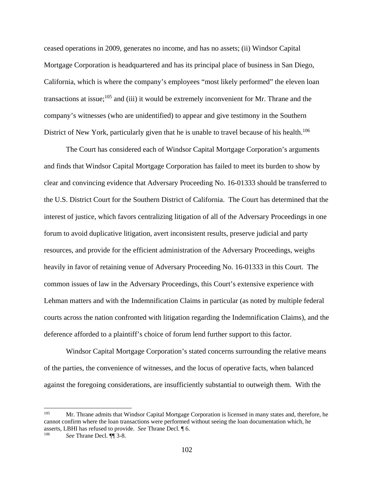ceased operations in 2009, generates no income, and has no assets; (ii) Windsor Capital Mortgage Corporation is headquartered and has its principal place of business in San Diego, California, which is where the company's employees "most likely performed" the eleven loan transactions at issue; $^{105}$  and (iii) it would be extremely inconvenient for Mr. Thrane and the company's witnesses (who are unidentified) to appear and give testimony in the Southern District of New York, particularly given that he is unable to travel because of his health.<sup>106</sup>

The Court has considered each of Windsor Capital Mortgage Corporation's arguments and finds that Windsor Capital Mortgage Corporation has failed to meet its burden to show by clear and convincing evidence that Adversary Proceeding No. 16-01333 should be transferred to the U.S. District Court for the Southern District of California. The Court has determined that the interest of justice, which favors centralizing litigation of all of the Adversary Proceedings in one forum to avoid duplicative litigation, avert inconsistent results, preserve judicial and party resources, and provide for the efficient administration of the Adversary Proceedings, weighs heavily in favor of retaining venue of Adversary Proceeding No. 16-01333 in this Court. The common issues of law in the Adversary Proceedings, this Court's extensive experience with Lehman matters and with the Indemnification Claims in particular (as noted by multiple federal courts across the nation confronted with litigation regarding the Indemnification Claims), and the deference afforded to a plaintiff's choice of forum lend further support to this factor.

Windsor Capital Mortgage Corporation's stated concerns surrounding the relative means of the parties, the convenience of witnesses, and the locus of operative facts, when balanced against the foregoing considerations, are insufficiently substantial to outweigh them. With the

<sup>&</sup>lt;sup>105</sup> Mr. Thrane admits that Windsor Capital Mortgage Corporation is licensed in many states and, therefore, he cannot confirm where the loan transactions were performed without seeing the loan documentation which, he asserts, LBHI has refused to provide. *See* Thrane Decl. ¶ 6. 106 *See* Thrane Decl. ¶¶ 3-8.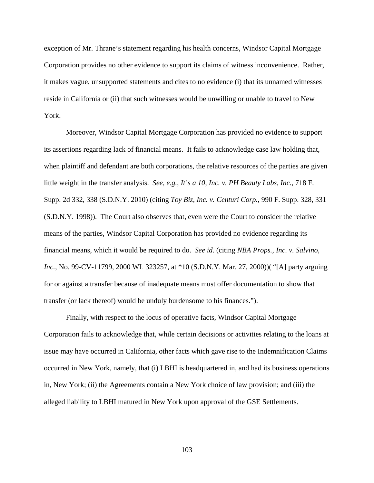exception of Mr. Thrane's statement regarding his health concerns, Windsor Capital Mortgage Corporation provides no other evidence to support its claims of witness inconvenience. Rather, it makes vague, unsupported statements and cites to no evidence (i) that its unnamed witnesses reside in California or (ii) that such witnesses would be unwilling or unable to travel to New York.

Moreover, Windsor Capital Mortgage Corporation has provided no evidence to support its assertions regarding lack of financial means. It fails to acknowledge case law holding that, when plaintiff and defendant are both corporations, the relative resources of the parties are given little weight in the transfer analysis. *See*, *e.g.*, *It's a 10, Inc. v. PH Beauty Labs, Inc.*, 718 F. Supp. 2d 332, 338 (S.D.N.Y. 2010) (citing *Toy Biz, Inc. v. Centuri Corp.*, 990 F. Supp. 328, 331 (S.D.N.Y. 1998)). The Court also observes that, even were the Court to consider the relative means of the parties, Windsor Capital Corporation has provided no evidence regarding its financial means, which it would be required to do. *See id.* (citing *NBA Props., Inc. v. Salvino, Inc.*, No. 99-CV-11799, 2000 WL 323257, at \*10 (S.D.N.Y. Mar. 27, 2000)) ("[A] party arguing for or against a transfer because of inadequate means must offer documentation to show that transfer (or lack thereof) would be unduly burdensome to his finances.").

Finally, with respect to the locus of operative facts, Windsor Capital Mortgage Corporation fails to acknowledge that, while certain decisions or activities relating to the loans at issue may have occurred in California, other facts which gave rise to the Indemnification Claims occurred in New York, namely, that (i) LBHI is headquartered in, and had its business operations in, New York; (ii) the Agreements contain a New York choice of law provision; and (iii) the alleged liability to LBHI matured in New York upon approval of the GSE Settlements.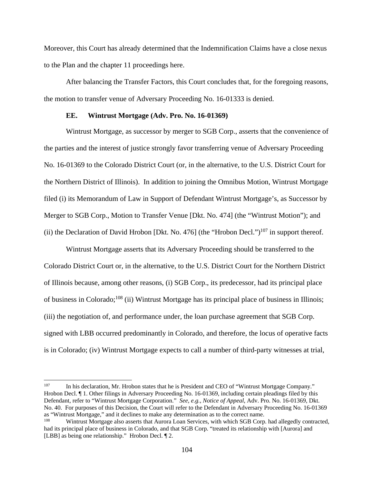Moreover, this Court has already determined that the Indemnification Claims have a close nexus to the Plan and the chapter 11 proceedings here.

After balancing the Transfer Factors, this Court concludes that, for the foregoing reasons, the motion to transfer venue of Adversary Proceeding No. 16-01333 is denied.

#### **EE. Wintrust Mortgage (Adv. Pro. No. 16-01369)**

Wintrust Mortgage, as successor by merger to SGB Corp., asserts that the convenience of the parties and the interest of justice strongly favor transferring venue of Adversary Proceeding No. 16-01369 to the Colorado District Court (or, in the alternative, to the U.S. District Court for the Northern District of Illinois). In addition to joining the Omnibus Motion, Wintrust Mortgage filed (i) its Memorandum of Law in Support of Defendant Wintrust Mortgage's, as Successor by Merger to SGB Corp., Motion to Transfer Venue [Dkt. No. 474] (the "Wintrust Motion"); and (ii) the Declaration of David Hrobon [Dkt. No. 476] (the "Hrobon Decl.")<sup>107</sup> in support thereof.

Wintrust Mortgage asserts that its Adversary Proceeding should be transferred to the Colorado District Court or, in the alternative, to the U.S. District Court for the Northern District of Illinois because, among other reasons, (i) SGB Corp., its predecessor, had its principal place of business in Colorado;108 (ii) Wintrust Mortgage has its principal place of business in Illinois; (iii) the negotiation of, and performance under, the loan purchase agreement that SGB Corp. signed with LBB occurred predominantly in Colorado, and therefore, the locus of operative facts is in Colorado; (iv) Wintrust Mortgage expects to call a number of third-party witnesses at trial,

<sup>107</sup> In his declaration, Mr. Hrobon states that he is President and CEO of "Wintrust Mortgage Company." Hrobon Decl. ¶ 1. Other filings in Adversary Proceeding No. 16-01369, including certain pleadings filed by this Defendant, refer to "Wintrust Mortgage Corporation." *See*, *e.g.*, *Notice of Appeal*, Adv. Pro. No. 16-01369, Dkt. No. 40. For purposes of this Decision, the Court will refer to the Defendant in Adversary Proceeding No. 16-01369 as "Wintrust Mortgage," and it declines to make any determination as to the correct name.<br><sup>108</sup> Wintrust Mortgage also asserts that Aurora Loan Services, with which SGB Corp. had allegedly contracted,

had its principal place of business in Colorado, and that SGB Corp. "treated its relationship with [Aurora] and [LBB] as being one relationship." Hrobon Decl. ¶ 2.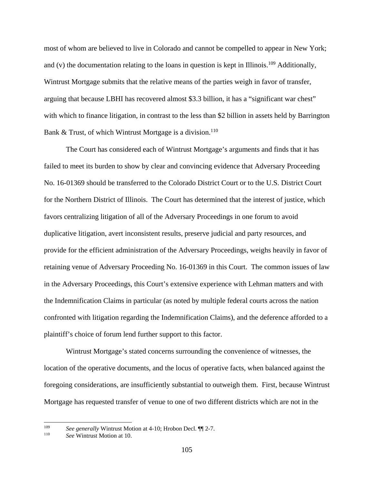most of whom are believed to live in Colorado and cannot be compelled to appear in New York; and (v) the documentation relating to the loans in question is kept in Illinois.<sup>109</sup> Additionally, Wintrust Mortgage submits that the relative means of the parties weigh in favor of transfer, arguing that because LBHI has recovered almost \$3.3 billion, it has a "significant war chest" with which to finance litigation, in contrast to the less than \$2 billion in assets held by Barrington Bank & Trust, of which Wintrust Mortgage is a division.<sup>110</sup>

The Court has considered each of Wintrust Mortgage's arguments and finds that it has failed to meet its burden to show by clear and convincing evidence that Adversary Proceeding No. 16-01369 should be transferred to the Colorado District Court or to the U.S. District Court for the Northern District of Illinois. The Court has determined that the interest of justice, which favors centralizing litigation of all of the Adversary Proceedings in one forum to avoid duplicative litigation, avert inconsistent results, preserve judicial and party resources, and provide for the efficient administration of the Adversary Proceedings, weighs heavily in favor of retaining venue of Adversary Proceeding No. 16-01369 in this Court. The common issues of law in the Adversary Proceedings, this Court's extensive experience with Lehman matters and with the Indemnification Claims in particular (as noted by multiple federal courts across the nation confronted with litigation regarding the Indemnification Claims), and the deference afforded to a plaintiff's choice of forum lend further support to this factor.

Wintrust Mortgage's stated concerns surrounding the convenience of witnesses, the location of the operative documents, and the locus of operative facts, when balanced against the foregoing considerations, are insufficiently substantial to outweigh them. First, because Wintrust Mortgage has requested transfer of venue to one of two different districts which are not in the

<sup>109</sup> <sup>109</sup>*See generally* Wintrust Motion at 4-10; Hrobon Decl. ¶¶ 2-7. 110 *See* Wintrust Motion at 10.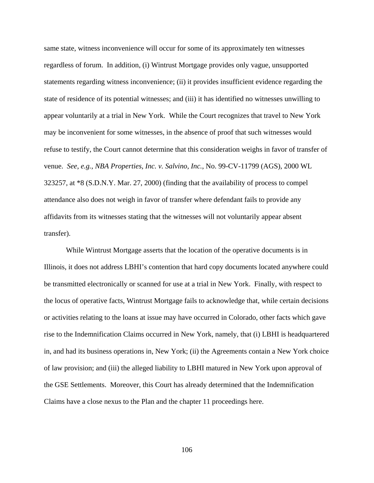same state, witness inconvenience will occur for some of its approximately ten witnesses regardless of forum. In addition, (i) Wintrust Mortgage provides only vague, unsupported statements regarding witness inconvenience; (ii) it provides insufficient evidence regarding the state of residence of its potential witnesses; and (iii) it has identified no witnesses unwilling to appear voluntarily at a trial in New York. While the Court recognizes that travel to New York may be inconvenient for some witnesses, in the absence of proof that such witnesses would refuse to testify, the Court cannot determine that this consideration weighs in favor of transfer of venue. *See*, *e.g.*, *NBA Properties, Inc. v. Salvino, Inc.*, No. 99-CV-11799 (AGS), 2000 WL 323257, at \*8 (S.D.N.Y. Mar. 27, 2000) (finding that the availability of process to compel attendance also does not weigh in favor of transfer where defendant fails to provide any affidavits from its witnesses stating that the witnesses will not voluntarily appear absent transfer).

While Wintrust Mortgage asserts that the location of the operative documents is in Illinois, it does not address LBHI's contention that hard copy documents located anywhere could be transmitted electronically or scanned for use at a trial in New York. Finally, with respect to the locus of operative facts, Wintrust Mortgage fails to acknowledge that, while certain decisions or activities relating to the loans at issue may have occurred in Colorado, other facts which gave rise to the Indemnification Claims occurred in New York, namely, that (i) LBHI is headquartered in, and had its business operations in, New York; (ii) the Agreements contain a New York choice of law provision; and (iii) the alleged liability to LBHI matured in New York upon approval of the GSE Settlements. Moreover, this Court has already determined that the Indemnification Claims have a close nexus to the Plan and the chapter 11 proceedings here.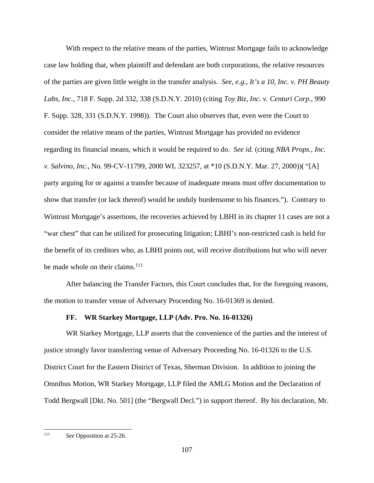With respect to the relative means of the parties, Wintrust Mortgage fails to acknowledge case law holding that, when plaintiff and defendant are both corporations, the relative resources of the parties are given little weight in the transfer analysis. *See*, *e.g.*, *It's a 10, Inc. v. PH Beauty Labs, Inc.*, 718 F. Supp. 2d 332, 338 (S.D.N.Y. 2010) (citing *Toy Biz, Inc. v. Centuri Corp.*, 990 F. Supp. 328, 331 (S.D.N.Y. 1998)). The Court also observes that, even were the Court to consider the relative means of the parties, Wintrust Mortgage has provided no evidence regarding its financial means, which it would be required to do. *See id.* (citing *NBA Props., Inc. v. Salvino, Inc.*, No. 99-CV-11799, 2000 WL 323257, at \*10 (S.D.N.Y. Mar. 27, 2000))( "[A] party arguing for or against a transfer because of inadequate means must offer documentation to show that transfer (or lack thereof) would be unduly burdensome to his finances."). Contrary to Wintrust Mortgage's assertions, the recoveries achieved by LBHI in its chapter 11 cases are not a "war chest" that can be utilized for prosecuting litigation; LBHI's non-restricted cash is held for the benefit of its creditors who, as LBHI points out, will receive distributions but who will never be made whole on their claims. $^{111}$ 

After balancing the Transfer Factors, this Court concludes that, for the foregoing reasons, the motion to transfer venue of Adversary Proceeding No. 16-01369 is denied.

# **FF. WR Starkey Mortgage, LLP (Adv. Pro. No. 16-01326)**

WR Starkey Mortgage, LLP asserts that the convenience of the parties and the interest of justice strongly favor transferring venue of Adversary Proceeding No. 16-01326 to the U.S. District Court for the Eastern District of Texas, Sherman Division. In addition to joining the Omnibus Motion, WR Starkey Mortgage, LLP filed the AMLG Motion and the Declaration of Todd Bergwall [Dkt. No. 501] (the "Bergwall Decl.") in support thereof. By his declaration, Mr.

<sup>111</sup> See Opposition at 25-26.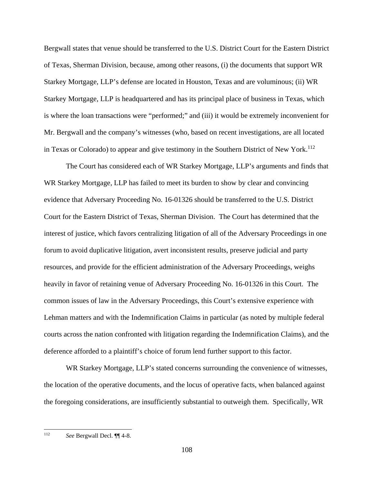Bergwall states that venue should be transferred to the U.S. District Court for the Eastern District of Texas, Sherman Division, because, among other reasons, (i) the documents that support WR Starkey Mortgage, LLP's defense are located in Houston, Texas and are voluminous; (ii) WR Starkey Mortgage, LLP is headquartered and has its principal place of business in Texas, which is where the loan transactions were "performed;" and (iii) it would be extremely inconvenient for Mr. Bergwall and the company's witnesses (who, based on recent investigations, are all located in Texas or Colorado) to appear and give testimony in the Southern District of New York.<sup>112</sup>

The Court has considered each of WR Starkey Mortgage, LLP's arguments and finds that WR Starkey Mortgage, LLP has failed to meet its burden to show by clear and convincing evidence that Adversary Proceeding No. 16-01326 should be transferred to the U.S. District Court for the Eastern District of Texas, Sherman Division. The Court has determined that the interest of justice, which favors centralizing litigation of all of the Adversary Proceedings in one forum to avoid duplicative litigation, avert inconsistent results, preserve judicial and party resources, and provide for the efficient administration of the Adversary Proceedings, weighs heavily in favor of retaining venue of Adversary Proceeding No. 16-01326 in this Court. The common issues of law in the Adversary Proceedings, this Court's extensive experience with Lehman matters and with the Indemnification Claims in particular (as noted by multiple federal courts across the nation confronted with litigation regarding the Indemnification Claims), and the deference afforded to a plaintiff's choice of forum lend further support to this factor.

WR Starkey Mortgage, LLP's stated concerns surrounding the convenience of witnesses, the location of the operative documents, and the locus of operative facts, when balanced against the foregoing considerations, are insufficiently substantial to outweigh them. Specifically, WR

<sup>112</sup> See Bergwall Decl. ¶[4-8.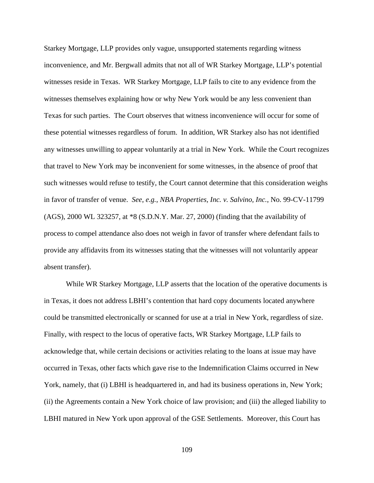Starkey Mortgage, LLP provides only vague, unsupported statements regarding witness inconvenience, and Mr. Bergwall admits that not all of WR Starkey Mortgage, LLP's potential witnesses reside in Texas. WR Starkey Mortgage, LLP fails to cite to any evidence from the witnesses themselves explaining how or why New York would be any less convenient than Texas for such parties. The Court observes that witness inconvenience will occur for some of these potential witnesses regardless of forum. In addition, WR Starkey also has not identified any witnesses unwilling to appear voluntarily at a trial in New York. While the Court recognizes that travel to New York may be inconvenient for some witnesses, in the absence of proof that such witnesses would refuse to testify, the Court cannot determine that this consideration weighs in favor of transfer of venue. *See*, *e.g.*, *NBA Properties, Inc. v. Salvino, Inc.*, No. 99-CV-11799 (AGS), 2000 WL 323257, at \*8 (S.D.N.Y. Mar. 27, 2000) (finding that the availability of process to compel attendance also does not weigh in favor of transfer where defendant fails to provide any affidavits from its witnesses stating that the witnesses will not voluntarily appear absent transfer).

While WR Starkey Mortgage, LLP asserts that the location of the operative documents is in Texas, it does not address LBHI's contention that hard copy documents located anywhere could be transmitted electronically or scanned for use at a trial in New York, regardless of size. Finally, with respect to the locus of operative facts, WR Starkey Mortgage, LLP fails to acknowledge that, while certain decisions or activities relating to the loans at issue may have occurred in Texas, other facts which gave rise to the Indemnification Claims occurred in New York, namely, that (i) LBHI is headquartered in, and had its business operations in, New York; (ii) the Agreements contain a New York choice of law provision; and (iii) the alleged liability to LBHI matured in New York upon approval of the GSE Settlements. Moreover, this Court has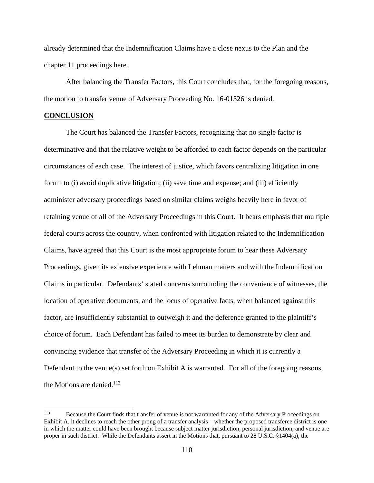already determined that the Indemnification Claims have a close nexus to the Plan and the chapter 11 proceedings here.

After balancing the Transfer Factors, this Court concludes that, for the foregoing reasons, the motion to transfer venue of Adversary Proceeding No. 16-01326 is denied.

## **CONCLUSION**

The Court has balanced the Transfer Factors, recognizing that no single factor is determinative and that the relative weight to be afforded to each factor depends on the particular circumstances of each case. The interest of justice, which favors centralizing litigation in one forum to (i) avoid duplicative litigation; (ii) save time and expense; and (iii) efficiently administer adversary proceedings based on similar claims weighs heavily here in favor of retaining venue of all of the Adversary Proceedings in this Court. It bears emphasis that multiple federal courts across the country, when confronted with litigation related to the Indemnification Claims, have agreed that this Court is the most appropriate forum to hear these Adversary Proceedings, given its extensive experience with Lehman matters and with the Indemnification Claims in particular. Defendants' stated concerns surrounding the convenience of witnesses, the location of operative documents, and the locus of operative facts, when balanced against this factor, are insufficiently substantial to outweigh it and the deference granted to the plaintiff's choice of forum. Each Defendant has failed to meet its burden to demonstrate by clear and convincing evidence that transfer of the Adversary Proceeding in which it is currently a Defendant to the venue(s) set forth on Exhibit A is warranted. For all of the foregoing reasons, the Motions are denied. $113$ 

<sup>113</sup> 113 Because the Court finds that transfer of venue is not warranted for any of the Adversary Proceedings on Exhibit A, it declines to reach the other prong of a transfer analysis – whether the proposed transferee district is one in which the matter could have been brought because subject matter jurisdiction, personal jurisdiction, and venue are proper in such district. While the Defendants assert in the Motions that, pursuant to 28 U.S.C. §1404(a), the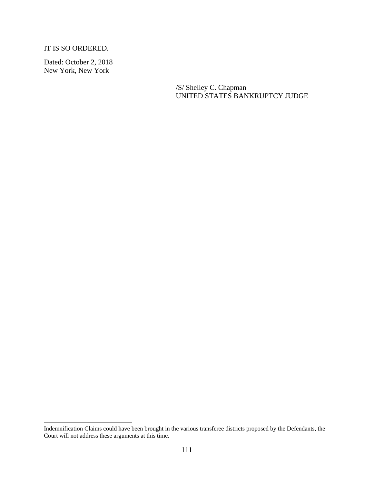IT IS SO ORDERED.

Dated: October 2, 2018 New York, New York

 $\overline{a}$ 

/S/ Shelley C. Chapman UNITED STATES BANKRUPTCY JUDGE

Indemnification Claims could have been brought in the various transferee districts proposed by the Defendants, the Court will not address these arguments at this time.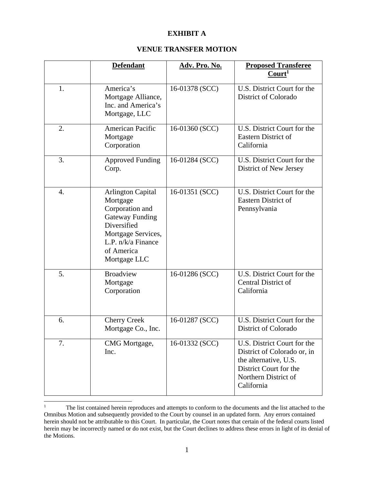## **EXHIBIT A**

## **VENUE TRANSFER MOTION**

|    | <b>Defendant</b>                                                                                                                                                           | Adv. Pro. No.  | <b>Proposed Transferee</b><br>Court <sup>1</sup>                                                                                                    |
|----|----------------------------------------------------------------------------------------------------------------------------------------------------------------------------|----------------|-----------------------------------------------------------------------------------------------------------------------------------------------------|
| 1. | America's<br>Mortgage Alliance,<br>Inc. and America's<br>Mortgage, LLC                                                                                                     | 16-01378 (SCC) | U.S. District Court for the<br><b>District of Colorado</b>                                                                                          |
| 2. | <b>American Pacific</b><br>Mortgage<br>Corporation                                                                                                                         | 16-01360 (SCC) | U.S. District Court for the<br><b>Eastern District of</b><br>California                                                                             |
| 3. | <b>Approved Funding</b><br>Corp.                                                                                                                                           | 16-01284 (SCC) | U.S. District Court for the<br>District of New Jersey                                                                                               |
| 4. | <b>Arlington Capital</b><br>Mortgage<br>Corporation and<br><b>Gateway Funding</b><br>Diversified<br>Mortgage Services,<br>L.P. n/k/a Finance<br>of America<br>Mortgage LLC | 16-01351 (SCC) | U.S. District Court for the<br>Eastern District of<br>Pennsylvania                                                                                  |
| 5. | <b>Broadview</b><br>Mortgage<br>Corporation                                                                                                                                | 16-01286 (SCC) | U.S. District Court for the<br><b>Central District of</b><br>California                                                                             |
| 6. | <b>Cherry Creek</b><br>Mortgage Co., Inc.                                                                                                                                  | 16-01287 (SCC) | U.S. District Court for the<br>District of Colorado                                                                                                 |
| 7. | CMG Mortgage,<br>Inc.                                                                                                                                                      | 16-01332 (SCC) | U.S. District Court for the<br>District of Colorado or, in<br>the alternative, U.S.<br>District Court for the<br>Northern District of<br>California |

<sup>|&</sup>lt;br>|<br>| The list contained herein reproduces and attempts to conform to the documents and the list attached to the Omnibus Motion and subsequently provided to the Court by counsel in an updated form. Any errors contained herein should not be attributable to this Court. In particular, the Court notes that certain of the federal courts listed herein may be incorrectly named or do not exist, but the Court declines to address these errors in light of its denial of the Motions.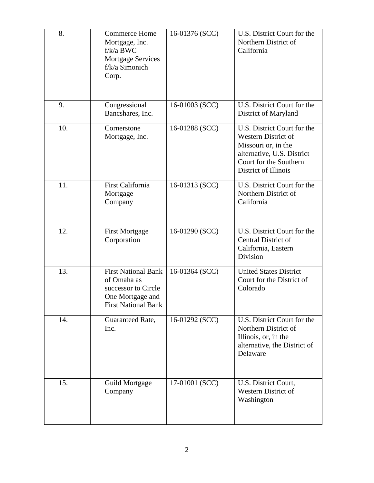| 8.  | <b>Commerce Home</b><br>Mortgage, Inc.<br>$f/k/a$ BWC<br><b>Mortgage Services</b><br>f/k/a Simonich<br>Corp.       | 16-01376 (SCC) | U.S. District Court for the<br>Northern District of<br>California                                                                                                |
|-----|--------------------------------------------------------------------------------------------------------------------|----------------|------------------------------------------------------------------------------------------------------------------------------------------------------------------|
| 9.  | Congressional<br>Bancshares, Inc.                                                                                  | 16-01003 (SCC) | U.S. District Court for the<br>District of Maryland                                                                                                              |
| 10. | Cornerstone<br>Mortgage, Inc.                                                                                      | 16-01288 (SCC) | U.S. District Court for the<br><b>Western District of</b><br>Missouri or, in the<br>alternative, U.S. District<br>Court for the Southern<br>District of Illinois |
| 11. | <b>First California</b><br>Mortgage<br>Company                                                                     | 16-01313 (SCC) | U.S. District Court for the<br>Northern District of<br>California                                                                                                |
| 12. | <b>First Mortgage</b><br>Corporation                                                                               | 16-01290 (SCC) | U.S. District Court for the<br>Central District of<br>California, Eastern<br>Division                                                                            |
| 13. | <b>First National Bank</b><br>of Omaha as<br>successor to Circle<br>One Mortgage and<br><b>First National Bank</b> | 16-01364 (SCC) | <b>United States District</b><br>Court for the District of<br>Colorado                                                                                           |
| 14. | Guaranteed Rate,<br>Inc.                                                                                           | 16-01292 (SCC) | U.S. District Court for the<br>Northern District of<br>Illinois, or, in the<br>alternative, the District of<br>Delaware                                          |
| 15. | <b>Guild Mortgage</b><br>Company                                                                                   | 17-01001 (SCC) | U.S. District Court,<br>Western District of<br>Washington                                                                                                        |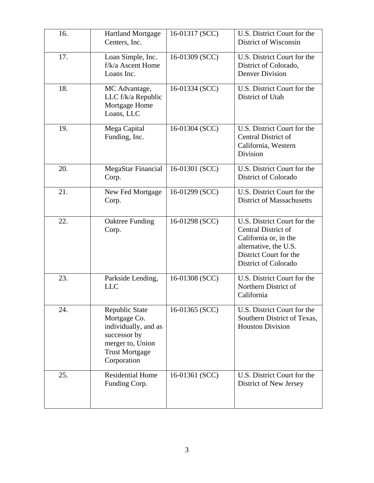| 16. | <b>Hartland Mortgage</b><br>Centers, Inc.                                                                                          | 16-01317 (SCC) | U.S. District Court for the<br>District of Wisconsin                                                                                                          |
|-----|------------------------------------------------------------------------------------------------------------------------------------|----------------|---------------------------------------------------------------------------------------------------------------------------------------------------------------|
| 17. | Loan Simple, Inc.<br>$f/k/a$ Ascent Home<br>Loans Inc.                                                                             | 16-01309 (SCC) | U.S. District Court for the<br>District of Colorado,<br><b>Denver Division</b>                                                                                |
| 18. | MC Advantage,<br>LLC f/k/a Republic<br>Mortgage Home<br>Loans, LLC                                                                 | 16-01334 (SCC) | U.S. District Court for the<br>District of Utah                                                                                                               |
| 19. | Mega Capital<br>Funding, Inc.                                                                                                      | 16-01304 (SCC) | U.S. District Court for the<br><b>Central District of</b><br>California, Western<br>Division                                                                  |
| 20. | MegaStar Financial<br>Corp.                                                                                                        | 16-01301 (SCC) | U.S. District Court for the<br>District of Colorado                                                                                                           |
| 21. | New Fed Mortgage<br>Corp.                                                                                                          | 16-01299 (SCC) | U.S. District Court for the<br><b>District of Massachusetts</b>                                                                                               |
| 22. | <b>Oaktree Funding</b><br>Corp.                                                                                                    | 16-01298 (SCC) | U.S. District Court for the<br><b>Central District of</b><br>California or, in the<br>alternative, the U.S.<br>District Court for the<br>District of Colorado |
| 23. | Parkside Lending,<br><b>LLC</b>                                                                                                    | 16-01308 (SCC) | U.S. District Court for the<br>Northern District of<br>California                                                                                             |
| 24. | Republic State<br>Mortgage Co.<br>individually, and as<br>successor by<br>merger to, Union<br><b>Trust Mortgage</b><br>Corporation | 16-01365 (SCC) | U.S. District Court for the<br>Southern District of Texas,<br><b>Houston Division</b>                                                                         |
| 25. | <b>Residential Home</b><br>Funding Corp.                                                                                           | 16-01361 (SCC) | U.S. District Court for the<br>District of New Jersey                                                                                                         |